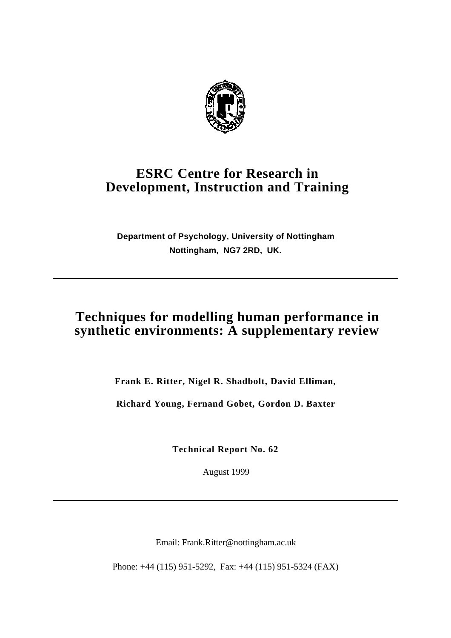

# **ESRC Centre for Research in Development, Instruction and Training**

**Department of Psychology, University of Nottingham Nottingham, NG7 2RD, UK.**

# **Techniques for modelling human performance in synthetic environments: A supplementary review**

**Frank E. Ritter, Nigel R. Shadbolt, David Elliman,**

**Richard Young, Fernand Gobet, Gordon D. Baxter**

**Technical Report No. 62**

August 1999

Email: Frank.Ritter@nottingham.ac.uk

Phone: +44 (115) 951-5292, Fax: +44 (115) 951-5324 (FAX)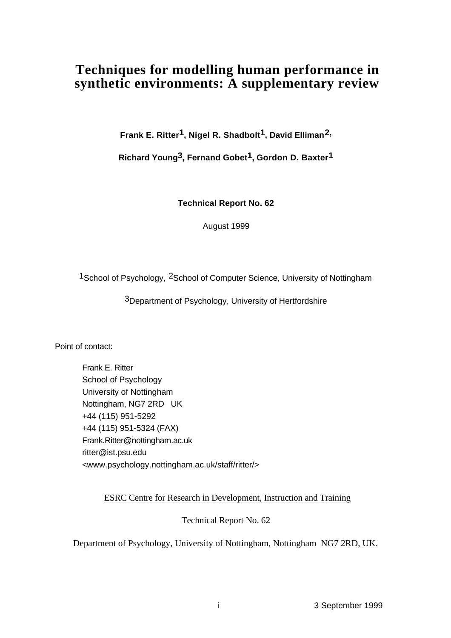# **Techniques for modelling human performance in synthetic environments: A supplementary review**

**Frank E. Ritter1, Nigel R. Shadbolt1, David Elliman2,**

**Richard Young3, Fernand Gobet1, Gordon D. Baxter1**

**Technical Report No. 62**

August 1999

1School of Psychology, 2School of Computer Science, University of Nottingham

3Department of Psychology, University of Hertfordshire

Point of contact:

Frank E. Ritter School of Psychology University of Nottingham Nottingham, NG7 2RD UK +44 (115) 951-5292 +44 (115) 951-5324 (FAX) Frank.Ritter@nottingham.ac.uk ritter@ist.psu.edu <www.psychology.nottingham.ac.uk/staff/ritter/>

ESRC Centre for Research in Development, Instruction and Training

Technical Report No. 62

Department of Psychology, University of Nottingham, Nottingham NG7 2RD, UK.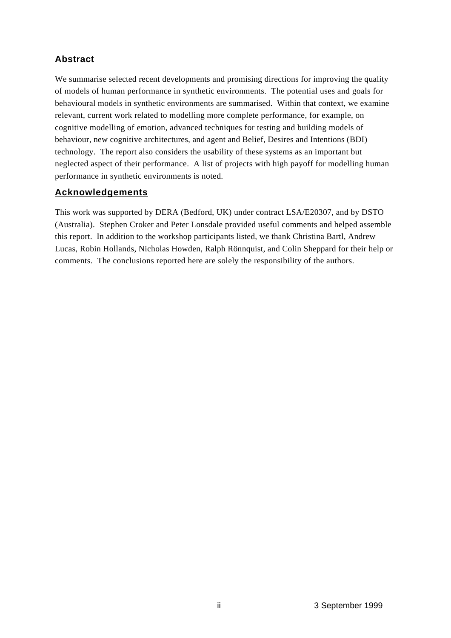## **Abstract**

We summarise selected recent developments and promising directions for improving the quality of models of human performance in synthetic environments. The potential uses and goals for behavioural models in synthetic environments are summarised. Within that context, we examine relevant, current work related to modelling more complete performance, for example, on cognitive modelling of emotion, advanced techniques for testing and building models of behaviour, new cognitive architectures, and agent and Belief, Desires and Intentions (BDI) technology. The report also considers the usability of these systems as an important but neglected aspect of their performance. A list of projects with high payoff for modelling human performance in synthetic environments is noted.

## **Acknowledgements**

This work was supported by DERA (Bedford, UK) under contract LSA/E20307, and by DSTO (Australia). Stephen Croker and Peter Lonsdale provided useful comments and helped assemble this report. In addition to the workshop participants listed, we thank Christina Bartl, Andrew Lucas, Robin Hollands, Nicholas Howden, Ralph Rönnquist, and Colin Sheppard for their help or comments. The conclusions reported here are solely the responsibility of the authors.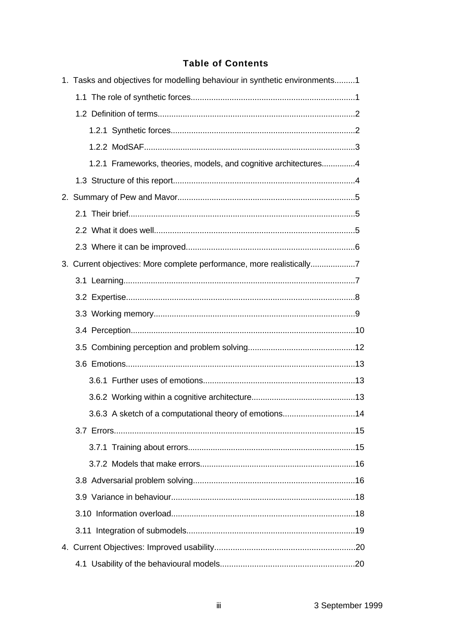#### **Table of Contents**

| 1. Tasks and objectives for modelling behaviour in synthetic environments1 |  |
|----------------------------------------------------------------------------|--|
|                                                                            |  |
|                                                                            |  |
|                                                                            |  |
|                                                                            |  |
|                                                                            |  |
| 1.2.1 Frameworks, theories, models, and cognitive architectures4           |  |
|                                                                            |  |
|                                                                            |  |
|                                                                            |  |
|                                                                            |  |
|                                                                            |  |
| 3. Current objectives: More complete performance, more realistically7      |  |
|                                                                            |  |
|                                                                            |  |
|                                                                            |  |
|                                                                            |  |
|                                                                            |  |
|                                                                            |  |
|                                                                            |  |
|                                                                            |  |
| 3.6.3 A sketch of a computational theory of emotions14                     |  |
|                                                                            |  |
|                                                                            |  |
|                                                                            |  |
|                                                                            |  |
|                                                                            |  |
|                                                                            |  |
|                                                                            |  |
|                                                                            |  |
|                                                                            |  |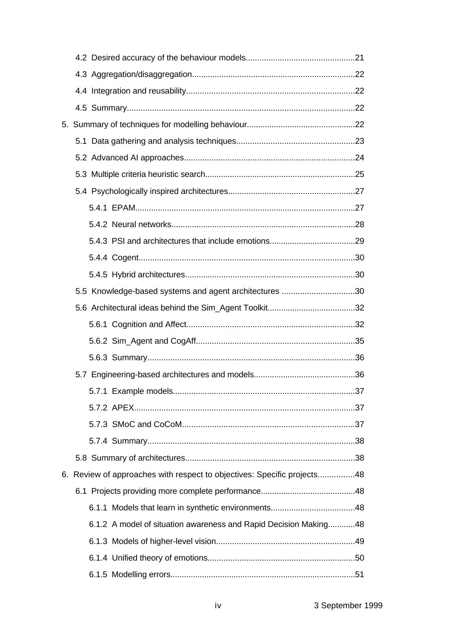| 5.5 Knowledge-based systems and agent architectures 30                  |  |
|-------------------------------------------------------------------------|--|
|                                                                         |  |
|                                                                         |  |
|                                                                         |  |
|                                                                         |  |
|                                                                         |  |
|                                                                         |  |
|                                                                         |  |
|                                                                         |  |
|                                                                         |  |
|                                                                         |  |
| 6. Review of approaches with respect to objectives: Specific projects48 |  |
|                                                                         |  |
|                                                                         |  |
| 6.1.2 A model of situation awareness and Rapid Decision Making48        |  |
|                                                                         |  |
|                                                                         |  |
|                                                                         |  |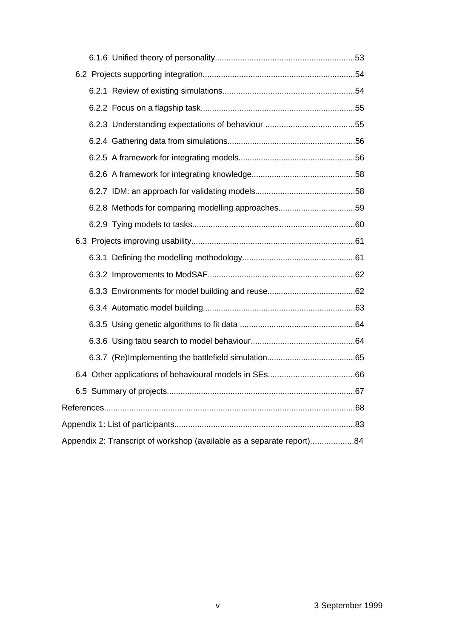| 6.2.8 Methods for comparing modelling approaches59                    |  |
|-----------------------------------------------------------------------|--|
|                                                                       |  |
|                                                                       |  |
|                                                                       |  |
|                                                                       |  |
|                                                                       |  |
|                                                                       |  |
|                                                                       |  |
|                                                                       |  |
|                                                                       |  |
|                                                                       |  |
|                                                                       |  |
|                                                                       |  |
|                                                                       |  |
| Appendix 2: Transcript of workshop (available as a separate report)84 |  |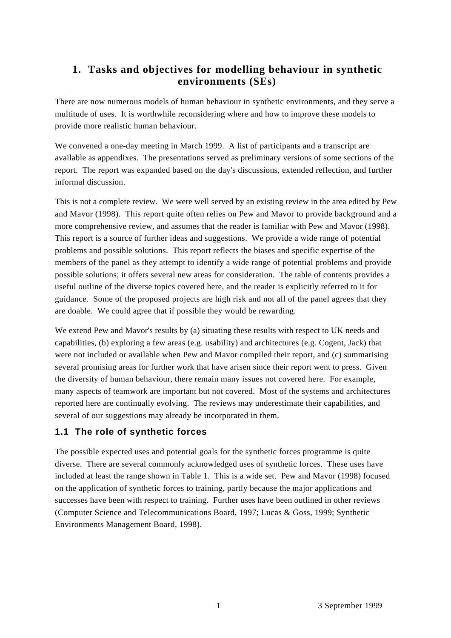# **1. Tasks and objectives for modelling behaviour in synthetic environments (SEs)**

There are now numerous models of human behaviour in synthetic environments, and they serve a multitude of uses. It is worthwhile reconsidering where and how to improve these models to provide more realistic human behaviour.

We convened a one-day meeting in March 1999. A list of participants and a transcript are available as appendixes. The presentations served as preliminary versions of some sections of the report. The report was expanded based on the day's discussions, extended reflection, and further informal discussion.

This is not a complete review. We were well served by an existing review in the area edited by Pew and Mavor (1998). This report quite often relies on Pew and Mavor to provide background and a more comprehensive review, and assumes that the reader is familiar with Pew and Mavor (1998). This report is a source of further ideas and suggestions. We provide a wide range of potential problems and possible solutions. This report reflects the biases and specific expertise of the members of the panel as they attempt to identify a wide range of potential problems and provide possible solutions; it offers several new areas for consideration. The table of contents provides a useful outline of the diverse topics covered here, and the reader is explicitly referred to it for guidance. Some of the proposed projects are high risk and not all of the panel agrees that they are doable. We could agree that if possible they would be rewarding.

We extend Pew and Mavor's results by (a) situating these results with respect to UK needs and capabilities, (b) exploring a few areas (e.g. usability) and architectures (e.g. Cogent, Jack) that were not included or available when Pew and Mavor compiled their report, and (c) summarising several promising areas for further work that have arisen since their report went to press. Given the diversity of human behaviour, there remain many issues not covered here. For example, many aspects of teamwork are important but not covered. Most of the systems and architectures reported here are continually evolving. The reviews may underestimate their capabilities, and several of our suggestions may already be incorporated in them.

#### **1.1 The role of synthetic forces**

The possible expected uses and potential goals for the synthetic forces programme is quite diverse. There are several commonly acknowledged uses of synthetic forces. These uses have included at least the range shown in Table 1. This is a wide set. Pew and Mavor (1998) focused on the application of synthetic forces to training, partly because the major applications and successes have been with respect to training. Further uses have been outlined in other reviews (Computer Science and Telecommunications Board, 1997; Lucas & Goss, 1999; Synthetic Environments Management Board, 1998).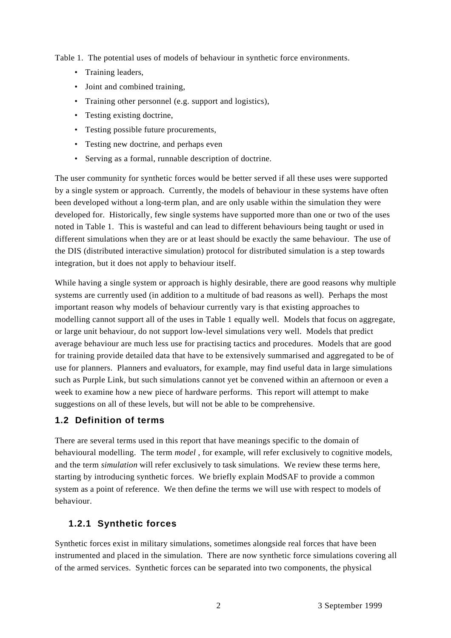Table 1. The potential uses of models of behaviour in synthetic force environments.

- Training leaders,
- Joint and combined training,
- Training other personnel (e.g. support and logistics),
- Testing existing doctrine,
- Testing possible future procurements,
- Testing new doctrine, and perhaps even
- Serving as a formal, runnable description of doctrine.

The user community for synthetic forces would be better served if all these uses were supported by a single system or approach. Currently, the models of behaviour in these systems have often been developed without a long-term plan, and are only usable within the simulation they were developed for. Historically, few single systems have supported more than one or two of the uses noted in Table 1. This is wasteful and can lead to different behaviours being taught or used in different simulations when they are or at least should be exactly the same behaviour. The use of the DIS (distributed interactive simulation) protocol for distributed simulation is a step towards integration, but it does not apply to behaviour itself.

While having a single system or approach is highly desirable, there are good reasons why multiple systems are currently used (in addition to a multitude of bad reasons as well). Perhaps the most important reason why models of behaviour currently vary is that existing approaches to modelling cannot support all of the uses in Table 1 equally well. Models that focus on aggregate, or large unit behaviour, do not support low-level simulations very well. Models that predict average behaviour are much less use for practising tactics and procedures. Models that are good for training provide detailed data that have to be extensively summarised and aggregated to be of use for planners. Planners and evaluators, for example, may find useful data in large simulations such as Purple Link, but such simulations cannot yet be convened within an afternoon or even a week to examine how a new piece of hardware performs. This report will attempt to make suggestions on all of these levels, but will not be able to be comprehensive.

#### **1.2 Definition of terms**

There are several terms used in this report that have meanings specific to the domain of behavioural modelling. The term *model* , for example, will refer exclusively to cognitive models, and the term *simulation* will refer exclusively to task simulations. We review these terms here, starting by introducing synthetic forces. We briefly explain ModSAF to provide a common system as a point of reference. We then define the terms we will use with respect to models of behaviour.

#### **1.2.1 Synthetic forces**

Synthetic forces exist in military simulations, sometimes alongside real forces that have been instrumented and placed in the simulation. There are now synthetic force simulations covering all of the armed services. Synthetic forces can be separated into two components, the physical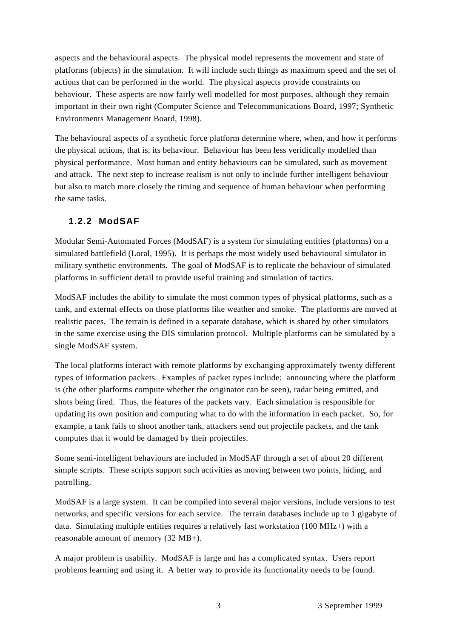aspects and the behavioural aspects. The physical model represents the movement and state of platforms (objects) in the simulation. It will include such things as maximum speed and the set of actions that can be performed in the world. The physical aspects provide constraints on behaviour. These aspects are now fairly well modelled for most purposes, although they remain important in their own right (Computer Science and Telecommunications Board, 1997; Synthetic Environments Management Board, 1998).

The behavioural aspects of a synthetic force platform determine where, when, and how it performs the physical actions, that is, its behaviour. Behaviour has been less veridically modelled than physical performance. Most human and entity behaviours can be simulated, such as movement and attack. The next step to increase realism is not only to include further intelligent behaviour but also to match more closely the timing and sequence of human behaviour when performing the same tasks.

#### **1.2.2 ModSAF**

Modular Semi-Automated Forces (ModSAF) is a system for simulating entities (platforms) on a simulated battlefield (Loral, 1995). It is perhaps the most widely used behavioural simulator in military synthetic environments. The goal of ModSAF is to replicate the behaviour of simulated platforms in sufficient detail to provide useful training and simulation of tactics.

ModSAF includes the ability to simulate the most common types of physical platforms, such as a tank, and external effects on those platforms like weather and smoke. The platforms are moved at realistic paces. The terrain is defined in a separate database, which is shared by other simulators in the same exercise using the DIS simulation protocol. Multiple platforms can be simulated by a single ModSAF system.

The local platforms interact with remote platforms by exchanging approximately twenty different types of information packets. Examples of packet types include: announcing where the platform is (the other platforms compute whether the originator can be seen), radar being emitted, and shots being fired. Thus, the features of the packets vary. Each simulation is responsible for updating its own position and computing what to do with the information in each packet. So, for example, a tank fails to shoot another tank, attackers send out projectile packets, and the tank computes that it would be damaged by their projectiles.

Some semi-intelligent behaviours are included in ModSAF through a set of about 20 different simple scripts. These scripts support such activities as moving between two points, hiding, and patrolling.

ModSAF is a large system. It can be compiled into several major versions, include versions to test networks, and specific versions for each service. The terrain databases include up to 1 gigabyte of data. Simulating multiple entities requires a relatively fast workstation (100 MHz+) with a reasonable amount of memory (32 MB+).

A major problem is usability. ModSAF is large and has a complicated syntax. Users report problems learning and using it. A better way to provide its functionality needs to be found.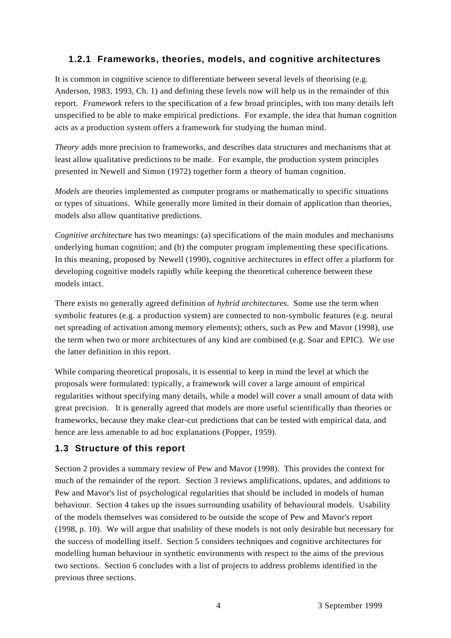#### **1.2.1 Frameworks, theories, models, and cognitive architectures**

It is common in cognitive science to differentiate between several levels of theorising (e.g. Anderson, 1983, 1993, Ch. 1) and defining these levels now will help us in the remainder of this report. *Framework* refers to the specification of a few broad principles, with too many details left unspecified to be able to make empirical predictions. For example, the idea that human cognition acts as a production system offers a framework for studying the human mind.

*Theory* adds more precision to frameworks, and describes data structures and mechanisms that at least allow qualitative predictions to be made. For example, the production system principles presented in Newell and Simon (1972) together form a theory of human cognition.

*Models* are theories implemented as computer programs or mathematically to specific situations or types of situations. While generally more limited in their domain of application than theories, models also allow quantitative predictions.

*Cognitive architecture* has two meanings: (a) specifications of the main modules and mechanisms underlying human cognition; and (b) the computer program implementing these specifications. In this meaning, proposed by Newell (1990), cognitive architectures in effect offer a platform for developing cognitive models rapidly while keeping the theoretical coherence between these models intact.

There exists no generally agreed definition of *hybrid architectures*. Some use the term when symbolic features (e.g. a production system) are connected to non-symbolic features (e.g. neural net spreading of activation among memory elements); others, such as Pew and Mavor (1998), use the term when two or more architectures of any kind are combined (e.g. Soar and EPIC). We use the latter definition in this report.

While comparing theoretical proposals, it is essential to keep in mind the level at which the proposals were formulated: typically, a framework will cover a large amount of empirical regularities without specifying many details, while a model will cover a small amount of data with great precision. It is generally agreed that models are more useful scientifically than theories or frameworks, because they make clear-cut predictions that can be tested with empirical data, and hence are less amenable to ad hoc explanations (Popper, 1959).

#### **1.3 Structure of this report**

Section 2 provides a summary review of Pew and Mavor (1998). This provides the context for much of the remainder of the report. Section 3 reviews amplifications, updates, and additions to Pew and Mavor's list of psychological regularities that should be included in models of human behaviour. Section 4 takes up the issues surrounding usability of behavioural models. Usability of the models themselves was considered to be outside the scope of Pew and Mavor's report (1998, p. 10). We will argue that usability of these models is not only desirable but necessary for the success of modelling itself. Section 5 considers techniques and cognitive architectures for modelling human behaviour in synthetic environments with respect to the aims of the previous two sections. Section 6 concludes with a list of projects to address problems identified in the previous three sections.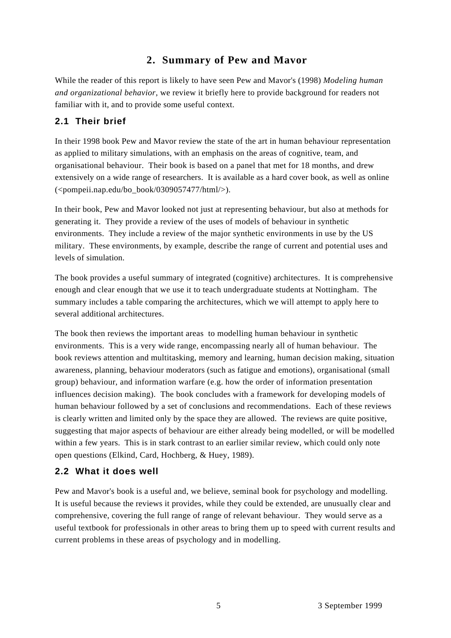# **2. Summary of Pew and Mavor**

While the reader of this report is likely to have seen Pew and Mavor's (1998) *Modeling human and organizational behavior*, we review it briefly here to provide background for readers not familiar with it, and to provide some useful context.

## **2.1 Their brief**

In their 1998 book Pew and Mavor review the state of the art in human behaviour representation as applied to military simulations, with an emphasis on the areas of cognitive, team, and organisational behaviour. Their book is based on a panel that met for 18 months, and drew extensively on a wide range of researchers. It is available as a hard cover book, as well as online  $\langle \text{pompeii} \rangle$ .nap.edu/bo\_book/0309057477/html/>).

In their book, Pew and Mavor looked not just at representing behaviour, but also at methods for generating it. They provide a review of the uses of models of behaviour in synthetic environments. They include a review of the major synthetic environments in use by the US military. These environments, by example, describe the range of current and potential uses and levels of simulation.

The book provides a useful summary of integrated (cognitive) architectures. It is comprehensive enough and clear enough that we use it to teach undergraduate students at Nottingham. The summary includes a table comparing the architectures, which we will attempt to apply here to several additional architectures.

The book then reviews the important areas to modelling human behaviour in synthetic environments. This is a very wide range, encompassing nearly all of human behaviour. The book reviews attention and multitasking, memory and learning, human decision making, situation awareness, planning, behaviour moderators (such as fatigue and emotions), organisational (small group) behaviour, and information warfare (e.g. how the order of information presentation influences decision making). The book concludes with a framework for developing models of human behaviour followed by a set of conclusions and recommendations. Each of these reviews is clearly written and limited only by the space they are allowed. The reviews are quite positive, suggesting that major aspects of behaviour are either already being modelled, or will be modelled within a few years. This is in stark contrast to an earlier similar review, which could only note open questions (Elkind, Card, Hochberg, & Huey, 1989).

#### **2.2 What it does well**

Pew and Mavor's book is a useful and, we believe, seminal book for psychology and modelling. It is useful because the reviews it provides, while they could be extended, are unusually clear and comprehensive, covering the full range of range of relevant behaviour. They would serve as a useful textbook for professionals in other areas to bring them up to speed with current results and current problems in these areas of psychology and in modelling.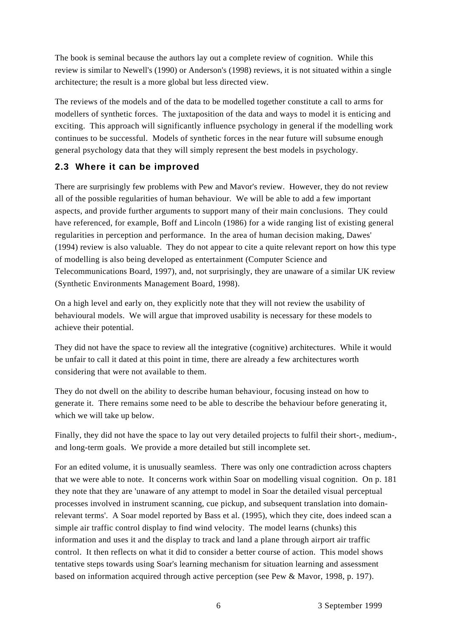The book is seminal because the authors lay out a complete review of cognition. While this review is similar to Newell's (1990) or Anderson's (1998) reviews, it is not situated within a single architecture; the result is a more global but less directed view.

The reviews of the models and of the data to be modelled together constitute a call to arms for modellers of synthetic forces. The juxtaposition of the data and ways to model it is enticing and exciting. This approach will significantly influence psychology in general if the modelling work continues to be successful. Models of synthetic forces in the near future will subsume enough general psychology data that they will simply represent the best models in psychology.

## **2.3 Where it can be improved**

There are surprisingly few problems with Pew and Mavor's review. However, they do not review all of the possible regularities of human behaviour. We will be able to add a few important aspects, and provide further arguments to support many of their main conclusions. They could have referenced, for example, Boff and Lincoln (1986) for a wide ranging list of existing general regularities in perception and performance. In the area of human decision making, Dawes' (1994) review is also valuable. They do not appear to cite a quite relevant report on how this type of modelling is also being developed as entertainment (Computer Science and Telecommunications Board, 1997), and, not surprisingly, they are unaware of a similar UK review (Synthetic Environments Management Board, 1998).

On a high level and early on, they explicitly note that they will not review the usability of behavioural models. We will argue that improved usability is necessary for these models to achieve their potential.

They did not have the space to review all the integrative (cognitive) architectures. While it would be unfair to call it dated at this point in time, there are already a few architectures worth considering that were not available to them.

They do not dwell on the ability to describe human behaviour, focusing instead on how to generate it. There remains some need to be able to describe the behaviour before generating it, which we will take up below.

Finally, they did not have the space to lay out very detailed projects to fulfil their short-, medium-, and long-term goals. We provide a more detailed but still incomplete set.

For an edited volume, it is unusually seamless. There was only one contradiction across chapters that we were able to note. It concerns work within Soar on modelling visual cognition. On p. 181 they note that they are 'unaware of any attempt to model in Soar the detailed visual perceptual processes involved in instrument scanning, cue pickup, and subsequent translation into domainrelevant terms'. A Soar model reported by Bass et al. (1995), which they cite, does indeed scan a simple air traffic control display to find wind velocity. The model learns (chunks) this information and uses it and the display to track and land a plane through airport air traffic control. It then reflects on what it did to consider a better course of action. This model shows tentative steps towards using Soar's learning mechanism for situation learning and assessment based on information acquired through active perception (see Pew & Mavor, 1998, p. 197).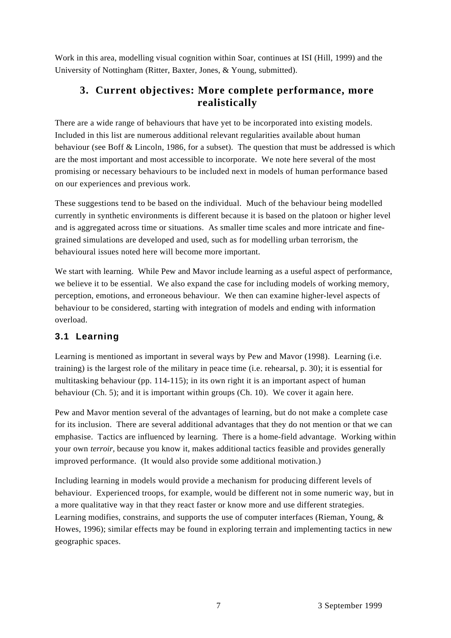Work in this area, modelling visual cognition within Soar, continues at ISI (Hill, 1999) and the University of Nottingham (Ritter, Baxter, Jones, & Young, submitted).

# **3. Current objectives: More complete performance, more realistically**

There are a wide range of behaviours that have yet to be incorporated into existing models. Included in this list are numerous additional relevant regularities available about human behaviour (see Boff & Lincoln, 1986, for a subset). The question that must be addressed is which are the most important and most accessible to incorporate. We note here several of the most promising or necessary behaviours to be included next in models of human performance based on our experiences and previous work.

These suggestions tend to be based on the individual. Much of the behaviour being modelled currently in synthetic environments is different because it is based on the platoon or higher level and is aggregated across time or situations. As smaller time scales and more intricate and finegrained simulations are developed and used, such as for modelling urban terrorism, the behavioural issues noted here will become more important.

We start with learning. While Pew and Mayor include learning as a useful aspect of performance, we believe it to be essential. We also expand the case for including models of working memory, perception, emotions, and erroneous behaviour. We then can examine higher-level aspects of behaviour to be considered, starting with integration of models and ending with information overload.

## **3.1 Learning**

Learning is mentioned as important in several ways by Pew and Mavor (1998). Learning (i.e. training) is the largest role of the military in peace time (i.e. rehearsal, p. 30); it is essential for multitasking behaviour (pp. 114-115); in its own right it is an important aspect of human behaviour (Ch. 5); and it is important within groups (Ch. 10). We cover it again here.

Pew and Mavor mention several of the advantages of learning, but do not make a complete case for its inclusion. There are several additional advantages that they do not mention or that we can emphasise. Tactics are influenced by learning. There is a home-field advantage. Working within your own *terroir,* because you know it, makes additional tactics feasible and provides generally improved performance. (It would also provide some additional motivation.)

Including learning in models would provide a mechanism for producing different levels of behaviour. Experienced troops, for example, would be different not in some numeric way, but in a more qualitative way in that they react faster or know more and use different strategies. Learning modifies, constrains, and supports the use of computer interfaces (Rieman, Young, & Howes, 1996); similar effects may be found in exploring terrain and implementing tactics in new geographic spaces.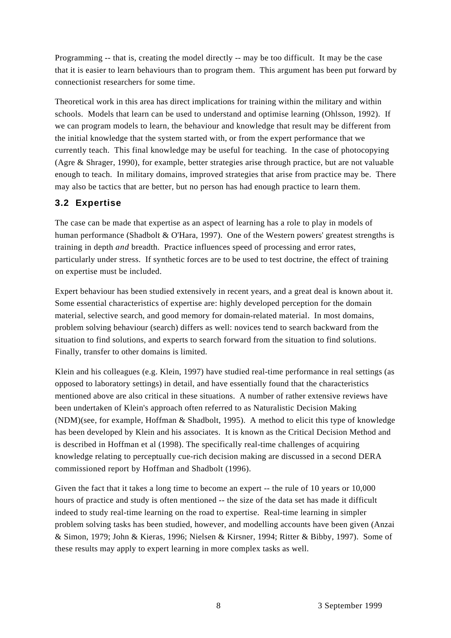Programming -- that is, creating the model directly -- may be too difficult. It may be the case that it is easier to learn behaviours than to program them. This argument has been put forward by connectionist researchers for some time.

Theoretical work in this area has direct implications for training within the military and within schools. Models that learn can be used to understand and optimise learning (Ohlsson, 1992). If we can program models to learn, the behaviour and knowledge that result may be different from the initial knowledge that the system started with, or from the expert performance that we currently teach. This final knowledge may be useful for teaching. In the case of photocopying (Agre & Shrager, 1990), for example, better strategies arise through practice, but are not valuable enough to teach. In military domains, improved strategies that arise from practice may be. There may also be tactics that are better, but no person has had enough practice to learn them.

## **3.2 Expertise**

The case can be made that expertise as an aspect of learning has a role to play in models of human performance (Shadbolt & O'Hara, 1997). One of the Western powers' greatest strengths is training in depth *and* breadth. Practice influences speed of processing and error rates, particularly under stress. If synthetic forces are to be used to test doctrine, the effect of training on expertise must be included.

Expert behaviour has been studied extensively in recent years, and a great deal is known about it. Some essential characteristics of expertise are: highly developed perception for the domain material, selective search, and good memory for domain-related material. In most domains, problem solving behaviour (search) differs as well: novices tend to search backward from the situation to find solutions, and experts to search forward from the situation to find solutions. Finally, transfer to other domains is limited.

Klein and his colleagues (e.g. Klein, 1997) have studied real-time performance in real settings (as opposed to laboratory settings) in detail, and have essentially found that the characteristics mentioned above are also critical in these situations. A number of rather extensive reviews have been undertaken of Klein's approach often referred to as Naturalistic Decision Making (NDM)(see, for example, Hoffman & Shadbolt, 1995). A method to elicit this type of knowledge has been developed by Klein and his associates. It is known as the Critical Decision Method and is described in Hoffman et al (1998). The specifically real-time challenges of acquiring knowledge relating to perceptually cue-rich decision making are discussed in a second DERA commissioned report by Hoffman and Shadbolt (1996).

Given the fact that it takes a long time to become an expert -- the rule of 10 years or 10,000 hours of practice and study is often mentioned -- the size of the data set has made it difficult indeed to study real-time learning on the road to expertise. Real-time learning in simpler problem solving tasks has been studied, however, and modelling accounts have been given (Anzai & Simon, 1979; John & Kieras, 1996; Nielsen & Kirsner, 1994; Ritter & Bibby, 1997). Some of these results may apply to expert learning in more complex tasks as well.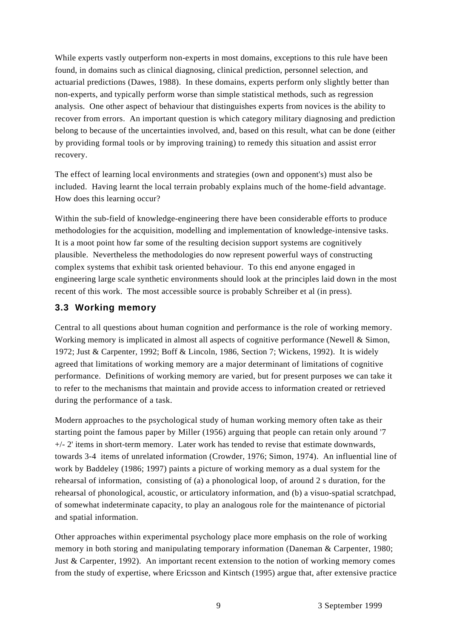While experts vastly outperform non-experts in most domains, exceptions to this rule have been found, in domains such as clinical diagnosing, clinical prediction, personnel selection, and actuarial predictions (Dawes, 1988). In these domains, experts perform only slightly better than non-experts, and typically perform worse than simple statistical methods, such as regression analysis. One other aspect of behaviour that distinguishes experts from novices is the ability to recover from errors. An important question is which category military diagnosing and prediction belong to because of the uncertainties involved, and, based on this result, what can be done (either by providing formal tools or by improving training) to remedy this situation and assist error recovery.

The effect of learning local environments and strategies (own and opponent's) must also be included. Having learnt the local terrain probably explains much of the home-field advantage. How does this learning occur?

Within the sub-field of knowledge-engineering there have been considerable efforts to produce methodologies for the acquisition, modelling and implementation of knowledge-intensive tasks. It is a moot point how far some of the resulting decision support systems are cognitively plausible. Nevertheless the methodologies do now represent powerful ways of constructing complex systems that exhibit task oriented behaviour. To this end anyone engaged in engineering large scale synthetic environments should look at the principles laid down in the most recent of this work. The most accessible source is probably Schreiber et al (in press).

#### **3.3 Working memory**

Central to all questions about human cognition and performance is the role of working memory. Working memory is implicated in almost all aspects of cognitive performance (Newell & Simon, 1972; Just & Carpenter, 1992; Boff & Lincoln, 1986, Section 7; Wickens, 1992). It is widely agreed that limitations of working memory are a major determinant of limitations of cognitive performance. Definitions of working memory are varied, but for present purposes we can take it to refer to the mechanisms that maintain and provide access to information created or retrieved during the performance of a task.

Modern approaches to the psychological study of human working memory often take as their starting point the famous paper by Miller (1956) arguing that people can retain only around '7 +/- 2' items in short-term memory. Later work has tended to revise that estimate downwards, towards 3-4 items of unrelated information (Crowder, 1976; Simon, 1974). An influential line of work by Baddeley (1986; 1997) paints a picture of working memory as a dual system for the rehearsal of information, consisting of (a) a phonological loop, of around 2 s duration, for the rehearsal of phonological, acoustic, or articulatory information, and (b) a visuo-spatial scratchpad, of somewhat indeterminate capacity, to play an analogous role for the maintenance of pictorial and spatial information.

Other approaches within experimental psychology place more emphasis on the role of working memory in both storing and manipulating temporary information (Daneman & Carpenter, 1980; Just & Carpenter, 1992). An important recent extension to the notion of working memory comes from the study of expertise, where Ericsson and Kintsch (1995) argue that, after extensive practice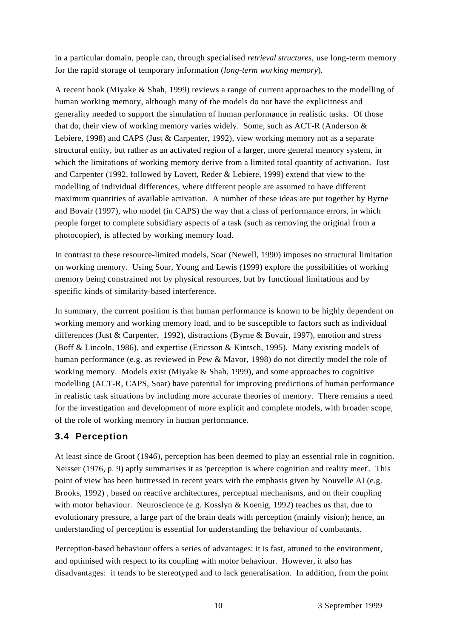in a particular domain, people can, through specialised *retrieval structures,* use long-term memory for the rapid storage of temporary information (*long-term working memory*).

A recent book (Miyake & Shah, 1999) reviews a range of current approaches to the modelling of human working memory, although many of the models do not have the explicitness and generality needed to support the simulation of human performance in realistic tasks. Of those that do, their view of working memory varies widely. Some, such as ACT-R (Anderson & Lebiere, 1998) and CAPS (Just & Carpenter, 1992), view working memory not as a separate structural entity, but rather as an activated region of a larger, more general memory system, in which the limitations of working memory derive from a limited total quantity of activation. Just and Carpenter (1992, followed by Lovett, Reder & Lebiere, 1999) extend that view to the modelling of individual differences, where different people are assumed to have different maximum quantities of available activation. A number of these ideas are put together by Byrne and Bovair (1997), who model (in CAPS) the way that a class of performance errors, in which people forget to complete subsidiary aspects of a task (such as removing the original from a photocopier), is affected by working memory load.

In contrast to these resource-limited models, Soar (Newell, 1990) imposes no structural limitation on working memory. Using Soar, Young and Lewis (1999) explore the possibilities of working memory being constrained not by physical resources, but by functional limitations and by specific kinds of similarity-based interference.

In summary, the current position is that human performance is known to be highly dependent on working memory and working memory load, and to be susceptible to factors such as individual differences (Just & Carpenter, 1992), distractions (Byrne & Bovair, 1997), emotion and stress (Boff & Lincoln, 1986), and expertise (Ericsson & Kintsch, 1995). Many existing models of human performance (e.g. as reviewed in Pew & Mavor, 1998) do not directly model the role of working memory. Models exist (Miyake & Shah, 1999), and some approaches to cognitive modelling (ACT-R, CAPS, Soar) have potential for improving predictions of human performance in realistic task situations by including more accurate theories of memory. There remains a need for the investigation and development of more explicit and complete models, with broader scope, of the role of working memory in human performance.

#### **3.4 Perception**

At least since de Groot (1946), perception has been deemed to play an essential role in cognition. Neisser (1976, p. 9) aptly summarises it as 'perception is where cognition and reality meet'. This point of view has been buttressed in recent years with the emphasis given by Nouvelle AI (e.g. Brooks, 1992) , based on reactive architectures, perceptual mechanisms, and on their coupling with motor behaviour. Neuroscience (e.g. Kosslyn & Koenig, 1992) teaches us that, due to evolutionary pressure, a large part of the brain deals with perception (mainly vision); hence, an understanding of perception is essential for understanding the behaviour of combatants.

Perception-based behaviour offers a series of advantages: it is fast, attuned to the environment, and optimised with respect to its coupling with motor behaviour. However, it also has disadvantages: it tends to be stereotyped and to lack generalisation. In addition, from the point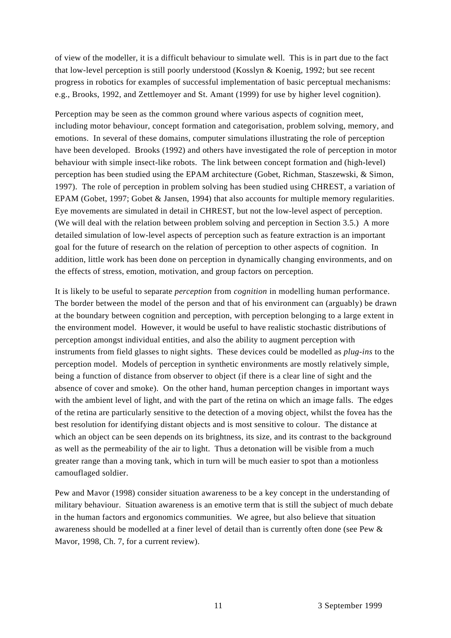of view of the modeller, it is a difficult behaviour to simulate well. This is in part due to the fact that low-level perception is still poorly understood (Kosslyn & Koenig, 1992; but see recent progress in robotics for examples of successful implementation of basic perceptual mechanisms: e.g., Brooks, 1992, and Zettlemoyer and St. Amant (1999) for use by higher level cognition).

Perception may be seen as the common ground where various aspects of cognition meet, including motor behaviour, concept formation and categorisation, problem solving, memory, and emotions. In several of these domains, computer simulations illustrating the role of perception have been developed. Brooks (1992) and others have investigated the role of perception in motor behaviour with simple insect-like robots. The link between concept formation and (high-level) perception has been studied using the EPAM architecture (Gobet, Richman, Staszewski, & Simon, 1997). The role of perception in problem solving has been studied using CHREST, a variation of EPAM (Gobet, 1997; Gobet & Jansen, 1994) that also accounts for multiple memory regularities. Eye movements are simulated in detail in CHREST, but not the low-level aspect of perception. (We will deal with the relation between problem solving and perception in Section 3.5.) A more detailed simulation of low-level aspects of perception such as feature extraction is an important goal for the future of research on the relation of perception to other aspects of cognition. In addition, little work has been done on perception in dynamically changing environments, and on the effects of stress, emotion, motivation, and group factors on perception.

It is likely to be useful to separate *perception* from *cognition* in modelling human performance. The border between the model of the person and that of his environment can (arguably) be drawn at the boundary between cognition and perception, with perception belonging to a large extent in the environment model. However, it would be useful to have realistic stochastic distributions of perception amongst individual entities, and also the ability to augment perception with instruments from field glasses to night sights. These devices could be modelled as *plug-ins* to the perception model. Models of perception in synthetic environments are mostly relatively simple, being a function of distance from observer to object (if there is a clear line of sight and the absence of cover and smoke). On the other hand, human perception changes in important ways with the ambient level of light, and with the part of the retina on which an image falls. The edges of the retina are particularly sensitive to the detection of a moving object, whilst the fovea has the best resolution for identifying distant objects and is most sensitive to colour. The distance at which an object can be seen depends on its brightness, its size, and its contrast to the background as well as the permeability of the air to light. Thus a detonation will be visible from a much greater range than a moving tank, which in turn will be much easier to spot than a motionless camouflaged soldier.

Pew and Mavor (1998) consider situation awareness to be a key concept in the understanding of military behaviour. Situation awareness is an emotive term that is still the subject of much debate in the human factors and ergonomics communities. We agree, but also believe that situation awareness should be modelled at a finer level of detail than is currently often done (see Pew & Mavor, 1998, Ch. 7, for a current review).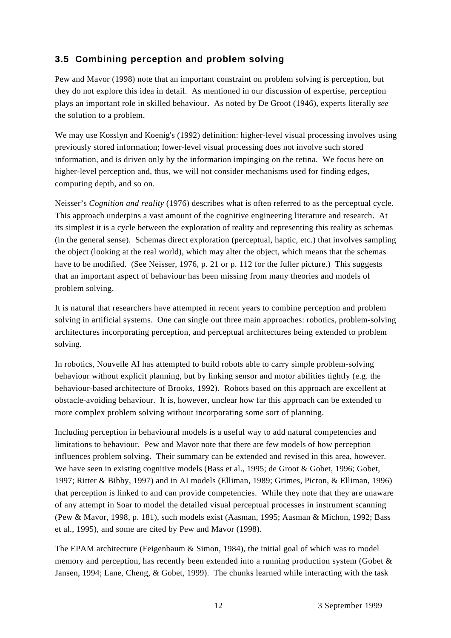## **3.5 Combining perception and problem solving**

Pew and Mavor (1998) note that an important constraint on problem solving is perception, but they do not explore this idea in detail. As mentioned in our discussion of expertise, perception plays an important role in skilled behaviour. As noted by De Groot (1946), experts literally *see* the solution to a problem.

We may use Kosslyn and Koenig's (1992) definition: higher-level visual processing involves using previously stored information; lower-level visual processing does not involve such stored information, and is driven only by the information impinging on the retina. We focus here on higher-level perception and, thus, we will not consider mechanisms used for finding edges, computing depth, and so on.

Neisser's *Cognition and reality* (1976) describes what is often referred to as the perceptual cycle. This approach underpins a vast amount of the cognitive engineering literature and research. At its simplest it is a cycle between the exploration of reality and representing this reality as schemas (in the general sense). Schemas direct exploration (perceptual, haptic, etc.) that involves sampling the object (looking at the real world), which may alter the object, which means that the schemas have to be modified. (See Neisser, 1976, p. 21 or p. 112 for the fuller picture.) This suggests that an important aspect of behaviour has been missing from many theories and models of problem solving.

It is natural that researchers have attempted in recent years to combine perception and problem solving in artificial systems. One can single out three main approaches: robotics, problem-solving architectures incorporating perception, and perceptual architectures being extended to problem solving.

In robotics, Nouvelle AI has attempted to build robots able to carry simple problem-solving behaviour without explicit planning, but by linking sensor and motor abilities tightly (e.g. the behaviour-based architecture of Brooks, 1992). Robots based on this approach are excellent at obstacle-avoiding behaviour. It is, however, unclear how far this approach can be extended to more complex problem solving without incorporating some sort of planning.

Including perception in behavioural models is a useful way to add natural competencies and limitations to behaviour. Pew and Mavor note that there are few models of how perception influences problem solving. Their summary can be extended and revised in this area, however. We have seen in existing cognitive models (Bass et al., 1995; de Groot & Gobet, 1996; Gobet, 1997; Ritter & Bibby, 1997) and in AI models (Elliman, 1989; Grimes, Picton, & Elliman, 1996) that perception is linked to and can provide competencies. While they note that they are unaware of any attempt in Soar to model the detailed visual perceptual processes in instrument scanning (Pew & Mavor, 1998, p. 181), such models exist (Aasman, 1995; Aasman & Michon, 1992; Bass et al., 1995), and some are cited by Pew and Mavor (1998).

The EPAM architecture (Feigenbaum & Simon, 1984), the initial goal of which was to model memory and perception, has recently been extended into a running production system (Gobet & Jansen, 1994; Lane, Cheng, & Gobet, 1999). The chunks learned while interacting with the task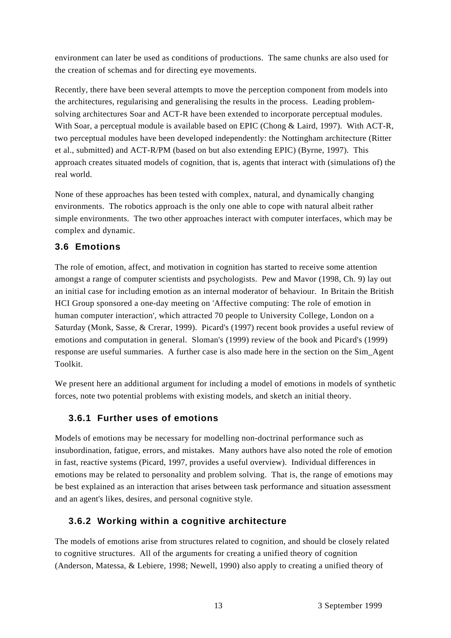environment can later be used as conditions of productions. The same chunks are also used for the creation of schemas and for directing eye movements.

Recently, there have been several attempts to move the perception component from models into the architectures, regularising and generalising the results in the process. Leading problemsolving architectures Soar and ACT-R have been extended to incorporate perceptual modules. With Soar, a perceptual module is available based on EPIC (Chong & Laird, 1997). With ACT-R, two perceptual modules have been developed independently: the Nottingham architecture (Ritter et al., submitted) and ACT-R/PM (based on but also extending EPIC) (Byrne, 1997). This approach creates situated models of cognition, that is, agents that interact with (simulations of) the real world.

None of these approaches has been tested with complex, natural, and dynamically changing environments. The robotics approach is the only one able to cope with natural albeit rather simple environments. The two other approaches interact with computer interfaces, which may be complex and dynamic.

## **3.6 Emotions**

The role of emotion, affect, and motivation in cognition has started to receive some attention amongst a range of computer scientists and psychologists. Pew and Mavor (1998, Ch. 9) lay out an initial case for including emotion as an internal moderator of behaviour. In Britain the British HCI Group sponsored a one-day meeting on 'Affective computing: The role of emotion in human computer interaction', which attracted 70 people to University College, London on a Saturday (Monk, Sasse, & Crerar, 1999). Picard's (1997) recent book provides a useful review of emotions and computation in general. Sloman's (1999) review of the book and Picard's (1999) response are useful summaries. A further case is also made here in the section on the Sim\_Agent Toolkit.

We present here an additional argument for including a model of emotions in models of synthetic forces, note two potential problems with existing models, and sketch an initial theory.

#### **3.6.1 Further uses of emotions**

Models of emotions may be necessary for modelling non-doctrinal performance such as insubordination, fatigue, errors, and mistakes. Many authors have also noted the role of emotion in fast, reactive systems (Picard, 1997, provides a useful overview). Individual differences in emotions may be related to personality and problem solving. That is, the range of emotions may be best explained as an interaction that arises between task performance and situation assessment and an agent's likes, desires, and personal cognitive style.

#### **3.6.2 Working within a cognitive architecture**

The models of emotions arise from structures related to cognition, and should be closely related to cognitive structures. All of the arguments for creating a unified theory of cognition (Anderson, Matessa, & Lebiere, 1998; Newell, 1990) also apply to creating a unified theory of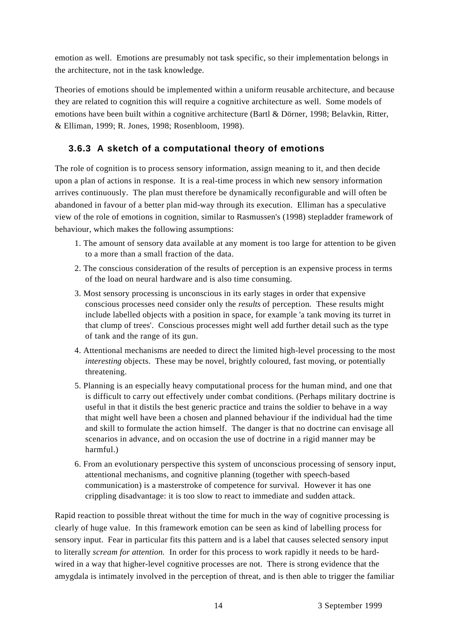emotion as well. Emotions are presumably not task specific, so their implementation belongs in the architecture, not in the task knowledge.

Theories of emotions should be implemented within a uniform reusable architecture, and because they are related to cognition this will require a cognitive architecture as well. Some models of emotions have been built within a cognitive architecture (Bartl & Dörner, 1998; Belavkin, Ritter, & Elliman, 1999; R. Jones, 1998; Rosenbloom, 1998).

## **3.6.3 A sketch of a computational theory of emotions**

The role of cognition is to process sensory information, assign meaning to it, and then decide upon a plan of actions in response. It is a real-time process in which new sensory information arrives continuously. The plan must therefore be dynamically reconfigurable and will often be abandoned in favour of a better plan mid-way through its execution. Elliman has a speculative view of the role of emotions in cognition, similar to Rasmussen's (1998) stepladder framework of behaviour, which makes the following assumptions:

- 1. The amount of sensory data available at any moment is too large for attention to be given to a more than a small fraction of the data.
- 2. The conscious consideration of the results of perception is an expensive process in terms of the load on neural hardware and is also time consuming.
- 3. Most sensory processing is unconscious in its early stages in order that expensive conscious processes need consider only the *results* of perception*.* These results might include labelled objects with a position in space, for example 'a tank moving its turret in that clump of trees'. Conscious processes might well add further detail such as the type of tank and the range of its gun.
- 4. Attentional mechanisms are needed to direct the limited high-level processing to the most *interesting* objects. These may be novel, brightly coloured, fast moving, or potentially threatening.
- 5. Planning is an especially heavy computational process for the human mind, and one that is difficult to carry out effectively under combat conditions. (Perhaps military doctrine is useful in that it distils the best generic practice and trains the soldier to behave in a way that might well have been a chosen and planned behaviour if the individual had the time and skill to formulate the action himself. The danger is that no doctrine can envisage all scenarios in advance, and on occasion the use of doctrine in a rigid manner may be harmful.)
- 6. From an evolutionary perspective this system of unconscious processing of sensory input, attentional mechanisms, and cognitive planning (together with speech-based communication) is a masterstroke of competence for survival. However it has one crippling disadvantage: it is too slow to react to immediate and sudden attack.

Rapid reaction to possible threat without the time for much in the way of cognitive processing is clearly of huge value. In this framework emotion can be seen as kind of labelling process for sensory input. Fear in particular fits this pattern and is a label that causes selected sensory input to literally *scream for attention.* In order for this process to work rapidly it needs to be hardwired in a way that higher-level cognitive processes are not. There is strong evidence that the amygdala is intimately involved in the perception of threat, and is then able to trigger the familiar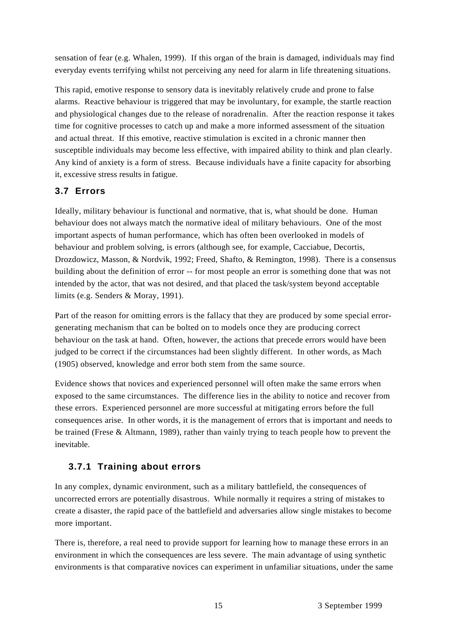sensation of fear (e.g. Whalen, 1999). If this organ of the brain is damaged, individuals may find everyday events terrifying whilst not perceiving any need for alarm in life threatening situations.

This rapid, emotive response to sensory data is inevitably relatively crude and prone to false alarms. Reactive behaviour is triggered that may be involuntary, for example, the startle reaction and physiological changes due to the release of noradrenalin. After the reaction response it takes time for cognitive processes to catch up and make a more informed assessment of the situation and actual threat. If this emotive, reactive stimulation is excited in a chronic manner then susceptible individuals may become less effective, with impaired ability to think and plan clearly. Any kind of anxiety is a form of stress. Because individuals have a finite capacity for absorbing it, excessive stress results in fatigue.

#### **3.7 Errors**

Ideally, military behaviour is functional and normative, that is, what should be done. Human behaviour does not always match the normative ideal of military behaviours. One of the most important aspects of human performance, which has often been overlooked in models of behaviour and problem solving, is errors (although see, for example, Cacciabue, Decortis, Drozdowicz, Masson, & Nordvik, 1992; Freed, Shafto, & Remington, 1998). There is a consensus building about the definition of error -- for most people an error is something done that was not intended by the actor, that was not desired, and that placed the task/system beyond acceptable limits (e.g. Senders & Moray, 1991).

Part of the reason for omitting errors is the fallacy that they are produced by some special errorgenerating mechanism that can be bolted on to models once they are producing correct behaviour on the task at hand. Often, however, the actions that precede errors would have been judged to be correct if the circumstances had been slightly different. In other words, as Mach (1905) observed, knowledge and error both stem from the same source.

Evidence shows that novices and experienced personnel will often make the same errors when exposed to the same circumstances. The difference lies in the ability to notice and recover from these errors. Experienced personnel are more successful at mitigating errors before the full consequences arise. In other words, it is the management of errors that is important and needs to be trained (Frese & Altmann, 1989), rather than vainly trying to teach people how to prevent the inevitable.

#### **3.7.1 Training about errors**

In any complex, dynamic environment, such as a military battlefield, the consequences of uncorrected errors are potentially disastrous. While normally it requires a string of mistakes to create a disaster, the rapid pace of the battlefield and adversaries allow single mistakes to become more important.

There is, therefore, a real need to provide support for learning how to manage these errors in an environment in which the consequences are less severe. The main advantage of using synthetic environments is that comparative novices can experiment in unfamiliar situations, under the same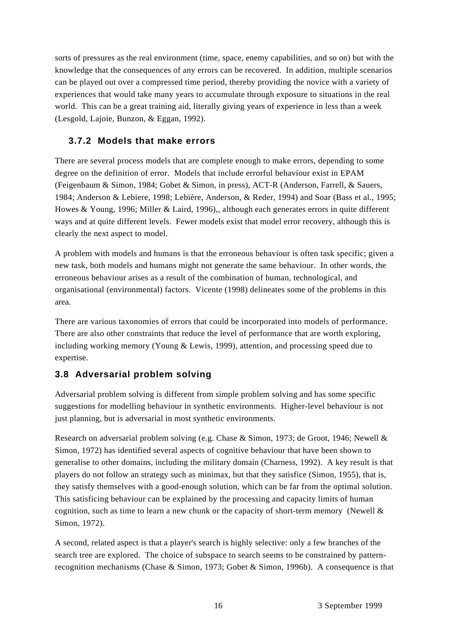sorts of pressures as the real environment (time, space, enemy capabilities, and so on) but with the knowledge that the consequences of any errors can be recovered. In addition, multiple scenarios can be played out over a compressed time period, thereby providing the novice with a variety of experiences that would take many years to accumulate through exposure to situations in the real world. This can be a great training aid, literally giving years of experience in less than a week (Lesgold, Lajoie, Bunzon, & Eggan, 1992).

#### **3.7.2 Models that make errors**

There are several process models that are complete enough to make errors, depending to some degree on the definition of error. Models that include errorful behaviour exist in EPAM (Feigenbaum & Simon, 1984; Gobet & Simon, in press), ACT-R (Anderson, Farrell, & Sauers, 1984; Anderson & Lebiere, 1998; Lebière, Anderson, & Reder, 1994) and Soar (Bass et al., 1995; Howes & Young, 1996; Miller & Laird, 1996),, although each generates errors in quite different ways and at quite different levels. Fewer models exist that model error recovery, although this is clearly the next aspect to model.

A problem with models and humans is that the erroneous behaviour is often task specific; given a new task, both models and humans might not generate the same behaviour. In other words, the erroneous behaviour arises as a result of the combination of human, technological, and organisational (environmental) factors. Vicente (1998) delineates some of the problems in this area.

There are various taxonomies of errors that could be incorporated into models of performance. There are also other constraints that reduce the level of performance that are worth exploring, including working memory (Young & Lewis, 1999), attention, and processing speed due to expertise.

#### **3.8 Adversarial problem solving**

Adversarial problem solving is different from simple problem solving and has some specific suggestions for modelling behaviour in synthetic environments. Higher-level behaviour is not just planning, but is adversarial in most synthetic environments.

Research on adversarial problem solving (e.g. Chase & Simon, 1973; de Groot, 1946; Newell & Simon, 1972) has identified several aspects of cognitive behaviour that have been shown to generalise to other domains, including the military domain (Charness, 1992). A key result is that players do not follow an strategy such as minimax, but that they satisfice (Simon, 1955), that is, they satisfy themselves with a good-enough solution, which can be far from the optimal solution. This satisficing behaviour can be explained by the processing and capacity limits of human cognition, such as time to learn a new chunk or the capacity of short-term memory (Newell & Simon, 1972).

A second, related aspect is that a player's search is highly selective: only a few branches of the search tree are explored. The choice of subspace to search seems to be constrained by patternrecognition mechanisms (Chase & Simon, 1973; Gobet & Simon, 1996b). A consequence is that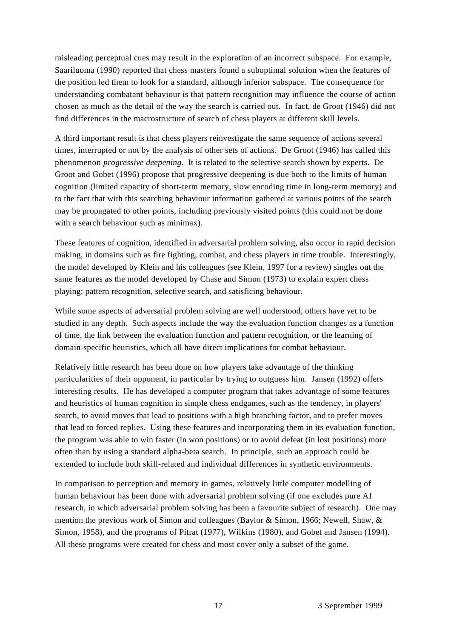misleading perceptual cues may result in the exploration of an incorrect subspace. For example, Saariluoma (1990) reported that chess masters found a suboptimal solution when the features of the position led them to look for a standard, although inferior subspace. The consequence for understanding combatant behaviour is that pattern recognition may influence the course of action chosen as much as the detail of the way the search is carried out. In fact, de Groot (1946) did not find differences in the macrostructure of search of chess players at different skill levels.

A third important result is that chess players reinvestigate the same sequence of actions several times, interrupted or not by the analysis of other sets of actions. De Groot (1946) has called this phenomenon *progressive deepening*. It is related to the selective search shown by experts. De Groot and Gobet (1996) propose that progressive deepening is due both to the limits of human cognition (limited capacity of short-term memory, slow encoding time in long-term memory) and to the fact that with this searching behaviour information gathered at various points of the search may be propagated to other points, including previously visited points (this could not be done with a search behaviour such as minimax).

These features of cognition, identified in adversarial problem solving, also occur in rapid decision making, in domains such as fire fighting, combat, and chess players in time trouble. Interestingly, the model developed by Klein and his colleagues (see Klein, 1997 for a review) singles out the same features as the model developed by Chase and Simon (1973) to explain expert chess playing: pattern recognition, selective search, and satisficing behaviour.

While some aspects of adversarial problem solving are well understood, others have yet to be studied in any depth. Such aspects include the way the evaluation function changes as a function of time, the link between the evaluation function and pattern recognition, or the learning of domain-specific heuristics, which all have direct implications for combat behaviour.

Relatively little research has been done on how players take advantage of the thinking particularities of their opponent, in particular by trying to outguess him. Jansen (1992) offers interesting results. He has developed a computer program that takes advantage of some features and heuristics of human cognition in simple chess endgames, such as the tendency, in players' search, to avoid moves that lead to positions with a high branching factor, and to prefer moves that lead to forced replies. Using these features and incorporating them in its evaluation function, the program was able to win faster (in won positions) or to avoid defeat (in lost positions) more often than by using a standard alpha-beta search. In principle, such an approach could be extended to include both skill-related and individual differences in synthetic environments.

In comparison to perception and memory in games, relatively little computer modelling of human behaviour has been done with adversarial problem solving (if one excludes pure AI research, in which adversarial problem solving has been a favourite subject of research). One may mention the previous work of Simon and colleagues (Baylor & Simon, 1966; Newell, Shaw, & Simon, 1958), and the programs of Pitrat (1977), Wilkins (1980), and Gobet and Jansen (1994). All these programs were created for chess and most cover only a subset of the game.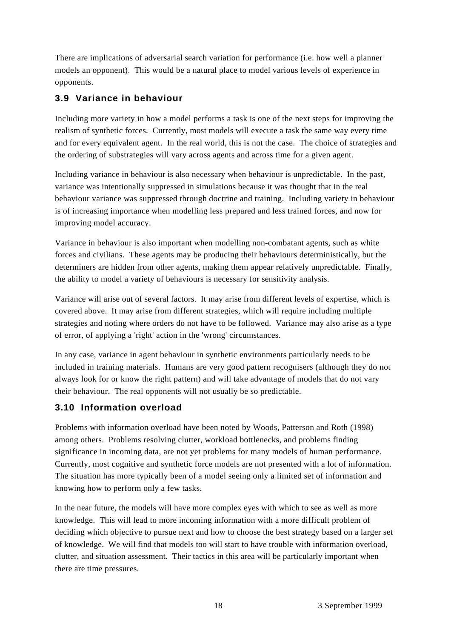There are implications of adversarial search variation for performance (i.e. how well a planner models an opponent). This would be a natural place to model various levels of experience in opponents.

## **3.9 Variance in behaviour**

Including more variety in how a model performs a task is one of the next steps for improving the realism of synthetic forces. Currently, most models will execute a task the same way every time and for every equivalent agent. In the real world, this is not the case. The choice of strategies and the ordering of substrategies will vary across agents and across time for a given agent.

Including variance in behaviour is also necessary when behaviour is unpredictable. In the past, variance was intentionally suppressed in simulations because it was thought that in the real behaviour variance was suppressed through doctrine and training. Including variety in behaviour is of increasing importance when modelling less prepared and less trained forces, and now for improving model accuracy.

Variance in behaviour is also important when modelling non-combatant agents, such as white forces and civilians. These agents may be producing their behaviours deterministically, but the determiners are hidden from other agents, making them appear relatively unpredictable. Finally, the ability to model a variety of behaviours is necessary for sensitivity analysis.

Variance will arise out of several factors. It may arise from different levels of expertise, which is covered above. It may arise from different strategies, which will require including multiple strategies and noting where orders do not have to be followed. Variance may also arise as a type of error, of applying a 'right' action in the 'wrong' circumstances.

In any case, variance in agent behaviour in synthetic environments particularly needs to be included in training materials. Humans are very good pattern recognisers (although they do not always look for or know the right pattern) and will take advantage of models that do not vary their behaviour. The real opponents will not usually be so predictable.

#### **3.10 Information overload**

Problems with information overload have been noted by Woods, Patterson and Roth (1998) among others. Problems resolving clutter, workload bottlenecks, and problems finding significance in incoming data, are not yet problems for many models of human performance. Currently, most cognitive and synthetic force models are not presented with a lot of information. The situation has more typically been of a model seeing only a limited set of information and knowing how to perform only a few tasks.

In the near future, the models will have more complex eyes with which to see as well as more knowledge. This will lead to more incoming information with a more difficult problem of deciding which objective to pursue next and how to choose the best strategy based on a larger set of knowledge. We will find that models too will start to have trouble with information overload, clutter, and situation assessment. Their tactics in this area will be particularly important when there are time pressures.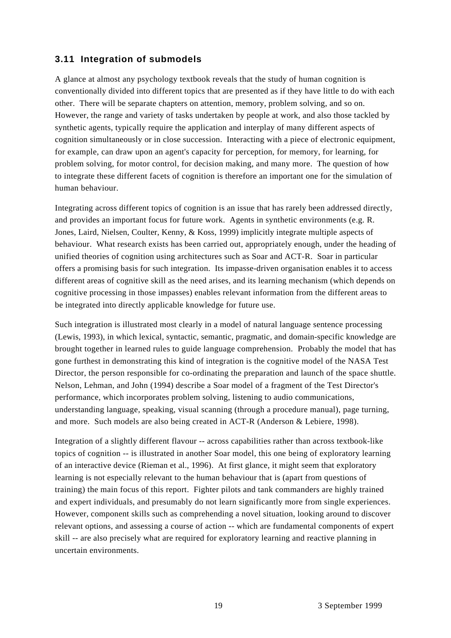#### **3.11 Integration of submodels**

A glance at almost any psychology textbook reveals that the study of human cognition is conventionally divided into different topics that are presented as if they have little to do with each other. There will be separate chapters on attention, memory, problem solving, and so on. However, the range and variety of tasks undertaken by people at work, and also those tackled by synthetic agents, typically require the application and interplay of many different aspects of cognition simultaneously or in close succession. Interacting with a piece of electronic equipment, for example, can draw upon an agent's capacity for perception, for memory, for learning, for problem solving, for motor control, for decision making, and many more. The question of how to integrate these different facets of cognition is therefore an important one for the simulation of human behaviour.

Integrating across different topics of cognition is an issue that has rarely been addressed directly, and provides an important focus for future work. Agents in synthetic environments (e.g. R. Jones, Laird, Nielsen, Coulter, Kenny, & Koss, 1999) implicitly integrate multiple aspects of behaviour. What research exists has been carried out, appropriately enough, under the heading of unified theories of cognition using architectures such as Soar and ACT-R. Soar in particular offers a promising basis for such integration. Its impasse-driven organisation enables it to access different areas of cognitive skill as the need arises, and its learning mechanism (which depends on cognitive processing in those impasses) enables relevant information from the different areas to be integrated into directly applicable knowledge for future use.

Such integration is illustrated most clearly in a model of natural language sentence processing (Lewis, 1993), in which lexical, syntactic, semantic, pragmatic, and domain-specific knowledge are brought together in learned rules to guide language comprehension. Probably the model that has gone furthest in demonstrating this kind of integration is the cognitive model of the NASA Test Director, the person responsible for co-ordinating the preparation and launch of the space shuttle. Nelson, Lehman, and John (1994) describe a Soar model of a fragment of the Test Director's performance, which incorporates problem solving, listening to audio communications, understanding language, speaking, visual scanning (through a procedure manual), page turning, and more. Such models are also being created in ACT-R (Anderson & Lebiere, 1998).

Integration of a slightly different flavour -- across capabilities rather than across textbook-like topics of cognition -- is illustrated in another Soar model, this one being of exploratory learning of an interactive device (Rieman et al., 1996). At first glance, it might seem that exploratory learning is not especially relevant to the human behaviour that is (apart from questions of training) the main focus of this report. Fighter pilots and tank commanders are highly trained and expert individuals, and presumably do not learn significantly more from single experiences. However, component skills such as comprehending a novel situation, looking around to discover relevant options, and assessing a course of action -- which are fundamental components of expert skill -- are also precisely what are required for exploratory learning and reactive planning in uncertain environments.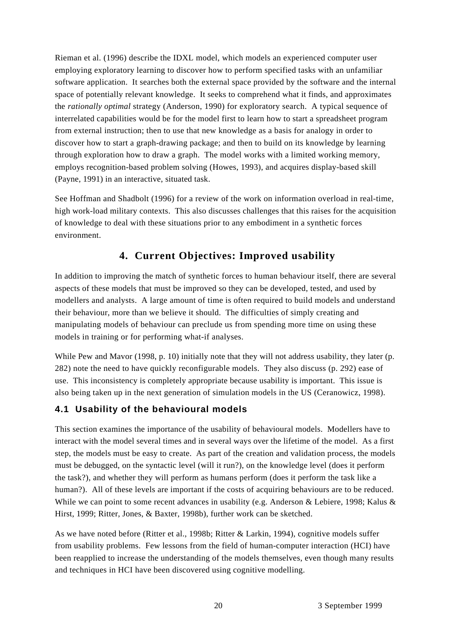Rieman et al. (1996) describe the IDXL model, which models an experienced computer user employing exploratory learning to discover how to perform specified tasks with an unfamiliar software application. It searches both the external space provided by the software and the internal space of potentially relevant knowledge. It seeks to comprehend what it finds, and approximates the *rationally optimal* strategy (Anderson, 1990) for exploratory search. A typical sequence of interrelated capabilities would be for the model first to learn how to start a spreadsheet program from external instruction; then to use that new knowledge as a basis for analogy in order to discover how to start a graph-drawing package; and then to build on its knowledge by learning through exploration how to draw a graph. The model works with a limited working memory, employs recognition-based problem solving (Howes, 1993), and acquires display-based skill (Payne, 1991) in an interactive, situated task.

See Hoffman and Shadbolt (1996) for a review of the work on information overload in real-time, high work-load military contexts. This also discusses challenges that this raises for the acquisition of knowledge to deal with these situations prior to any embodiment in a synthetic forces environment.

# **4. Current Objectives: Improved usability**

In addition to improving the match of synthetic forces to human behaviour itself, there are several aspects of these models that must be improved so they can be developed, tested, and used by modellers and analysts. A large amount of time is often required to build models and understand their behaviour, more than we believe it should. The difficulties of simply creating and manipulating models of behaviour can preclude us from spending more time on using these models in training or for performing what-if analyses.

While Pew and Mavor (1998, p. 10) initially note that they will not address usability, they later (p. 282) note the need to have quickly reconfigurable models. They also discuss (p. 292) ease of use. This inconsistency is completely appropriate because usability is important. This issue is also being taken up in the next generation of simulation models in the US (Ceranowicz, 1998).

#### **4.1 Usability of the behavioural models**

This section examines the importance of the usability of behavioural models. Modellers have to interact with the model several times and in several ways over the lifetime of the model. As a first step, the models must be easy to create. As part of the creation and validation process, the models must be debugged, on the syntactic level (will it run?), on the knowledge level (does it perform the task?), and whether they will perform as humans perform (does it perform the task like a human?). All of these levels are important if the costs of acquiring behaviours are to be reduced. While we can point to some recent advances in usability (e.g. Anderson & Lebiere, 1998; Kalus & Hirst, 1999; Ritter, Jones, & Baxter, 1998b), further work can be sketched.

As we have noted before (Ritter et al., 1998b; Ritter & Larkin, 1994), cognitive models suffer from usability problems. Few lessons from the field of human-computer interaction (HCI) have been reapplied to increase the understanding of the models themselves, even though many results and techniques in HCI have been discovered using cognitive modelling.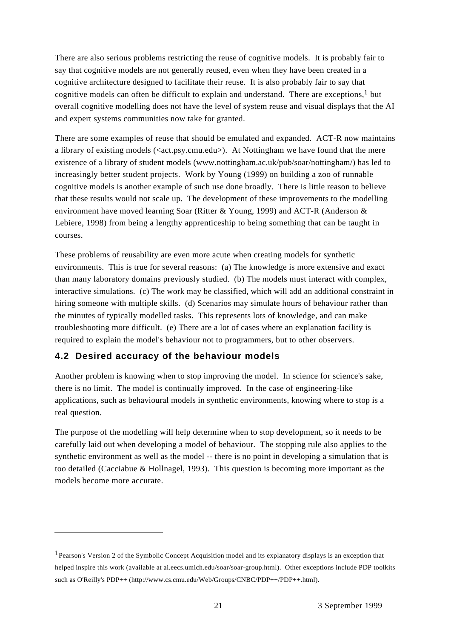There are also serious problems restricting the reuse of cognitive models. It is probably fair to say that cognitive models are not generally reused, even when they have been created in a cognitive architecture designed to facilitate their reuse. It is also probably fair to say that cognitive models can often be difficult to explain and understand. There are exceptions,<sup>1</sup> but overall cognitive modelling does not have the level of system reuse and visual displays that the AI and expert systems communities now take for granted.

There are some examples of reuse that should be emulated and expanded. ACT-R now maintains a library of existing models ( $\langle \text{act.py}, \text{cmu.edu} \rangle$ ). At Nottingham we have found that the mere existence of a library of student models (www.nottingham.ac.uk/pub/soar/nottingham/) has led to increasingly better student projects. Work by Young (1999) on building a zoo of runnable cognitive models is another example of such use done broadly. There is little reason to believe that these results would not scale up. The development of these improvements to the modelling environment have moved learning Soar (Ritter & Young, 1999) and ACT-R (Anderson & Lebiere, 1998) from being a lengthy apprenticeship to being something that can be taught in courses.

These problems of reusability are even more acute when creating models for synthetic environments. This is true for several reasons: (a) The knowledge is more extensive and exact than many laboratory domains previously studied. (b) The models must interact with complex, interactive simulations. (c) The work may be classified, which will add an additional constraint in hiring someone with multiple skills. (d) Scenarios may simulate hours of behaviour rather than the minutes of typically modelled tasks. This represents lots of knowledge, and can make troubleshooting more difficult. (e) There are a lot of cases where an explanation facility is required to explain the model's behaviour not to programmers, but to other observers.

#### **4.2 Desired accuracy of the behaviour models**

Another problem is knowing when to stop improving the model. In science for science's sake, there is no limit. The model is continually improved. In the case of engineering-like applications, such as behavioural models in synthetic environments, knowing where to stop is a real question.

The purpose of the modelling will help determine when to stop development, so it needs to be carefully laid out when developing a model of behaviour. The stopping rule also applies to the synthetic environment as well as the model -- there is no point in developing a simulation that is too detailed (Cacciabue & Hollnagel, 1993). This question is becoming more important as the models become more accurate.

<sup>1</sup>Pearson's Version 2 of the Symbolic Concept Acquisition model and its explanatory displays is an exception that helped inspire this work (available at ai.eecs.umich.edu/soar/soar-group.html). Other exceptions include PDP toolkits such as O'Reilly's PDP++ (http://www.cs.cmu.edu/Web/Groups/CNBC/PDP++/PDP++.html).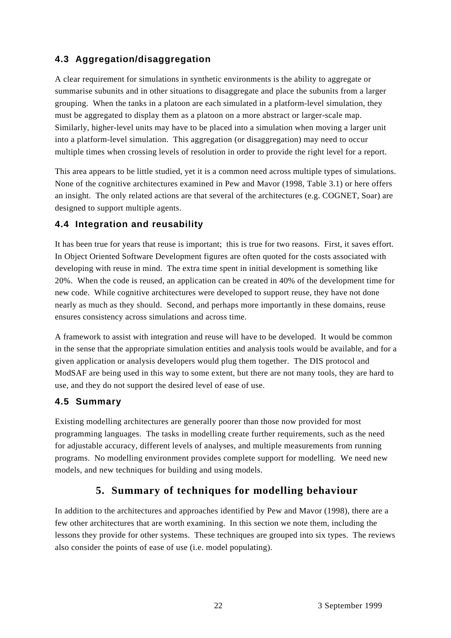## **4.3 Aggregation/disaggregation**

A clear requirement for simulations in synthetic environments is the ability to aggregate or summarise subunits and in other situations to disaggregate and place the subunits from a larger grouping. When the tanks in a platoon are each simulated in a platform-level simulation, they must be aggregated to display them as a platoon on a more abstract or larger-scale map. Similarly, higher-level units may have to be placed into a simulation when moving a larger unit into a platform-level simulation. This aggregation (or disaggregation) may need to occur multiple times when crossing levels of resolution in order to provide the right level for a report.

This area appears to be little studied, yet it is a common need across multiple types of simulations. None of the cognitive architectures examined in Pew and Mavor (1998, Table 3.1) or here offers an insight. The only related actions are that several of the architectures (e.g. COGNET, Soar) are designed to support multiple agents.

## **4.4 Integration and reusability**

It has been true for years that reuse is important; this is true for two reasons. First, it saves effort. In Object Oriented Software Development figures are often quoted for the costs associated with developing with reuse in mind. The extra time spent in initial development is something like 20%. When the code is reused, an application can be created in 40% of the development time for new code. While cognitive architectures were developed to support reuse, they have not done nearly as much as they should. Second, and perhaps more importantly in these domains, reuse ensures consistency across simulations and across time.

A framework to assist with integration and reuse will have to be developed. It would be common in the sense that the appropriate simulation entities and analysis tools would be available, and for a given application or analysis developers would plug them together. The DIS protocol and ModSAF are being used in this way to some extent, but there are not many tools, they are hard to use, and they do not support the desired level of ease of use.

#### **4.5 Summary**

Existing modelling architectures are generally poorer than those now provided for most programming languages. The tasks in modelling create further requirements, such as the need for adjustable accuracy, different levels of analyses, and multiple measurements from running programs. No modelling environment provides complete support for modelling. We need new models, and new techniques for building and using models.

# **5. Summary of techniques for modelling behaviour**

In addition to the architectures and approaches identified by Pew and Mavor (1998), there are a few other architectures that are worth examining. In this section we note them, including the lessons they provide for other systems. These techniques are grouped into six types. The reviews also consider the points of ease of use (i.e. model populating).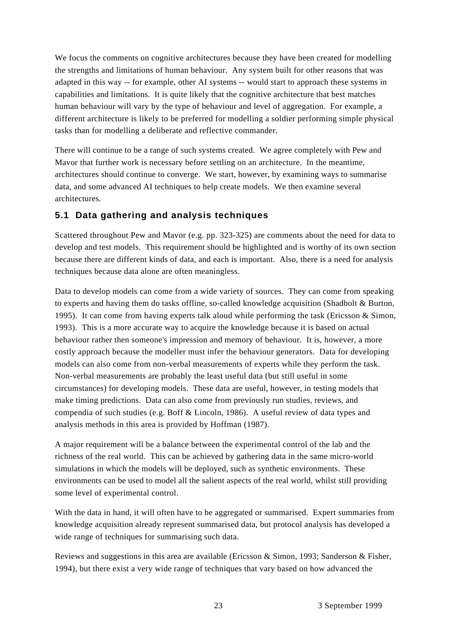We focus the comments on cognitive architectures because they have been created for modelling the strengths and limitations of human behaviour. Any system built for other reasons that was adapted in this way -- for example, other AI systems -- would start to approach these systems in capabilities and limitations. It is quite likely that the cognitive architecture that best matches human behaviour will vary by the type of behaviour and level of aggregation. For example, a different architecture is likely to be preferred for modelling a soldier performing simple physical tasks than for modelling a deliberate and reflective commander.

There will continue to be a range of such systems created. We agree completely with Pew and Mavor that further work is necessary before settling on an architecture. In the meantime, architectures should continue to converge. We start, however, by examining ways to summarise data, and some advanced AI techniques to help create models. We then examine several architectures.

#### **5.1 Data gathering and analysis techniques**

Scattered throughout Pew and Mavor (e.g. pp. 323-325) are comments about the need for data to develop and test models. This requirement should be highlighted and is worthy of its own section because there are different kinds of data, and each is important. Also, there is a need for analysis techniques because data alone are often meaningless.

Data to develop models can come from a wide variety of sources. They can come from speaking to experts and having them do tasks offline, so-called knowledge acquisition (Shadbolt & Burton, 1995). It can come from having experts talk aloud while performing the task (Ericsson & Simon, 1993). This is a more accurate way to acquire the knowledge because it is based on actual behaviour rather then someone's impression and memory of behaviour. It is, however, a more costly approach because the modeller must infer the behaviour generators. Data for developing models can also come from non-verbal measurements of experts while they perform the task. Non-verbal measurements are probably the least useful data (but still useful in some circumstances) for developing models. These data are useful, however, in testing models that make timing predictions. Data can also come from previously run studies, reviews, and compendia of such studies (e.g. Boff & Lincoln, 1986). A useful review of data types and analysis methods in this area is provided by Hoffman (1987).

A major requirement will be a balance between the experimental control of the lab and the richness of the real world. This can be achieved by gathering data in the same micro-world simulations in which the models will be deployed, such as synthetic environments. These environments can be used to model all the salient aspects of the real world, whilst still providing some level of experimental control.

With the data in hand, it will often have to be aggregated or summarised. Expert summaries from knowledge acquisition already represent summarised data, but protocol analysis has developed a wide range of techniques for summarising such data.

Reviews and suggestions in this area are available (Ericsson & Simon, 1993; Sanderson & Fisher, 1994), but there exist a very wide range of techniques that vary based on how advanced the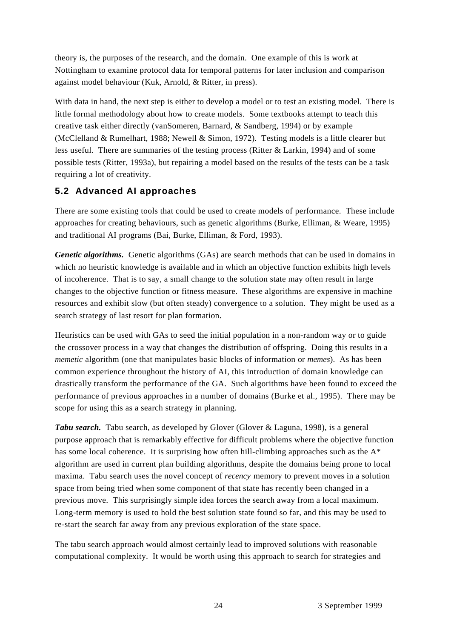theory is, the purposes of the research, and the domain. One example of this is work at Nottingham to examine protocol data for temporal patterns for later inclusion and comparison against model behaviour (Kuk, Arnold, & Ritter, in press).

With data in hand, the next step is either to develop a model or to test an existing model. There is little formal methodology about how to create models. Some textbooks attempt to teach this creative task either directly (vanSomeren, Barnard, & Sandberg, 1994) or by example (McClelland & Rumelhart, 1988; Newell & Simon, 1972). Testing models is a little clearer but less useful. There are summaries of the testing process (Ritter & Larkin, 1994) and of some possible tests (Ritter, 1993a), but repairing a model based on the results of the tests can be a task requiring a lot of creativity.

#### **5.2 Advanced AI approaches**

There are some existing tools that could be used to create models of performance. These include approaches for creating behaviours, such as genetic algorithms (Burke, Elliman, & Weare, 1995) and traditional AI programs (Bai, Burke, Elliman, & Ford, 1993).

*Genetic algorithms.* Genetic algorithms (GAs) are search methods that can be used in domains in which no heuristic knowledge is available and in which an objective function exhibits high levels of incoherence. That is to say, a small change to the solution state may often result in large changes to the objective function or fitness measure. These algorithms are expensive in machine resources and exhibit slow (but often steady) convergence to a solution. They might be used as a search strategy of last resort for plan formation.

Heuristics can be used with GAs to seed the initial population in a non-random way or to guide the crossover process in a way that changes the distribution of offspring. Doing this results in a *memetic* algorithm (one that manipulates basic blocks of information or *memes*). As has been common experience throughout the history of AI, this introduction of domain knowledge can drastically transform the performance of the GA. Such algorithms have been found to exceed the performance of previous approaches in a number of domains (Burke et al., 1995). There may be scope for using this as a search strategy in planning.

*Tabu search.* Tabu search, as developed by Glover (Glover & Laguna, 1998), is a general purpose approach that is remarkably effective for difficult problems where the objective function has some local coherence. It is surprising how often hill-climbing approaches such as the A<sup>\*</sup> algorithm are used in current plan building algorithms, despite the domains being prone to local maxima. Tabu search uses the novel concept of *recency* memory to prevent moves in a solution space from being tried when some component of that state has recently been changed in a previous move. This surprisingly simple idea forces the search away from a local maximum. Long-term memory is used to hold the best solution state found so far, and this may be used to re-start the search far away from any previous exploration of the state space.

The tabu search approach would almost certainly lead to improved solutions with reasonable computational complexity. It would be worth using this approach to search for strategies and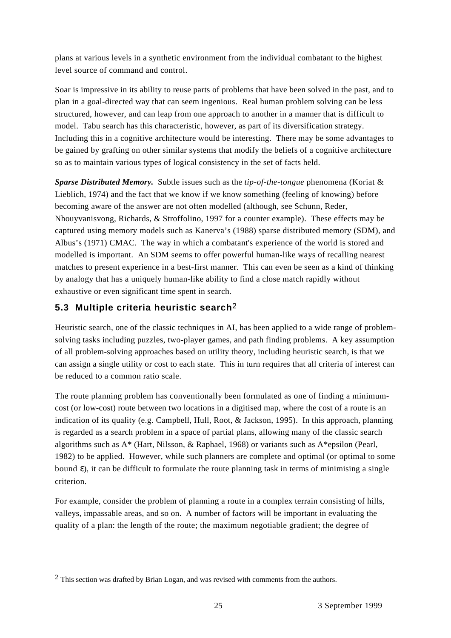plans at various levels in a synthetic environment from the individual combatant to the highest level source of command and control.

Soar is impressive in its ability to reuse parts of problems that have been solved in the past, and to plan in a goal-directed way that can seem ingenious. Real human problem solving can be less structured, however, and can leap from one approach to another in a manner that is difficult to model. Tabu search has this characteristic, however, as part of its diversification strategy. Including this in a cognitive architecture would be interesting. There may be some advantages to be gained by grafting on other similar systems that modify the beliefs of a cognitive architecture so as to maintain various types of logical consistency in the set of facts held.

*Sparse Distributed Memory.* Subtle issues such as the *tip-of-the-tongue* phenomena (Koriat & Lieblich, 1974) and the fact that we know if we know something (feeling of knowing) before becoming aware of the answer are not often modelled (although, see Schunn, Reder, Nhouyvanisvong, Richards, & Stroffolino, 1997 for a counter example). These effects may be captured using memory models such as Kanerva's (1988) sparse distributed memory (SDM), and Albus's (1971) CMAC. The way in which a combatant's experience of the world is stored and modelled is important. An SDM seems to offer powerful human-like ways of recalling nearest matches to present experience in a best-first manner. This can even be seen as a kind of thinking by analogy that has a uniquely human-like ability to find a close match rapidly without exhaustive or even significant time spent in search.

#### **5.3 Multiple criteria heuristic search**2

Heuristic search, one of the classic techniques in AI, has been applied to a wide range of problemsolving tasks including puzzles, two-player games, and path finding problems. A key assumption of all problem-solving approaches based on utility theory, including heuristic search, is that we can assign a single utility or cost to each state. This in turn requires that all criteria of interest can be reduced to a common ratio scale.

The route planning problem has conventionally been formulated as one of finding a minimumcost (or low-cost) route between two locations in a digitised map, where the cost of a route is an indication of its quality (e.g. Campbell, Hull, Root, & Jackson, 1995). In this approach, planning is regarded as a search problem in a space of partial plans, allowing many of the classic search algorithms such as A\* (Hart, Nilsson, & Raphael, 1968) or variants such as A\*epsilon (Pearl, 1982) to be applied. However, while such planners are complete and optimal (or optimal to some bound ), it can be difficult to formulate the route planning task in terms of minimising a single criterion.

For example, consider the problem of planning a route in a complex terrain consisting of hills, valleys, impassable areas, and so on. A number of factors will be important in evaluating the quality of a plan: the length of the route; the maximum negotiable gradient; the degree of

 $2$  This section was drafted by Brian Logan, and was revised with comments from the authors.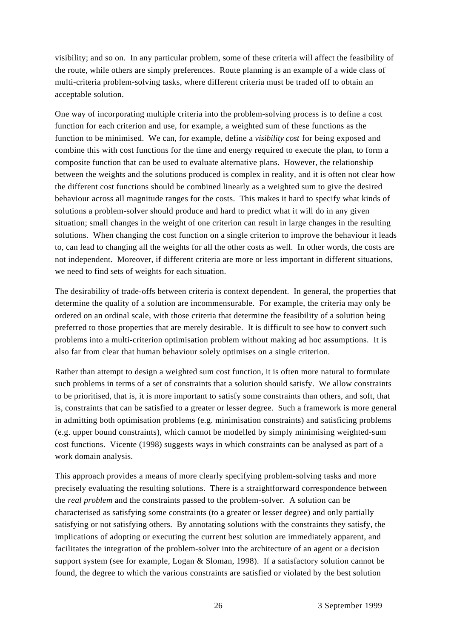visibility; and so on. In any particular problem, some of these criteria will affect the feasibility of the route, while others are simply preferences. Route planning is an example of a wide class of multi-criteria problem-solving tasks, where different criteria must be traded off to obtain an acceptable solution.

One way of incorporating multiple criteria into the problem-solving process is to define a cost function for each criterion and use, for example, a weighted sum of these functions as the function to be minimised. We can, for example, define a *visibility cost* for being exposed and combine this with cost functions for the time and energy required to execute the plan, to form a composite function that can be used to evaluate alternative plans. However, the relationship between the weights and the solutions produced is complex in reality, and it is often not clear how the different cost functions should be combined linearly as a weighted sum to give the desired behaviour across all magnitude ranges for the costs. This makes it hard to specify what kinds of solutions a problem-solver should produce and hard to predict what it will do in any given situation; small changes in the weight of one criterion can result in large changes in the resulting solutions. When changing the cost function on a single criterion to improve the behaviour it leads to, can lead to changing all the weights for all the other costs as well. In other words, the costs are not independent. Moreover, if different criteria are more or less important in different situations, we need to find sets of weights for each situation.

The desirability of trade-offs between criteria is context dependent. In general, the properties that determine the quality of a solution are incommensurable. For example, the criteria may only be ordered on an ordinal scale, with those criteria that determine the feasibility of a solution being preferred to those properties that are merely desirable. It is difficult to see how to convert such problems into a multi-criterion optimisation problem without making ad hoc assumptions. It is also far from clear that human behaviour solely optimises on a single criterion.

Rather than attempt to design a weighted sum cost function, it is often more natural to formulate such problems in terms of a set of constraints that a solution should satisfy. We allow constraints to be prioritised, that is, it is more important to satisfy some constraints than others, and soft, that is, constraints that can be satisfied to a greater or lesser degree. Such a framework is more general in admitting both optimisation problems (e.g. minimisation constraints) and satisficing problems (e.g. upper bound constraints), which cannot be modelled by simply minimising weighted-sum cost functions. Vicente (1998) suggests ways in which constraints can be analysed as part of a work domain analysis.

This approach provides a means of more clearly specifying problem-solving tasks and more precisely evaluating the resulting solutions. There is a straightforward correspondence between the *real problem* and the constraints passed to the problem-solver. A solution can be characterised as satisfying some constraints (to a greater or lesser degree) and only partially satisfying or not satisfying others. By annotating solutions with the constraints they satisfy, the implications of adopting or executing the current best solution are immediately apparent, and facilitates the integration of the problem-solver into the architecture of an agent or a decision support system (see for example, Logan & Sloman, 1998). If a satisfactory solution cannot be found, the degree to which the various constraints are satisfied or violated by the best solution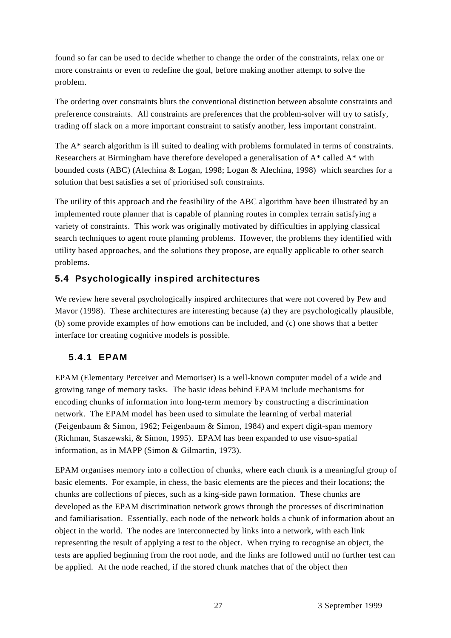found so far can be used to decide whether to change the order of the constraints, relax one or more constraints or even to redefine the goal, before making another attempt to solve the problem.

The ordering over constraints blurs the conventional distinction between absolute constraints and preference constraints. All constraints are preferences that the problem-solver will try to satisfy, trading off slack on a more important constraint to satisfy another, less important constraint.

The A<sup>\*</sup> search algorithm is ill suited to dealing with problems formulated in terms of constraints. Researchers at Birmingham have therefore developed a generalisation of A\* called A\* with bounded costs (ABC) (Alechina & Logan, 1998; Logan & Alechina, 1998) which searches for a solution that best satisfies a set of prioritised soft constraints.

The utility of this approach and the feasibility of the ABC algorithm have been illustrated by an implemented route planner that is capable of planning routes in complex terrain satisfying a variety of constraints. This work was originally motivated by difficulties in applying classical search techniques to agent route planning problems. However, the problems they identified with utility based approaches, and the solutions they propose, are equally applicable to other search problems.

## **5.4 Psychologically inspired architectures**

We review here several psychologically inspired architectures that were not covered by Pew and Mavor (1998). These architectures are interesting because (a) they are psychologically plausible, (b) some provide examples of how emotions can be included, and (c) one shows that a better interface for creating cognitive models is possible.

#### **5.4.1 EPAM**

EPAM (Elementary Perceiver and Memoriser) is a well-known computer model of a wide and growing range of memory tasks. The basic ideas behind EPAM include mechanisms for encoding chunks of information into long-term memory by constructing a discrimination network. The EPAM model has been used to simulate the learning of verbal material (Feigenbaum & Simon, 1962; Feigenbaum & Simon, 1984) and expert digit-span memory (Richman, Staszewski, & Simon, 1995). EPAM has been expanded to use visuo-spatial information, as in MAPP (Simon & Gilmartin, 1973).

EPAM organises memory into a collection of chunks, where each chunk is a meaningful group of basic elements. For example, in chess, the basic elements are the pieces and their locations; the chunks are collections of pieces, such as a king-side pawn formation. These chunks are developed as the EPAM discrimination network grows through the processes of discrimination and familiarisation. Essentially, each node of the network holds a chunk of information about an object in the world. The nodes are interconnected by links into a network, with each link representing the result of applying a test to the object. When trying to recognise an object, the tests are applied beginning from the root node, and the links are followed until no further test can be applied. At the node reached, if the stored chunk matches that of the object then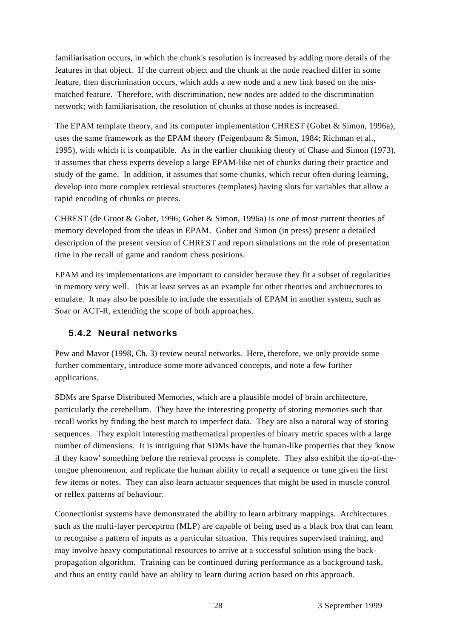familiarisation occurs, in which the chunk's resolution is increased by adding more details of the features in that object. If the current object and the chunk at the node reached differ in some feature, then discrimination occurs, which adds a new node and a new link based on the mismatched feature. Therefore, with discrimination, new nodes are added to the discrimination network; with familiarisation, the resolution of chunks at those nodes is increased.

The EPAM template theory, and its computer implementation CHREST (Gobet & Simon, 1996a), uses the same framework as the EPAM theory (Feigenbaum & Simon, 1984; Richman et al., 1995), with which it is compatible. As in the earlier chunking theory of Chase and Simon (1973), it assumes that chess experts develop a large EPAM-like net of chunks during their practice and study of the game. In addition, it assumes that some chunks, which recur often during learning, develop into more complex retrieval structures (templates) having slots for variables that allow a rapid encoding of chunks or pieces.

CHREST (de Groot & Gobet, 1996; Gobet & Simon, 1996a) is one of most current theories of memory developed from the ideas in EPAM. Gobet and Simon (in press) present a detailed description of the present version of CHREST and report simulations on the role of presentation time in the recall of game and random chess positions.

EPAM and its implementations are important to consider because they fit a subset of regularities in memory very well. This at least serves as an example for other theories and architectures to emulate. It may also be possible to include the essentials of EPAM in another system, such as Soar or ACT-R, extending the scope of both approaches.

#### **5.4.2 Neural networks**

Pew and Mavor (1998, Ch. 3) review neural networks. Here, therefore, we only provide some further commentary, introduce some more advanced concepts, and note a few further applications.

SDMs are Sparse Distributed Memories, which are a plausible model of brain architecture, particularly the cerebellum. They have the interesting property of storing memories such that recall works by finding the best match to imperfect data. They are also a natural way of storing sequences. They exploit interesting mathematical properties of binary metric spaces with a large number of dimensions. It is intriguing that SDMs have the human-like properties that they 'know if they know' something before the retrieval process is complete. They also exhibit the tip-of-thetongue phenomenon, and replicate the human ability to recall a sequence or tune given the first few items or notes. They can also learn actuator sequences that might be used in muscle control or reflex patterns of behaviour.

Connectionist systems have demonstrated the ability to learn arbitrary mappings. Architectures such as the multi-layer perceptron (MLP) are capable of being used as a black box that can learn to recognise a pattern of inputs as a particular situation. This requires supervised training, and may involve heavy computational resources to arrive at a successful solution using the backpropagation algorithm. Training can be continued during performance as a background task, and thus an entity could have an ability to learn during action based on this approach.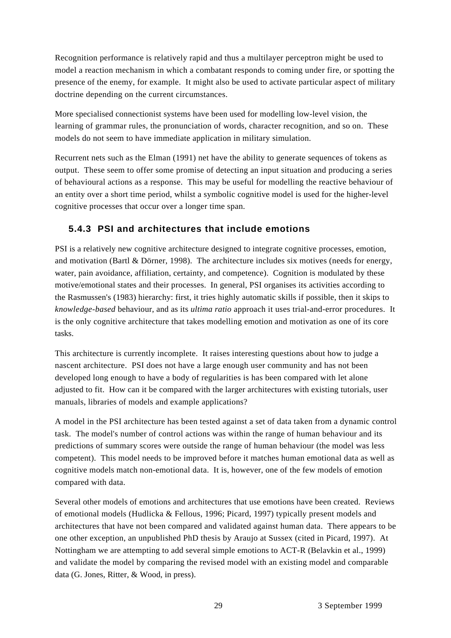Recognition performance is relatively rapid and thus a multilayer perceptron might be used to model a reaction mechanism in which a combatant responds to coming under fire, or spotting the presence of the enemy, for example. It might also be used to activate particular aspect of military doctrine depending on the current circumstances.

More specialised connectionist systems have been used for modelling low-level vision, the learning of grammar rules, the pronunciation of words, character recognition, and so on. These models do not seem to have immediate application in military simulation.

Recurrent nets such as the Elman (1991) net have the ability to generate sequences of tokens as output. These seem to offer some promise of detecting an input situation and producing a series of behavioural actions as a response. This may be useful for modelling the reactive behaviour of an entity over a short time period, whilst a symbolic cognitive model is used for the higher-level cognitive processes that occur over a longer time span.

#### **5.4.3 PSI and architectures that include emotions**

PSI is a relatively new cognitive architecture designed to integrate cognitive processes, emotion, and motivation (Bartl & Dörner, 1998). The architecture includes six motives (needs for energy, water, pain avoidance, affiliation, certainty, and competence). Cognition is modulated by these motive/emotional states and their processes. In general, PSI organises its activities according to the Rasmussen's (1983) hierarchy: first, it tries highly automatic skills if possible, then it skips to *knowledge-based* behaviour, and as its *ultima ratio* approach it uses trial-and-error procedures. It is the only cognitive architecture that takes modelling emotion and motivation as one of its core tasks.

This architecture is currently incomplete. It raises interesting questions about how to judge a nascent architecture. PSI does not have a large enough user community and has not been developed long enough to have a body of regularities is has been compared with let alone adjusted to fit. How can it be compared with the larger architectures with existing tutorials, user manuals, libraries of models and example applications?

A model in the PSI architecture has been tested against a set of data taken from a dynamic control task. The model's number of control actions was within the range of human behaviour and its predictions of summary scores were outside the range of human behaviour (the model was less competent). This model needs to be improved before it matches human emotional data as well as cognitive models match non-emotional data. It is, however, one of the few models of emotion compared with data.

Several other models of emotions and architectures that use emotions have been created. Reviews of emotional models (Hudlicka & Fellous, 1996; Picard, 1997) typically present models and architectures that have not been compared and validated against human data. There appears to be one other exception, an unpublished PhD thesis by Araujo at Sussex (cited in Picard, 1997). At Nottingham we are attempting to add several simple emotions to ACT-R (Belavkin et al., 1999) and validate the model by comparing the revised model with an existing model and comparable data (G. Jones, Ritter, & Wood, in press).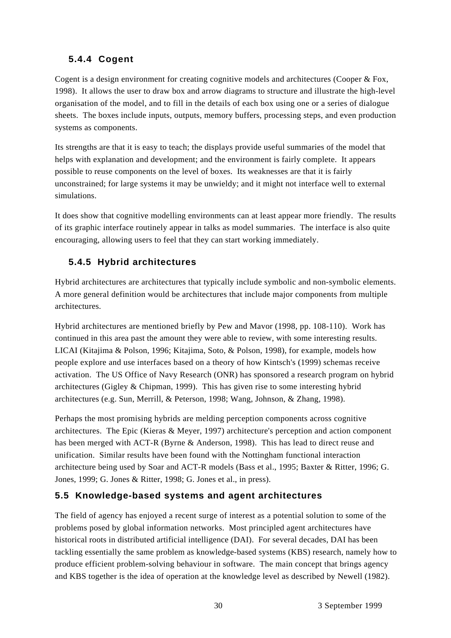# **5.4.4 Cogent**

Cogent is a design environment for creating cognitive models and architectures (Cooper & Fox, 1998). It allows the user to draw box and arrow diagrams to structure and illustrate the high-level organisation of the model, and to fill in the details of each box using one or a series of dialogue sheets. The boxes include inputs, outputs, memory buffers, processing steps, and even production systems as components.

Its strengths are that it is easy to teach; the displays provide useful summaries of the model that helps with explanation and development; and the environment is fairly complete. It appears possible to reuse components on the level of boxes. Its weaknesses are that it is fairly unconstrained; for large systems it may be unwieldy; and it might not interface well to external simulations.

It does show that cognitive modelling environments can at least appear more friendly. The results of its graphic interface routinely appear in talks as model summaries. The interface is also quite encouraging, allowing users to feel that they can start working immediately.

# **5.4.5 Hybrid architectures**

Hybrid architectures are architectures that typically include symbolic and non-symbolic elements. A more general definition would be architectures that include major components from multiple architectures.

Hybrid architectures are mentioned briefly by Pew and Mavor (1998, pp. 108-110). Work has continued in this area past the amount they were able to review, with some interesting results. LICAI (Kitajima & Polson, 1996; Kitajima, Soto, & Polson, 1998), for example, models how people explore and use interfaces based on a theory of how Kintsch's (1999) schemas receive activation. The US Office of Navy Research (ONR) has sponsored a research program on hybrid architectures (Gigley & Chipman, 1999). This has given rise to some interesting hybrid architectures (e.g. Sun, Merrill, & Peterson, 1998; Wang, Johnson, & Zhang, 1998).

Perhaps the most promising hybrids are melding perception components across cognitive architectures. The Epic (Kieras & Meyer, 1997) architecture's perception and action component has been merged with ACT-R (Byrne & Anderson, 1998). This has lead to direct reuse and unification. Similar results have been found with the Nottingham functional interaction architecture being used by Soar and ACT-R models (Bass et al., 1995; Baxter & Ritter, 1996; G. Jones, 1999; G. Jones & Ritter, 1998; G. Jones et al., in press).

## **5.5 Knowledge-based systems and agent architectures**

The field of agency has enjoyed a recent surge of interest as a potential solution to some of the problems posed by global information networks. Most principled agent architectures have historical roots in distributed artificial intelligence (DAI). For several decades, DAI has been tackling essentially the same problem as knowledge-based systems (KBS) research, namely how to produce efficient problem-solving behaviour in software. The main concept that brings agency and KBS together is the idea of operation at the knowledge level as described by Newell (1982).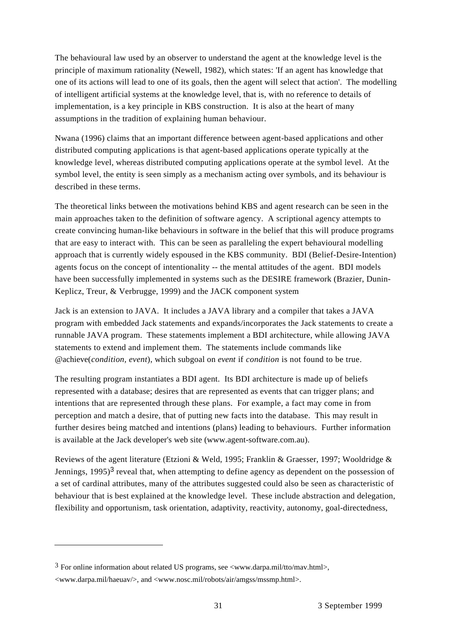The behavioural law used by an observer to understand the agent at the knowledge level is the principle of maximum rationality (Newell, 1982), which states: 'If an agent has knowledge that one of its actions will lead to one of its goals, then the agent will select that action'. The modelling of intelligent artificial systems at the knowledge level, that is, with no reference to details of implementation, is a key principle in KBS construction. It is also at the heart of many assumptions in the tradition of explaining human behaviour.

Nwana (1996) claims that an important difference between agent-based applications and other distributed computing applications is that agent-based applications operate typically at the knowledge level, whereas distributed computing applications operate at the symbol level. At the symbol level, the entity is seen simply as a mechanism acting over symbols, and its behaviour is described in these terms.

The theoretical links between the motivations behind KBS and agent research can be seen in the main approaches taken to the definition of software agency. A scriptional agency attempts to create convincing human-like behaviours in software in the belief that this will produce programs that are easy to interact with. This can be seen as paralleling the expert behavioural modelling approach that is currently widely espoused in the KBS community. BDI (Belief-Desire-Intention) agents focus on the concept of intentionality -- the mental attitudes of the agent. BDI models have been successfully implemented in systems such as the DESIRE framework (Brazier, Dunin-Keplicz, Treur, & Verbrugge, 1999) and the JACK component system

Jack is an extension to JAVA. It includes a JAVA library and a compiler that takes a JAVA program with embedded Jack statements and expands/incorporates the Jack statements to create a runnable JAVA program. These statements implement a BDI architecture, while allowing JAVA statements to extend and implement them. The statements include commands like @achieve(*condition, event*), which subgoal on *event* if *condition* is not found to be true.

The resulting program instantiates a BDI agent. Its BDI architecture is made up of beliefs represented with a database; desires that are represented as events that can trigger plans; and intentions that are represented through these plans. For example, a fact may come in from perception and match a desire, that of putting new facts into the database. This may result in further desires being matched and intentions (plans) leading to behaviours. Further information is available at the Jack developer's web site (www.agent-software.com.au).

Reviews of the agent literature (Etzioni & Weld, 1995; Franklin & Graesser, 1997; Wooldridge & Jennings,  $1995$ <sup>3</sup> reveal that, when attempting to define agency as dependent on the possession of a set of cardinal attributes, many of the attributes suggested could also be seen as characteristic of behaviour that is best explained at the knowledge level. These include abstraction and delegation, flexibility and opportunism, task orientation, adaptivity, reactivity, autonomy, goal-directedness,

 $3$  For online information about related US programs, see <www.darpa.mil/tto/mav.html>, <www.darpa.mil/haeuav/>, and <www.nosc.mil/robots/air/amgss/mssmp.html>.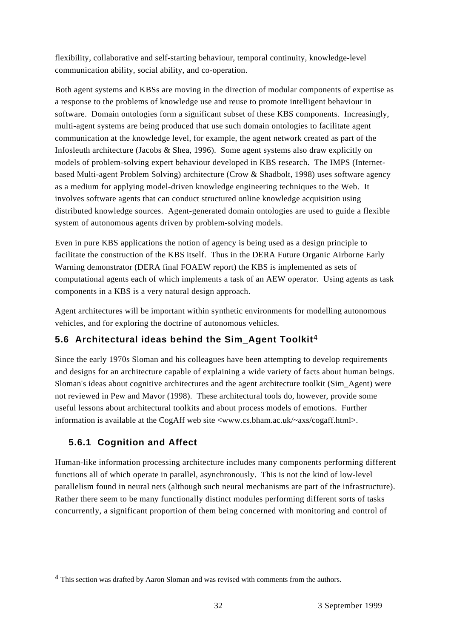flexibility, collaborative and self-starting behaviour, temporal continuity, knowledge-level communication ability, social ability, and co-operation.

Both agent systems and KBSs are moving in the direction of modular components of expertise as a response to the problems of knowledge use and reuse to promote intelligent behaviour in software. Domain ontologies form a significant subset of these KBS components. Increasingly, multi-agent systems are being produced that use such domain ontologies to facilitate agent communication at the knowledge level, for example, the agent network created as part of the Infosleuth architecture (Jacobs & Shea, 1996). Some agent systems also draw explicitly on models of problem-solving expert behaviour developed in KBS research. The IMPS (Internetbased Multi-agent Problem Solving) architecture (Crow & Shadbolt, 1998) uses software agency as a medium for applying model-driven knowledge engineering techniques to the Web. It involves software agents that can conduct structured online knowledge acquisition using distributed knowledge sources. Agent-generated domain ontologies are used to guide a flexible system of autonomous agents driven by problem-solving models.

Even in pure KBS applications the notion of agency is being used as a design principle to facilitate the construction of the KBS itself. Thus in the DERA Future Organic Airborne Early Warning demonstrator (DERA final FOAEW report) the KBS is implemented as sets of computational agents each of which implements a task of an AEW operator. Using agents as task components in a KBS is a very natural design approach.

Agent architectures will be important within synthetic environments for modelling autonomous vehicles, and for exploring the doctrine of autonomous vehicles.

# **5.6 Architectural ideas behind the Sim\_Agent Toolkit**4

Since the early 1970s Sloman and his colleagues have been attempting to develop requirements and designs for an architecture capable of explaining a wide variety of facts about human beings. Sloman's ideas about cognitive architectures and the agent architecture toolkit (Sim\_Agent) were not reviewed in Pew and Mavor (1998). These architectural tools do, however, provide some useful lessons about architectural toolkits and about process models of emotions. Further information is available at the CogAff web site <www.cs.bham.ac.uk/~axs/cogaff.html>.

# **5.6.1 Cognition and Affect**

Human-like information processing architecture includes many components performing different functions all of which operate in parallel, asynchronously. This is not the kind of low-level parallelism found in neural nets (although such neural mechanisms are part of the infrastructure). Rather there seem to be many functionally distinct modules performing different sorts of tasks concurrently, a significant proportion of them being concerned with monitoring and control of

<sup>4</sup> This section was drafted by Aaron Sloman and was revised with comments from the authors.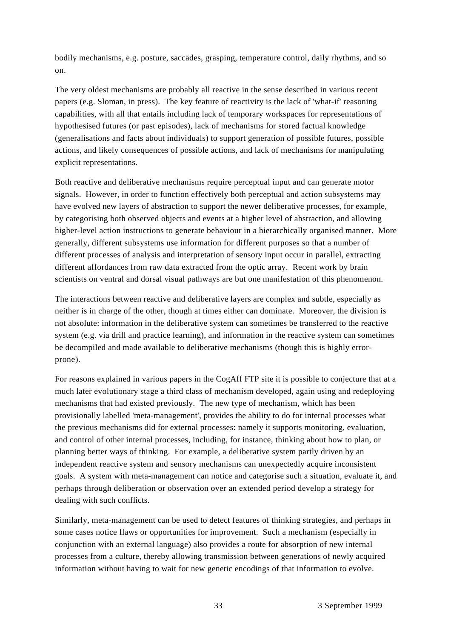bodily mechanisms, e.g. posture, saccades, grasping, temperature control, daily rhythms, and so on.

The very oldest mechanisms are probably all reactive in the sense described in various recent papers (e.g. Sloman, in press). The key feature of reactivity is the lack of 'what-if' reasoning capabilities, with all that entails including lack of temporary workspaces for representations of hypothesised futures (or past episodes), lack of mechanisms for stored factual knowledge (generalisations and facts about individuals) to support generation of possible futures, possible actions, and likely consequences of possible actions, and lack of mechanisms for manipulating explicit representations.

Both reactive and deliberative mechanisms require perceptual input and can generate motor signals. However, in order to function effectively both perceptual and action subsystems may have evolved new layers of abstraction to support the newer deliberative processes, for example, by categorising both observed objects and events at a higher level of abstraction, and allowing higher-level action instructions to generate behaviour in a hierarchically organised manner. More generally, different subsystems use information for different purposes so that a number of different processes of analysis and interpretation of sensory input occur in parallel, extracting different affordances from raw data extracted from the optic array. Recent work by brain scientists on ventral and dorsal visual pathways are but one manifestation of this phenomenon.

The interactions between reactive and deliberative layers are complex and subtle, especially as neither is in charge of the other, though at times either can dominate. Moreover, the division is not absolute: information in the deliberative system can sometimes be transferred to the reactive system (e.g. via drill and practice learning), and information in the reactive system can sometimes be decompiled and made available to deliberative mechanisms (though this is highly errorprone).

For reasons explained in various papers in the CogAff FTP site it is possible to conjecture that at a much later evolutionary stage a third class of mechanism developed, again using and redeploying mechanisms that had existed previously. The new type of mechanism, which has been provisionally labelled 'meta-management', provides the ability to do for internal processes what the previous mechanisms did for external processes: namely it supports monitoring, evaluation, and control of other internal processes, including, for instance, thinking about how to plan, or planning better ways of thinking. For example, a deliberative system partly driven by an independent reactive system and sensory mechanisms can unexpectedly acquire inconsistent goals. A system with meta-management can notice and categorise such a situation, evaluate it, and perhaps through deliberation or observation over an extended period develop a strategy for dealing with such conflicts.

Similarly, meta-management can be used to detect features of thinking strategies, and perhaps in some cases notice flaws or opportunities for improvement. Such a mechanism (especially in conjunction with an external language) also provides a route for absorption of new internal processes from a culture, thereby allowing transmission between generations of newly acquired information without having to wait for new genetic encodings of that information to evolve.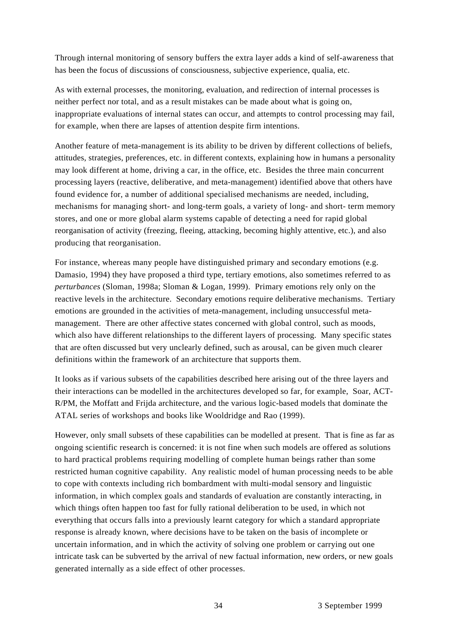Through internal monitoring of sensory buffers the extra layer adds a kind of self-awareness that has been the focus of discussions of consciousness, subjective experience, qualia, etc.

As with external processes, the monitoring, evaluation, and redirection of internal processes is neither perfect nor total, and as a result mistakes can be made about what is going on, inappropriate evaluations of internal states can occur, and attempts to control processing may fail, for example, when there are lapses of attention despite firm intentions.

Another feature of meta-management is its ability to be driven by different collections of beliefs, attitudes, strategies, preferences, etc. in different contexts, explaining how in humans a personality may look different at home, driving a car, in the office, etc. Besides the three main concurrent processing layers (reactive, deliberative, and meta-management) identified above that others have found evidence for, a number of additional specialised mechanisms are needed, including, mechanisms for managing short- and long-term goals, a variety of long- and short- term memory stores, and one or more global alarm systems capable of detecting a need for rapid global reorganisation of activity (freezing, fleeing, attacking, becoming highly attentive, etc.), and also producing that reorganisation.

For instance, whereas many people have distinguished primary and secondary emotions (e.g. Damasio, 1994) they have proposed a third type, tertiary emotions, also sometimes referred to as *perturbances* (Sloman, 1998a; Sloman & Logan, 1999). Primary emotions rely only on the reactive levels in the architecture. Secondary emotions require deliberative mechanisms. Tertiary emotions are grounded in the activities of meta-management, including unsuccessful metamanagement. There are other affective states concerned with global control, such as moods, which also have different relationships to the different layers of processing. Many specific states that are often discussed but very unclearly defined, such as arousal, can be given much clearer definitions within the framework of an architecture that supports them.

It looks as if various subsets of the capabilities described here arising out of the three layers and their interactions can be modelled in the architectures developed so far, for example, Soar, ACT-R/PM, the Moffatt and Frijda architecture, and the various logic-based models that dominate the ATAL series of workshops and books like Wooldridge and Rao (1999).

However, only small subsets of these capabilities can be modelled at present. That is fine as far as ongoing scientific research is concerned: it is not fine when such models are offered as solutions to hard practical problems requiring modelling of complete human beings rather than some restricted human cognitive capability. Any realistic model of human processing needs to be able to cope with contexts including rich bombardment with multi-modal sensory and linguistic information, in which complex goals and standards of evaluation are constantly interacting, in which things often happen too fast for fully rational deliberation to be used, in which not everything that occurs falls into a previously learnt category for which a standard appropriate response is already known, where decisions have to be taken on the basis of incomplete or uncertain information, and in which the activity of solving one problem or carrying out one intricate task can be subverted by the arrival of new factual information, new orders, or new goals generated internally as a side effect of other processes.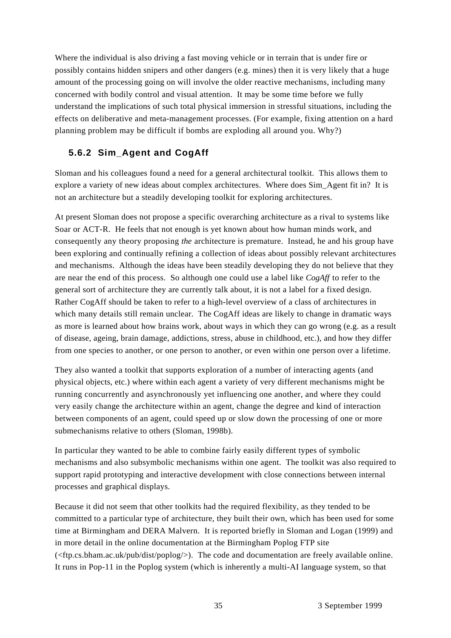Where the individual is also driving a fast moving vehicle or in terrain that is under fire or possibly contains hidden snipers and other dangers (e.g. mines) then it is very likely that a huge amount of the processing going on will involve the older reactive mechanisms, including many concerned with bodily control and visual attention. It may be some time before we fully understand the implications of such total physical immersion in stressful situations, including the effects on deliberative and meta-management processes. (For example, fixing attention on a hard planning problem may be difficult if bombs are exploding all around you. Why?)

#### **5.6.2 Sim\_Agent and CogAff**

Sloman and his colleagues found a need for a general architectural toolkit. This allows them to explore a variety of new ideas about complex architectures. Where does Sim\_Agent fit in? It is not an architecture but a steadily developing toolkit for exploring architectures.

At present Sloman does not propose a specific overarching architecture as a rival to systems like Soar or ACT-R. He feels that not enough is yet known about how human minds work, and consequently any theory proposing *the* architecture is premature. Instead, he and his group have been exploring and continually refining a collection of ideas about possibly relevant architectures and mechanisms. Although the ideas have been steadily developing they do not believe that they are near the end of this process. So although one could use a label like *CogAff* to refer to the general sort of architecture they are currently talk about, it is not a label for a fixed design. Rather CogAff should be taken to refer to a high-level overview of a class of architectures in which many details still remain unclear. The CogAff ideas are likely to change in dramatic ways as more is learned about how brains work, about ways in which they can go wrong (e.g. as a result of disease, ageing, brain damage, addictions, stress, abuse in childhood, etc.), and how they differ from one species to another, or one person to another, or even within one person over a lifetime.

They also wanted a toolkit that supports exploration of a number of interacting agents (and physical objects, etc.) where within each agent a variety of very different mechanisms might be running concurrently and asynchronously yet influencing one another, and where they could very easily change the architecture within an agent, change the degree and kind of interaction between components of an agent, could speed up or slow down the processing of one or more submechanisms relative to others (Sloman, 1998b).

In particular they wanted to be able to combine fairly easily different types of symbolic mechanisms and also subsymbolic mechanisms within one agent. The toolkit was also required to support rapid prototyping and interactive development with close connections between internal processes and graphical displays.

Because it did not seem that other toolkits had the required flexibility, as they tended to be committed to a particular type of architecture, they built their own, which has been used for some time at Birmingham and DERA Malvern. It is reported briefly in Sloman and Logan (1999) and in more detail in the online documentation at the Birmingham Poplog FTP site  $\langle \langle \langle \langle ftp.cs.bham.ac.uk/pub/dist/poplog \rangle \rangle$ . The code and documentation are freely available online. It runs in Pop-11 in the Poplog system (which is inherently a multi-AI language system, so that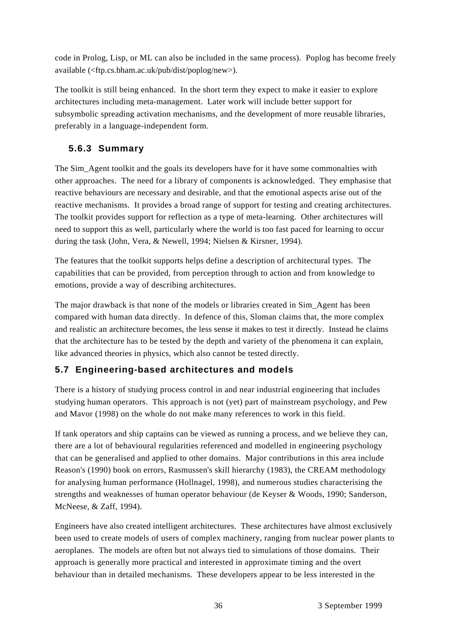code in Prolog, Lisp, or ML can also be included in the same process). Poplog has become freely available (<ftp.cs.bham.ac.uk/pub/dist/poplog/new>).

The toolkit is still being enhanced. In the short term they expect to make it easier to explore architectures including meta-management. Later work will include better support for subsymbolic spreading activation mechanisms, and the development of more reusable libraries, preferably in a language-independent form.

# **5.6.3 Summary**

The Sim Agent toolkit and the goals its developers have for it have some commonalties with other approaches. The need for a library of components is acknowledged. They emphasise that reactive behaviours are necessary and desirable, and that the emotional aspects arise out of the reactive mechanisms. It provides a broad range of support for testing and creating architectures. The toolkit provides support for reflection as a type of meta-learning. Other architectures will need to support this as well, particularly where the world is too fast paced for learning to occur during the task (John, Vera, & Newell, 1994; Nielsen & Kirsner, 1994).

The features that the toolkit supports helps define a description of architectural types. The capabilities that can be provided, from perception through to action and from knowledge to emotions, provide a way of describing architectures.

The major drawback is that none of the models or libraries created in Sim\_Agent has been compared with human data directly. In defence of this, Sloman claims that, the more complex and realistic an architecture becomes, the less sense it makes to test it directly. Instead he claims that the architecture has to be tested by the depth and variety of the phenomena it can explain, like advanced theories in physics, which also cannot be tested directly.

#### **5.7 Engineering-based architectures and models**

There is a history of studying process control in and near industrial engineering that includes studying human operators. This approach is not (yet) part of mainstream psychology, and Pew and Mavor (1998) on the whole do not make many references to work in this field.

If tank operators and ship captains can be viewed as running a process, and we believe they can, there are a lot of behavioural regularities referenced and modelled in engineering psychology that can be generalised and applied to other domains. Major contributions in this area include Reason's (1990) book on errors, Rasmussen's skill hierarchy (1983), the CREAM methodology for analysing human performance (Hollnagel, 1998), and numerous studies characterising the strengths and weaknesses of human operator behaviour (de Keyser & Woods, 1990; Sanderson, McNeese, & Zaff, 1994).

Engineers have also created intelligent architectures. These architectures have almost exclusively been used to create models of users of complex machinery, ranging from nuclear power plants to aeroplanes. The models are often but not always tied to simulations of those domains. Their approach is generally more practical and interested in approximate timing and the overt behaviour than in detailed mechanisms. These developers appear to be less interested in the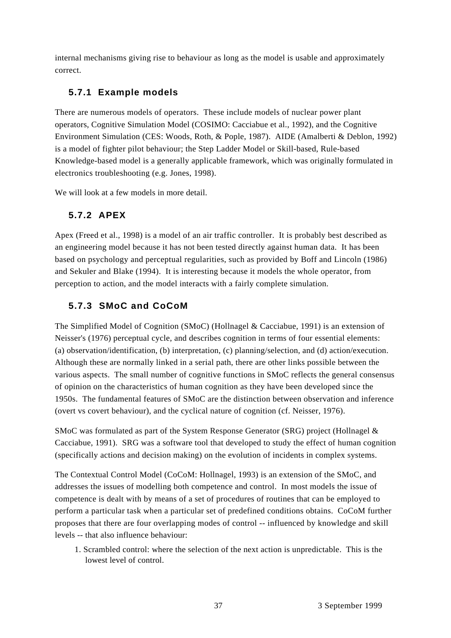internal mechanisms giving rise to behaviour as long as the model is usable and approximately correct.

# **5.7.1 Example models**

There are numerous models of operators. These include models of nuclear power plant operators, Cognitive Simulation Model (COSIMO: Cacciabue et al., 1992), and the Cognitive Environment Simulation (CES: Woods, Roth, & Pople, 1987). AIDE (Amalberti & Deblon, 1992) is a model of fighter pilot behaviour; the Step Ladder Model or Skill-based, Rule-based Knowledge-based model is a generally applicable framework, which was originally formulated in electronics troubleshooting (e.g. Jones, 1998).

We will look at a few models in more detail.

# **5.7.2 APEX**

Apex (Freed et al., 1998) is a model of an air traffic controller. It is probably best described as an engineering model because it has not been tested directly against human data. It has been based on psychology and perceptual regularities, such as provided by Boff and Lincoln (1986) and Sekuler and Blake (1994). It is interesting because it models the whole operator, from perception to action, and the model interacts with a fairly complete simulation.

# **5.7.3 SMoC and CoCoM**

The Simplified Model of Cognition (SMoC) (Hollnagel & Cacciabue, 1991) is an extension of Neisser's (1976) perceptual cycle, and describes cognition in terms of four essential elements: (a) observation/identification, (b) interpretation, (c) planning/selection, and (d) action/execution. Although these are normally linked in a serial path, there are other links possible between the various aspects. The small number of cognitive functions in SMoC reflects the general consensus of opinion on the characteristics of human cognition as they have been developed since the 1950s. The fundamental features of SMoC are the distinction between observation and inference (overt vs covert behaviour), and the cyclical nature of cognition (cf. Neisser, 1976).

SMoC was formulated as part of the System Response Generator (SRG) project (Hollnagel & Cacciabue, 1991). SRG was a software tool that developed to study the effect of human cognition (specifically actions and decision making) on the evolution of incidents in complex systems.

The Contextual Control Model (CoCoM: Hollnagel, 1993) is an extension of the SMoC, and addresses the issues of modelling both competence and control. In most models the issue of competence is dealt with by means of a set of procedures of routines that can be employed to perform a particular task when a particular set of predefined conditions obtains. CoCoM further proposes that there are four overlapping modes of control -- influenced by knowledge and skill levels -- that also influence behaviour:

1. Scrambled control: where the selection of the next action is unpredictable. This is the lowest level of control.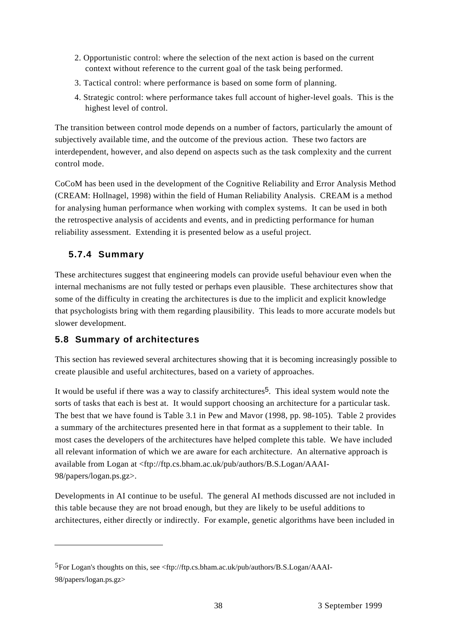- 2. Opportunistic control: where the selection of the next action is based on the current context without reference to the current goal of the task being performed.
- 3. Tactical control: where performance is based on some form of planning.
- 4. Strategic control: where performance takes full account of higher-level goals. This is the highest level of control.

The transition between control mode depends on a number of factors, particularly the amount of subjectively available time, and the outcome of the previous action. These two factors are interdependent, however, and also depend on aspects such as the task complexity and the current control mode.

CoCoM has been used in the development of the Cognitive Reliability and Error Analysis Method (CREAM: Hollnagel, 1998) within the field of Human Reliability Analysis. CREAM is a method for analysing human performance when working with complex systems. It can be used in both the retrospective analysis of accidents and events, and in predicting performance for human reliability assessment. Extending it is presented below as a useful project.

# **5.7.4 Summary**

These architectures suggest that engineering models can provide useful behaviour even when the internal mechanisms are not fully tested or perhaps even plausible. These architectures show that some of the difficulty in creating the architectures is due to the implicit and explicit knowledge that psychologists bring with them regarding plausibility. This leads to more accurate models but slower development.

# **5.8 Summary of architectures**

This section has reviewed several architectures showing that it is becoming increasingly possible to create plausible and useful architectures, based on a variety of approaches.

It would be useful if there was a way to classify architectures<sup>5</sup>. This ideal system would note the sorts of tasks that each is best at. It would support choosing an architecture for a particular task. The best that we have found is Table 3.1 in Pew and Mavor (1998, pp. 98-105). Table 2 provides a summary of the architectures presented here in that format as a supplement to their table. In most cases the developers of the architectures have helped complete this table. We have included all relevant information of which we are aware for each architecture. An alternative approach is available from Logan at <ftp://ftp.cs.bham.ac.uk/pub/authors/B.S.Logan/AAAI-98/papers/logan.ps.gz>.

Developments in AI continue to be useful. The general AI methods discussed are not included in this table because they are not broad enough, but they are likely to be useful additions to architectures, either directly or indirectly. For example, genetic algorithms have been included in

<sup>5</sup>For Logan's thoughts on this, see <ftp://ftp.cs.bham.ac.uk/pub/authors/B.S.Logan/AAAI-98/papers/logan.ps.gz>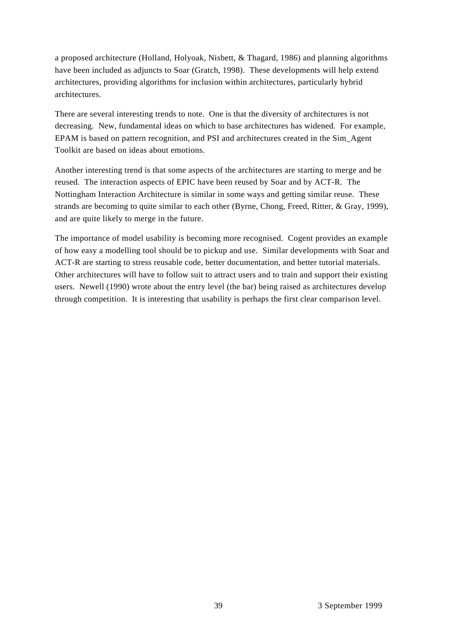a proposed architecture (Holland, Holyoak, Nisbett, & Thagard, 1986) and planning algorithms have been included as adjuncts to Soar (Gratch, 1998). These developments will help extend architectures, providing algorithms for inclusion within architectures, particularly hybrid architectures.

There are several interesting trends to note. One is that the diversity of architectures is not decreasing. New, fundamental ideas on which to base architectures has widened. For example, EPAM is based on pattern recognition, and PSI and architectures created in the Sim\_Agent Toolkit are based on ideas about emotions.

Another interesting trend is that some aspects of the architectures are starting to merge and be reused. The interaction aspects of EPIC have been reused by Soar and by ACT-R. The Nottingham Interaction Architecture is similar in some ways and getting similar reuse. These strands are becoming to quite similar to each other (Byrne, Chong, Freed, Ritter, & Gray, 1999), and are quite likely to merge in the future.

The importance of model usability is becoming more recognised. Cogent provides an example of how easy a modelling tool should be to pickup and use. Similar developments with Soar and ACT-R are starting to stress reusable code, better documentation, and better tutorial materials. Other architectures will have to follow suit to attract users and to train and support their existing users. Newell (1990) wrote about the entry level (the bar) being raised as architectures develop through competition. It is interesting that usability is perhaps the first clear comparison level.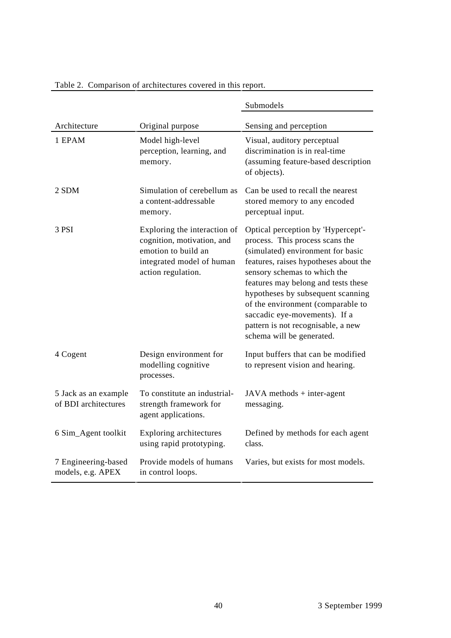|                                              |                                                                                                                                      | Submodels                                                                                                                                                                                                                                                                                                                                                                                                |
|----------------------------------------------|--------------------------------------------------------------------------------------------------------------------------------------|----------------------------------------------------------------------------------------------------------------------------------------------------------------------------------------------------------------------------------------------------------------------------------------------------------------------------------------------------------------------------------------------------------|
| Architecture                                 | Original purpose                                                                                                                     | Sensing and perception                                                                                                                                                                                                                                                                                                                                                                                   |
| 1 EPAM                                       | Model high-level<br>perception, learning, and<br>memory.                                                                             | Visual, auditory perceptual<br>discrimination is in real-time<br>(assuming feature-based description<br>of objects).                                                                                                                                                                                                                                                                                     |
| 2 SDM                                        | Simulation of cerebellum as<br>a content-addressable<br>memory.                                                                      | Can be used to recall the nearest<br>stored memory to any encoded<br>perceptual input.                                                                                                                                                                                                                                                                                                                   |
| 3 PSI                                        | Exploring the interaction of<br>cognition, motivation, and<br>emotion to build an<br>integrated model of human<br>action regulation. | Optical perception by 'Hypercept'-<br>process. This process scans the<br>(simulated) environment for basic<br>features, raises hypotheses about the<br>sensory schemas to which the<br>features may belong and tests these<br>hypotheses by subsequent scanning<br>of the environment (comparable to<br>saccadic eye-movements). If a<br>pattern is not recognisable, a new<br>schema will be generated. |
| 4 Cogent                                     | Design environment for<br>modelling cognitive<br>processes.                                                                          | Input buffers that can be modified<br>to represent vision and hearing.                                                                                                                                                                                                                                                                                                                                   |
| 5 Jack as an example<br>of BDI architectures | To constitute an industrial-<br>strength framework for<br>agent applications.                                                        | JAVA methods + inter-agent<br>messaging.                                                                                                                                                                                                                                                                                                                                                                 |
| 6 Sim_Agent toolkit                          | Exploring architectures<br>using rapid prototyping.                                                                                  | Defined by methods for each agent<br>class.                                                                                                                                                                                                                                                                                                                                                              |
| 7 Engineering-based<br>models, e.g. APEX     | Provide models of humans<br>in control loops.                                                                                        | Varies, but exists for most models.                                                                                                                                                                                                                                                                                                                                                                      |

### Table 2. Comparison of architectures covered in this report.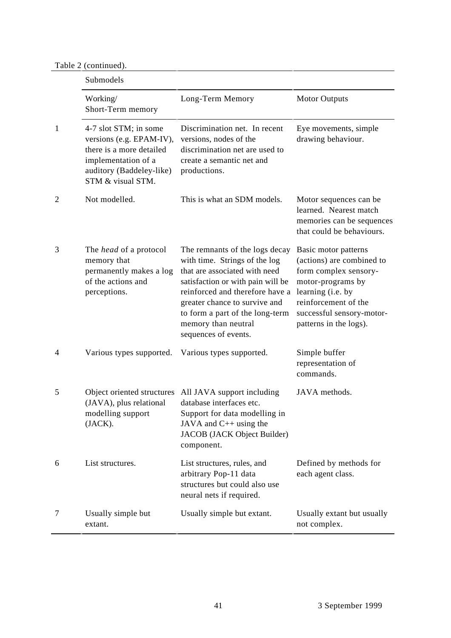Table 2 (continued).

|                | Submodels                                                                                                                                             |                                                                                                                                                                                                                                                                                             |                                                                                                                                                                                                     |  |
|----------------|-------------------------------------------------------------------------------------------------------------------------------------------------------|---------------------------------------------------------------------------------------------------------------------------------------------------------------------------------------------------------------------------------------------------------------------------------------------|-----------------------------------------------------------------------------------------------------------------------------------------------------------------------------------------------------|--|
|                | Working/<br>Short-Term memory                                                                                                                         | Long-Term Memory                                                                                                                                                                                                                                                                            | <b>Motor Outputs</b>                                                                                                                                                                                |  |
| 1              | 4-7 slot STM; in some<br>versions (e.g. EPAM-IV),<br>there is a more detailed<br>implementation of a<br>auditory (Baddeley-like)<br>STM & visual STM. | Discrimination net. In recent<br>versions, nodes of the<br>discrimination net are used to<br>create a semantic net and<br>productions.                                                                                                                                                      | Eye movements, simple<br>drawing behaviour.                                                                                                                                                         |  |
| $\overline{2}$ | Not modelled.                                                                                                                                         | This is what an SDM models.                                                                                                                                                                                                                                                                 | Motor sequences can be<br>learned. Nearest match<br>memories can be sequences<br>that could be behaviours.                                                                                          |  |
| 3              | The <i>head</i> of a protocol<br>memory that<br>permanently makes a log<br>of the actions and<br>perceptions.                                         | The remnants of the logs decay<br>with time. Strings of the log<br>that are associated with need<br>satisfaction or with pain will be<br>reinforced and therefore have a<br>greater chance to survive and<br>to form a part of the long-term<br>memory than neutral<br>sequences of events. | Basic motor patterns<br>(actions) are combined to<br>form complex sensory-<br>motor-programs by<br>learning (i.e. by<br>reinforcement of the<br>successful sensory-motor-<br>patterns in the logs). |  |
| 4              | Various types supported.                                                                                                                              | Various types supported.                                                                                                                                                                                                                                                                    | Simple buffer<br>representation of<br>commands.                                                                                                                                                     |  |
| 5              | Object oriented structures<br>(JAVA), plus relational<br>modelling support<br>(JACK).                                                                 | All JAVA support including<br>database interfaces etc.<br>Support for data modelling in<br>JAVA and C++ using the<br>JACOB (JACK Object Builder)<br>component.                                                                                                                              | JAVA methods.                                                                                                                                                                                       |  |
| 6              | List structures.                                                                                                                                      | List structures, rules, and<br>arbitrary Pop-11 data<br>structures but could also use<br>neural nets if required.                                                                                                                                                                           | Defined by methods for<br>each agent class.                                                                                                                                                         |  |
| 7              | Usually simple but<br>extant.                                                                                                                         | Usually simple but extant.                                                                                                                                                                                                                                                                  | Usually extant but usually<br>not complex.                                                                                                                                                          |  |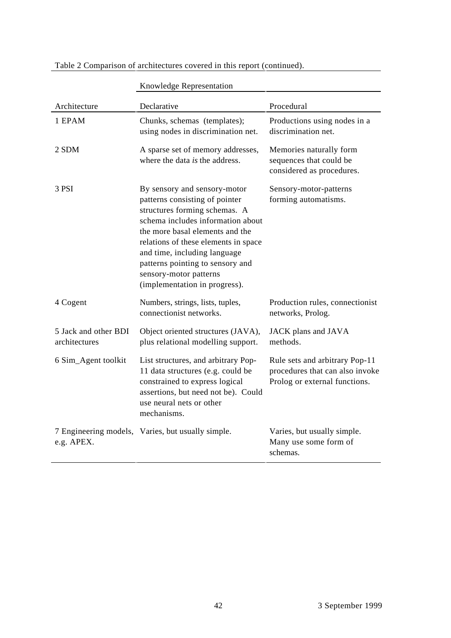|                                       | Knowledge Representation                                                                                                                                                                                                                                                                                                                       |                                                                                                    |
|---------------------------------------|------------------------------------------------------------------------------------------------------------------------------------------------------------------------------------------------------------------------------------------------------------------------------------------------------------------------------------------------|----------------------------------------------------------------------------------------------------|
| Architecture                          | Declarative                                                                                                                                                                                                                                                                                                                                    | Procedural                                                                                         |
| 1 EPAM                                | Chunks, schemas (templates);<br>using nodes in discrimination net.                                                                                                                                                                                                                                                                             | Productions using nodes in a<br>discrimination net.                                                |
| 2 SDM                                 | A sparse set of memory addresses,<br>where the data is the address.                                                                                                                                                                                                                                                                            | Memories naturally form<br>sequences that could be<br>considered as procedures.                    |
| 3 PSI                                 | By sensory and sensory-motor<br>patterns consisting of pointer<br>structures forming schemas. A<br>schema includes information about<br>the more basal elements and the<br>relations of these elements in space<br>and time, including language<br>patterns pointing to sensory and<br>sensory-motor patterns<br>(implementation in progress). | Sensory-motor-patterns<br>forming automatisms.                                                     |
| 4 Cogent                              | Numbers, strings, lists, tuples,<br>connectionist networks.                                                                                                                                                                                                                                                                                    | Production rules, connectionist<br>networks, Prolog.                                               |
| 5 Jack and other BDI<br>architectures | Object oriented structures (JAVA),<br>plus relational modelling support.                                                                                                                                                                                                                                                                       | JACK plans and JAVA<br>methods.                                                                    |
| 6 Sim_Agent toolkit                   | List structures, and arbitrary Pop-<br>11 data structures (e.g. could be<br>constrained to express logical<br>assertions, but need not be). Could<br>use neural nets or other<br>mechanisms.                                                                                                                                                   | Rule sets and arbitrary Pop-11<br>procedures that can also invoke<br>Prolog or external functions. |
| e.g. APEX.                            | 7 Engineering models, Varies, but usually simple.                                                                                                                                                                                                                                                                                              | Varies, but usually simple.<br>Many use some form of<br>schemas.                                   |

### Table 2 Comparison of architectures covered in this report (continued).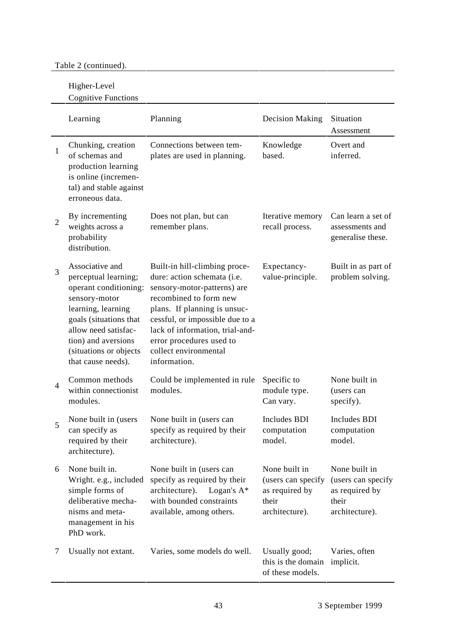# Table 2 (continued).

# Higher-Level

Cognitive Functions

|              | Learning                                                                                                                                                                                                                         | Planning                                                                                                                                                                                                                                                                                         | Decision Making                                                                  | Situation<br>Assessment                                                          |
|--------------|----------------------------------------------------------------------------------------------------------------------------------------------------------------------------------------------------------------------------------|--------------------------------------------------------------------------------------------------------------------------------------------------------------------------------------------------------------------------------------------------------------------------------------------------|----------------------------------------------------------------------------------|----------------------------------------------------------------------------------|
| $\mathbf{1}$ | Chunking, creation<br>of schemas and<br>production learning<br>is online (incremen-<br>tal) and stable against<br>erroneous data.                                                                                                | Connections between tem-<br>plates are used in planning.                                                                                                                                                                                                                                         | Knowledge<br>based.                                                              | Overt and<br>inferred.                                                           |
| 2            | By incrementing<br>weights across a<br>probability<br>distribution.                                                                                                                                                              | Does not plan, but can<br>remember plans.                                                                                                                                                                                                                                                        | Iterative memory<br>recall process.                                              | Can learn a set of<br>assessments and<br>generalise these.                       |
| 3            | Associative and<br>perceptual learning;<br>operant conditioning:<br>sensory-motor<br>learning, learning<br>goals (situations that<br>allow need satisfac-<br>tion) and aversions<br>(situations or objects<br>that cause needs). | Built-in hill-climbing proce-<br>dure: action schemata (i.e.<br>sensory-motor-patterns) are<br>recombined to form new<br>plans. If planning is unsuc-<br>cessful, or impossible due to a<br>lack of information, trial-and-<br>error procedures used to<br>collect environmental<br>information. | Expectancy-<br>value-principle.                                                  | Built in as part of<br>problem solving.                                          |
| 4            | Common methods<br>within connectionist<br>modules.                                                                                                                                                                               | Could be implemented in rule<br>modules.                                                                                                                                                                                                                                                         | Specific to<br>module type.<br>Can vary.                                         | None built in<br>(users can<br>specify).                                         |
| 5            | None built in (users<br>can specify as<br>required by their<br>architecture).                                                                                                                                                    | None built in (users can<br>specify as required by their<br>architecture).                                                                                                                                                                                                                       | Includes BDI<br>computation<br>model.                                            | <b>Includes BDI</b><br>computation<br>model.                                     |
| 6            | None built in.<br>Wright. e.g., included<br>simple forms of<br>deliberative mecha-<br>nisms and meta-<br>management in his<br>PhD work.                                                                                          | None built in (users can<br>specify as required by their<br>architecture).<br>Logan's $A^*$<br>with bounded constraints<br>available, among others.                                                                                                                                              | None built in<br>(users can specify<br>as required by<br>their<br>architecture). | None built in<br>(users can specify<br>as required by<br>their<br>architecture). |
| 7            | Usually not extant.                                                                                                                                                                                                              | Varies, some models do well.                                                                                                                                                                                                                                                                     | Usually good;<br>this is the domain<br>of these models.                          | Varies, often<br>implicit.                                                       |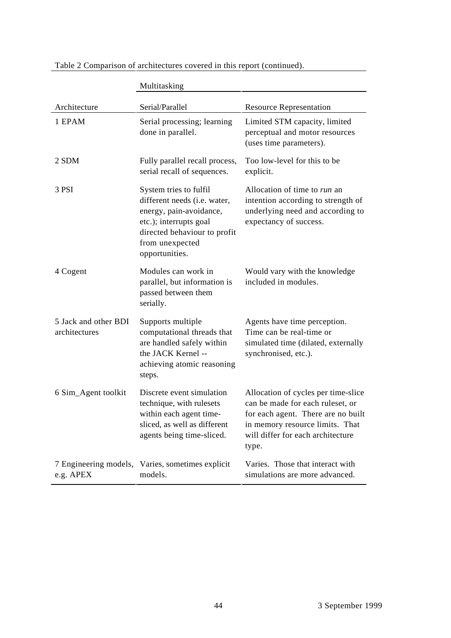|                                       | Multitasking                                                                                                                                                                     |                                                                                                                                                                                                |
|---------------------------------------|----------------------------------------------------------------------------------------------------------------------------------------------------------------------------------|------------------------------------------------------------------------------------------------------------------------------------------------------------------------------------------------|
| Architecture                          | Serial/Parallel                                                                                                                                                                  | <b>Resource Representation</b>                                                                                                                                                                 |
| 1 EPAM                                | Serial processing; learning<br>done in parallel.                                                                                                                                 | Limited STM capacity, limited<br>perceptual and motor resources<br>(uses time parameters).                                                                                                     |
| 2 SDM                                 | Fully parallel recall process,<br>serial recall of sequences.                                                                                                                    | Too low-level for this to be<br>explicit.                                                                                                                                                      |
| 3 PSI                                 | System tries to fulfil<br>different needs (i.e. water,<br>energy, pain-avoidance,<br>etc.); interrupts goal<br>directed behaviour to profit<br>from unexpected<br>opportunities. | Allocation of time to run an<br>intention according to strength of<br>underlying need and according to<br>expectancy of success.                                                               |
| 4 Cogent                              | Modules can work in<br>parallel, but information is<br>passed between them<br>serially.                                                                                          | Would vary with the knowledge<br>included in modules.                                                                                                                                          |
| 5 Jack and other BDI<br>architectures | Supports multiple<br>computational threads that<br>are handled safely within<br>the JACK Kernel --<br>achieving atomic reasoning<br>steps.                                       | Agents have time perception.<br>Time can be real-time or<br>simulated time (dilated, externally<br>synchronised, etc.).                                                                        |
| 6 Sim_Agent toolkit                   | Discrete event simulation<br>technique, with rulesets<br>within each agent time-<br>sliced, as well as different<br>agents being time-sliced.                                    | Allocation of cycles per time-slice<br>can be made for each ruleset, or<br>for each agent. There are no built<br>in memory resource limits. That<br>will differ for each architecture<br>type. |
| 7 Engineering models,<br>e.g. APEX    | Varies, sometimes explicit<br>models.                                                                                                                                            | Varies. Those that interact with<br>simulations are more advanced.                                                                                                                             |

Table 2 Comparison of architectures covered in this report (continued).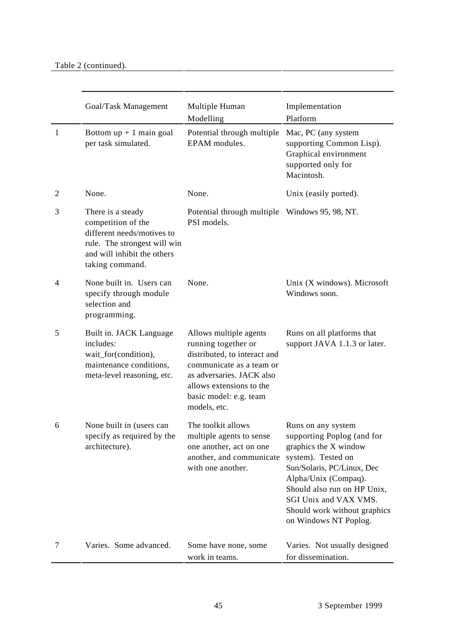|                | Goal/Task Management                                                                                                                                    | Multiple Human<br>Modelling                                                                                                                                                                                  | Implementation<br>Platform                                                                                                                                                                                                                                             |
|----------------|---------------------------------------------------------------------------------------------------------------------------------------------------------|--------------------------------------------------------------------------------------------------------------------------------------------------------------------------------------------------------------|------------------------------------------------------------------------------------------------------------------------------------------------------------------------------------------------------------------------------------------------------------------------|
| $\mathbf{1}$   | Bottom $up + 1$ main goal<br>per task simulated.                                                                                                        | Potential through multiple<br>EPAM modules.                                                                                                                                                                  | Mac, PC (any system<br>supporting Common Lisp).<br>Graphical environment<br>supported only for<br>Macintosh.                                                                                                                                                           |
| $\overline{2}$ | None.                                                                                                                                                   | None.                                                                                                                                                                                                        | Unix (easily ported).                                                                                                                                                                                                                                                  |
| 3              | There is a steady<br>competition of the<br>different needs/motives to<br>rule. The strongest will win<br>and will inhibit the others<br>taking command. | Potential through multiple Windows 95, 98, NT.<br>PSI models.                                                                                                                                                |                                                                                                                                                                                                                                                                        |
| 4              | None built in. Users can<br>specify through module<br>selection and<br>programming.                                                                     | None.                                                                                                                                                                                                        | Unix (X windows). Microsoft<br>Windows soon.                                                                                                                                                                                                                           |
| 5              | Built in. JACK Language<br>includes:<br>wait_for(condition),<br>maintenance conditions,<br>meta-level reasoning, etc.                                   | Allows multiple agents<br>running together or<br>distributed, to interact and<br>communicate as a team or<br>as adversaries. JACK also<br>allows extensions to the<br>basic model: e.g. team<br>models, etc. | Runs on all platforms that<br>support JAVA 1.1.3 or later.                                                                                                                                                                                                             |
| 6              | None built in (users can<br>specify as required by the<br>architecture).                                                                                | The toolkit allows<br>multiple agents to sense<br>one another, act on one<br>another, and communicate<br>with one another.                                                                                   | Runs on any system<br>supporting Poplog (and for<br>graphics the X window<br>system). Tested on<br>Sun/Solaris, PC/Linux, Dec<br>Alpha/Unix (Compaq).<br>Should also run on HP Unix,<br>SGI Unix and VAX VMS.<br>Should work without graphics<br>on Windows NT Poplog. |
| 7              | Varies. Some advanced.                                                                                                                                  | Some have none, some<br>work in teams.                                                                                                                                                                       | Varies. Not usually designed<br>for dissemination.                                                                                                                                                                                                                     |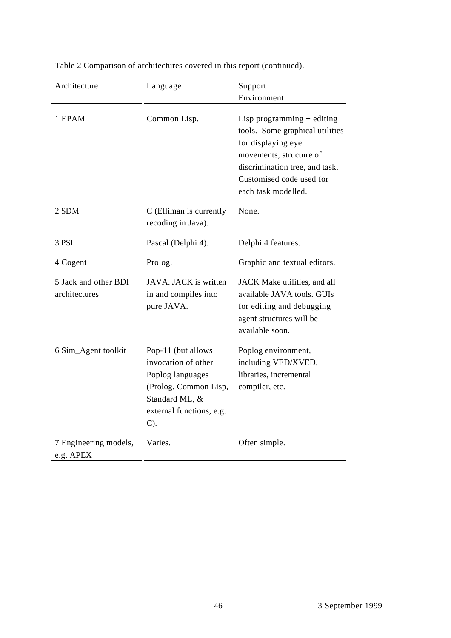| Architecture                          | Language                                                                                                                                       | Support<br>Environment                                                                                                                                                                                |
|---------------------------------------|------------------------------------------------------------------------------------------------------------------------------------------------|-------------------------------------------------------------------------------------------------------------------------------------------------------------------------------------------------------|
| 1 EPAM                                | Common Lisp.                                                                                                                                   | Lisp programming $+$ editing<br>tools. Some graphical utilities<br>for displaying eye<br>movements, structure of<br>discrimination tree, and task.<br>Customised code used for<br>each task modelled. |
| 2 SDM                                 | C (Elliman is currently<br>recoding in Java).                                                                                                  | None.                                                                                                                                                                                                 |
| 3 PSI                                 | Pascal (Delphi 4).                                                                                                                             | Delphi 4 features.                                                                                                                                                                                    |
| 4 Cogent                              | Prolog.                                                                                                                                        | Graphic and textual editors.                                                                                                                                                                          |
| 5 Jack and other BDI<br>architectures | JAVA. JACK is written<br>in and compiles into<br>pure JAVA.                                                                                    | JACK Make utilities, and all<br>available JAVA tools. GUIs<br>for editing and debugging<br>agent structures will be<br>available soon.                                                                |
| 6 Sim_Agent toolkit                   | Pop-11 (but allows<br>invocation of other<br>Poplog languages<br>(Prolog, Common Lisp,<br>Standard ML, &<br>external functions, e.g.<br>$C$ ). | Poplog environment,<br>including VED/XVED,<br>libraries, incremental<br>compiler, etc.                                                                                                                |
| 7 Engineering models,<br>e.g. APEX    | Varies.                                                                                                                                        | Often simple.                                                                                                                                                                                         |

# Table 2 Comparison of architectures covered in this report (continued).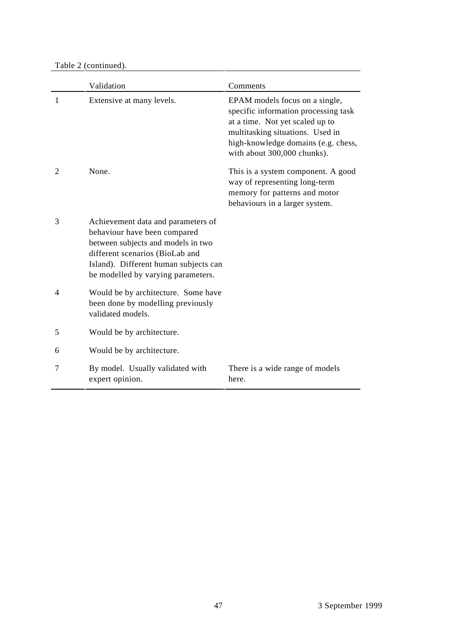Table 2 (continued).

|                | Validation                                                                                                                                                                                                                 | Comments                                                                                                                                                                                                            |
|----------------|----------------------------------------------------------------------------------------------------------------------------------------------------------------------------------------------------------------------------|---------------------------------------------------------------------------------------------------------------------------------------------------------------------------------------------------------------------|
| 1              | Extensive at many levels.                                                                                                                                                                                                  | EPAM models focus on a single,<br>specific information processing task<br>at a time. Not yet scaled up to<br>multitasking situations. Used in<br>high-knowledge domains (e.g. chess,<br>with about 300,000 chunks). |
| $\overline{2}$ | None.                                                                                                                                                                                                                      | This is a system component. A good<br>way of representing long-term<br>memory for patterns and motor<br>behaviours in a larger system.                                                                              |
| 3              | Achievement data and parameters of<br>behaviour have been compared<br>between subjects and models in two<br>different scenarios (BioLab and<br>Island). Different human subjects can<br>be modelled by varying parameters. |                                                                                                                                                                                                                     |
| $\overline{4}$ | Would be by architecture. Some have<br>been done by modelling previously<br>validated models.                                                                                                                              |                                                                                                                                                                                                                     |
| 5              | Would be by architecture.                                                                                                                                                                                                  |                                                                                                                                                                                                                     |
| 6              | Would be by architecture.                                                                                                                                                                                                  |                                                                                                                                                                                                                     |
| 7              | By model. Usually validated with<br>expert opinion.                                                                                                                                                                        | There is a wide range of models<br>here.                                                                                                                                                                            |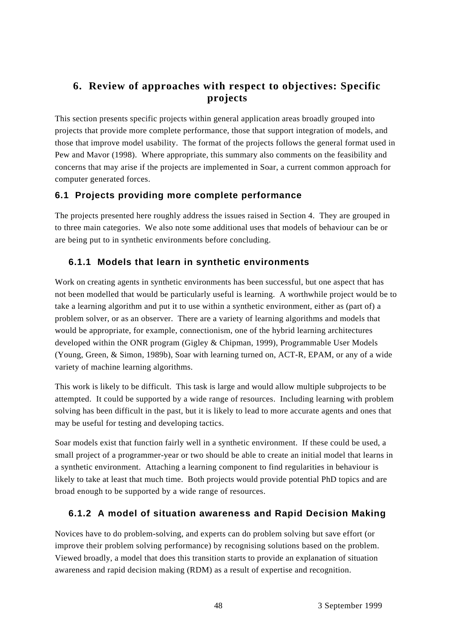# **6. Review of approaches with respect to objectives: Specific projects**

This section presents specific projects within general application areas broadly grouped into projects that provide more complete performance, those that support integration of models, and those that improve model usability. The format of the projects follows the general format used in Pew and Mavor (1998). Where appropriate, this summary also comments on the feasibility and concerns that may arise if the projects are implemented in Soar, a current common approach for computer generated forces.

### **6.1 Projects providing more complete performance**

The projects presented here roughly address the issues raised in Section 4. They are grouped in to three main categories. We also note some additional uses that models of behaviour can be or are being put to in synthetic environments before concluding.

### **6.1.1 Models that learn in synthetic environments**

Work on creating agents in synthetic environments has been successful, but one aspect that has not been modelled that would be particularly useful is learning. A worthwhile project would be to take a learning algorithm and put it to use within a synthetic environment, either as (part of) a problem solver, or as an observer. There are a variety of learning algorithms and models that would be appropriate, for example, connectionism, one of the hybrid learning architectures developed within the ONR program (Gigley & Chipman, 1999), Programmable User Models (Young, Green, & Simon, 1989b), Soar with learning turned on, ACT-R, EPAM, or any of a wide variety of machine learning algorithms.

This work is likely to be difficult. This task is large and would allow multiple subprojects to be attempted. It could be supported by a wide range of resources. Including learning with problem solving has been difficult in the past, but it is likely to lead to more accurate agents and ones that may be useful for testing and developing tactics.

Soar models exist that function fairly well in a synthetic environment. If these could be used, a small project of a programmer-year or two should be able to create an initial model that learns in a synthetic environment. Attaching a learning component to find regularities in behaviour is likely to take at least that much time. Both projects would provide potential PhD topics and are broad enough to be supported by a wide range of resources.

# **6.1.2 A model of situation awareness and Rapid Decision Making**

Novices have to do problem-solving, and experts can do problem solving but save effort (or improve their problem solving performance) by recognising solutions based on the problem. Viewed broadly, a model that does this transition starts to provide an explanation of situation awareness and rapid decision making (RDM) as a result of expertise and recognition.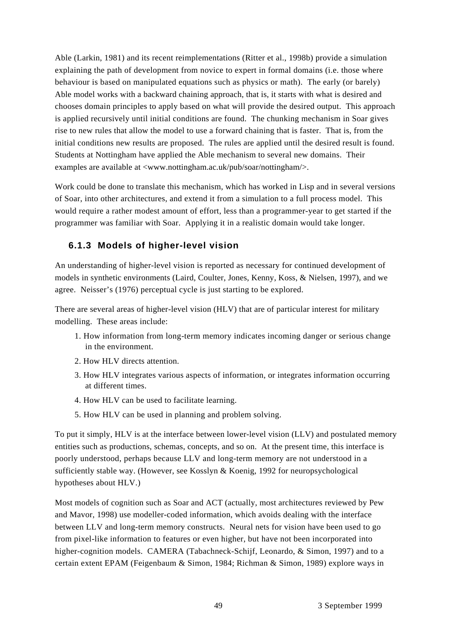Able (Larkin, 1981) and its recent reimplementations (Ritter et al., 1998b) provide a simulation explaining the path of development from novice to expert in formal domains (i.e. those where behaviour is based on manipulated equations such as physics or math). The early (or barely) Able model works with a backward chaining approach, that is, it starts with what is desired and chooses domain principles to apply based on what will provide the desired output. This approach is applied recursively until initial conditions are found. The chunking mechanism in Soar gives rise to new rules that allow the model to use a forward chaining that is faster. That is, from the initial conditions new results are proposed. The rules are applied until the desired result is found. Students at Nottingham have applied the Able mechanism to several new domains. Their examples are available at <www.nottingham.ac.uk/pub/soar/nottingham/>.

Work could be done to translate this mechanism, which has worked in Lisp and in several versions of Soar, into other architectures, and extend it from a simulation to a full process model. This would require a rather modest amount of effort, less than a programmer-year to get started if the programmer was familiar with Soar. Applying it in a realistic domain would take longer.

#### **6.1.3 Models of higher-level vision**

An understanding of higher-level vision is reported as necessary for continued development of models in synthetic environments (Laird, Coulter, Jones, Kenny, Koss, & Nielsen, 1997), and we agree. Neisser's (1976) perceptual cycle is just starting to be explored.

There are several areas of higher-level vision (HLV) that are of particular interest for military modelling. These areas include:

- 1. How information from long-term memory indicates incoming danger or serious change in the environment.
- 2. How HLV directs attention.
- 3. How HLV integrates various aspects of information, or integrates information occurring at different times.
- 4. How HLV can be used to facilitate learning.
- 5. How HLV can be used in planning and problem solving.

To put it simply, HLV is at the interface between lower-level vision (LLV) and postulated memory entities such as productions, schemas, concepts, and so on. At the present time, this interface is poorly understood, perhaps because LLV and long-term memory are not understood in a sufficiently stable way. (However, see Kosslyn & Koenig, 1992 for neuropsychological hypotheses about HLV.)

Most models of cognition such as Soar and ACT (actually, most architectures reviewed by Pew and Mavor, 1998) use modeller-coded information, which avoids dealing with the interface between LLV and long-term memory constructs. Neural nets for vision have been used to go from pixel-like information to features or even higher, but have not been incorporated into higher-cognition models. CAMERA (Tabachneck-Schijf, Leonardo, & Simon, 1997) and to a certain extent EPAM (Feigenbaum & Simon, 1984; Richman & Simon, 1989) explore ways in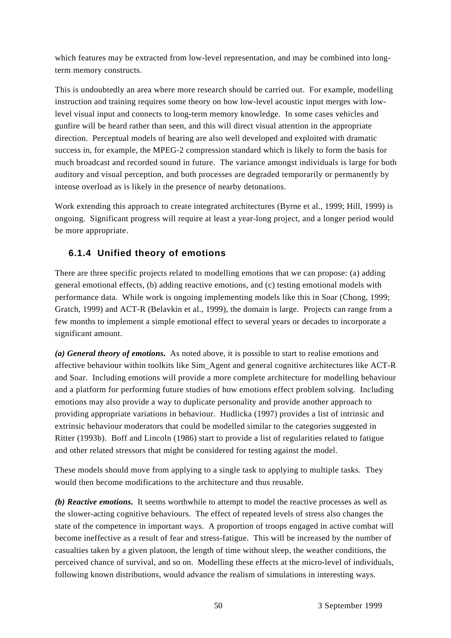which features may be extracted from low-level representation, and may be combined into longterm memory constructs.

This is undoubtedly an area where more research should be carried out. For example, modelling instruction and training requires some theory on how low-level acoustic input merges with lowlevel visual input and connects to long-term memory knowledge. In some cases vehicles and gunfire will be heard rather than seen, and this will direct visual attention in the appropriate direction. Perceptual models of hearing are also well developed and exploited with dramatic success in, for example, the MPEG-2 compression standard which is likely to form the basis for much broadcast and recorded sound in future. The variance amongst individuals is large for both auditory and visual perception, and both processes are degraded temporarily or permanently by intense overload as is likely in the presence of nearby detonations.

Work extending this approach to create integrated architectures (Byrne et al., 1999; Hill, 1999) is ongoing. Significant progress will require at least a year-long project, and a longer period would be more appropriate.

### **6.1.4 Unified theory of emotions**

There are three specific projects related to modelling emotions that we can propose: (a) adding general emotional effects, (b) adding reactive emotions, and (c) testing emotional models with performance data. While work is ongoing implementing models like this in Soar (Chong, 1999; Gratch, 1999) and ACT-R (Belavkin et al., 1999), the domain is large. Projects can range from a few months to implement a simple emotional effect to several years or decades to incorporate a significant amount.

*(a) General theory of emotions.* As noted above, it is possible to start to realise emotions and affective behaviour within toolkits like Sim\_Agent and general cognitive architectures like ACT-R and Soar. Including emotions will provide a more complete architecture for modelling behaviour and a platform for performing future studies of how emotions effect problem solving. Including emotions may also provide a way to duplicate personality and provide another approach to providing appropriate variations in behaviour. Hudlicka (1997) provides a list of intrinsic and extrinsic behaviour moderators that could be modelled similar to the categories suggested in Ritter (1993b). Boff and Lincoln (1986) start to provide a list of regularities related to fatigue and other related stressors that might be considered for testing against the model.

These models should move from applying to a single task to applying to multiple tasks. They would then become modifications to the architecture and thus reusable.

*(b) Reactive emotions.* It seems worthwhile to attempt to model the reactive processes as well as the slower-acting cognitive behaviours. The effect of repeated levels of stress also changes the state of the competence in important ways. A proportion of troops engaged in active combat will become ineffective as a result of fear and stress-fatigue. This will be increased by the number of casualties taken by a given platoon, the length of time without sleep, the weather conditions, the perceived chance of survival, and so on. Modelling these effects at the micro-level of individuals, following known distributions, would advance the realism of simulations in interesting ways.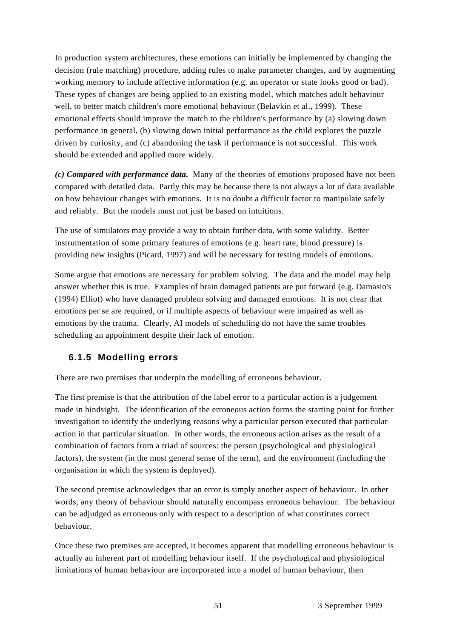In production system architectures, these emotions can initially be implemented by changing the decision (rule matching) procedure, adding rules to make parameter changes, and by augmenting working memory to include affective information (e.g. an operator or state looks good or bad). These types of changes are being applied to an existing model, which matches adult behaviour well, to better match children's more emotional behaviour (Belavkin et al., 1999). These emotional effects should improve the match to the children's performance by (a) slowing down performance in general, (b) slowing down initial performance as the child explores the puzzle driven by curiosity, and (c) abandoning the task if performance is not successful. This work should be extended and applied more widely.

*(c) Compared with performance data.* Many of the theories of emotions proposed have not been compared with detailed data. Partly this may be because there is not always a lot of data available on how behaviour changes with emotions. It is no doubt a difficult factor to manipulate safely and reliably. But the models must not just be based on intuitions.

The use of simulators may provide a way to obtain further data, with some validity. Better instrumentation of some primary features of emotions (e.g. heart rate, blood pressure) is providing new insights (Picard, 1997) and will be necessary for testing models of emotions.

Some argue that emotions are necessary for problem solving. The data and the model may help answer whether this is true. Examples of brain damaged patients are put forward (e.g. Damasio's (1994) Elliot) who have damaged problem solving and damaged emotions. It is not clear that emotions per se are required, or if multiple aspects of behaviour were impaired as well as emotions by the trauma. Clearly, AI models of scheduling do not have the same troubles scheduling an appointment despite their lack of emotion.

#### **6.1.5 Modelling errors**

There are two premises that underpin the modelling of erroneous behaviour.

The first premise is that the attribution of the label error to a particular action is a judgement made in hindsight. The identification of the erroneous action forms the starting point for further investigation to identify the underlying reasons why a particular person executed that particular action in that particular situation. In other words, the erroneous action arises as the result of a combination of factors from a triad of sources: the person (psychological and physiological factors), the system (in the most general sense of the term), and the environment (including the organisation in which the system is deployed).

The second premise acknowledges that an error is simply another aspect of behaviour. In other words, any theory of behaviour should naturally encompass erroneous behaviour. The behaviour can be adjudged as erroneous only with respect to a description of what constitutes correct behaviour.

Once these two premises are accepted, it becomes apparent that modelling erroneous behaviour is actually an inherent part of modelling behaviour itself. If the psychological and physiological limitations of human behaviour are incorporated into a model of human behaviour, then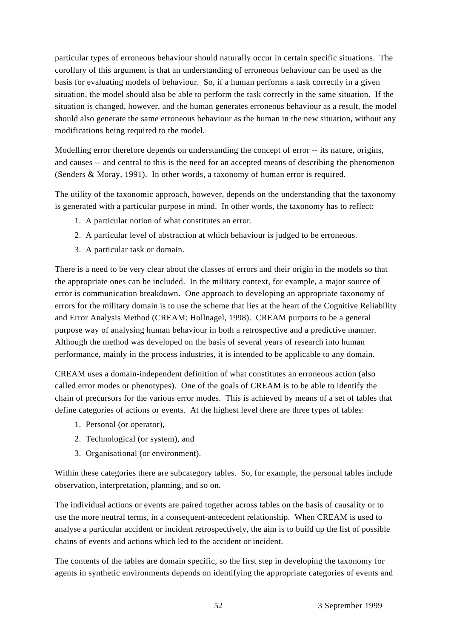particular types of erroneous behaviour should naturally occur in certain specific situations. The corollary of this argument is that an understanding of erroneous behaviour can be used as the basis for evaluating models of behaviour. So, if a human performs a task correctly in a given situation, the model should also be able to perform the task correctly in the same situation. If the situation is changed, however, and the human generates erroneous behaviour as a result, the model should also generate the same erroneous behaviour as the human in the new situation, without any modifications being required to the model.

Modelling error therefore depends on understanding the concept of error -- its nature, origins, and causes -- and central to this is the need for an accepted means of describing the phenomenon (Senders & Moray, 1991). In other words, a taxonomy of human error is required.

The utility of the taxonomic approach, however, depends on the understanding that the taxonomy is generated with a particular purpose in mind. In other words, the taxonomy has to reflect:

- 1. A particular notion of what constitutes an error.
- 2. A particular level of abstraction at which behaviour is judged to be erroneous.
- 3. A particular task or domain.

There is a need to be very clear about the classes of errors and their origin in the models so that the appropriate ones can be included. In the military context, for example, a major source of error is communication breakdown. One approach to developing an appropriate taxonomy of errors for the military domain is to use the scheme that lies at the heart of the Cognitive Reliability and Error Analysis Method (CREAM: Hollnagel, 1998). CREAM purports to be a general purpose way of analysing human behaviour in both a retrospective and a predictive manner. Although the method was developed on the basis of several years of research into human performance, mainly in the process industries, it is intended to be applicable to any domain.

CREAM uses a domain-independent definition of what constitutes an erroneous action (also called error modes or phenotypes). One of the goals of CREAM is to be able to identify the chain of precursors for the various error modes. This is achieved by means of a set of tables that define categories of actions or events. At the highest level there are three types of tables:

- 1. Personal (or operator),
- 2. Technological (or system), and
- 3. Organisational (or environment).

Within these categories there are subcategory tables. So, for example, the personal tables include observation, interpretation, planning, and so on.

The individual actions or events are paired together across tables on the basis of causality or to use the more neutral terms, in a consequent-antecedent relationship. When CREAM is used to analyse a particular accident or incident retrospectively, the aim is to build up the list of possible chains of events and actions which led to the accident or incident.

The contents of the tables are domain specific, so the first step in developing the taxonomy for agents in synthetic environments depends on identifying the appropriate categories of events and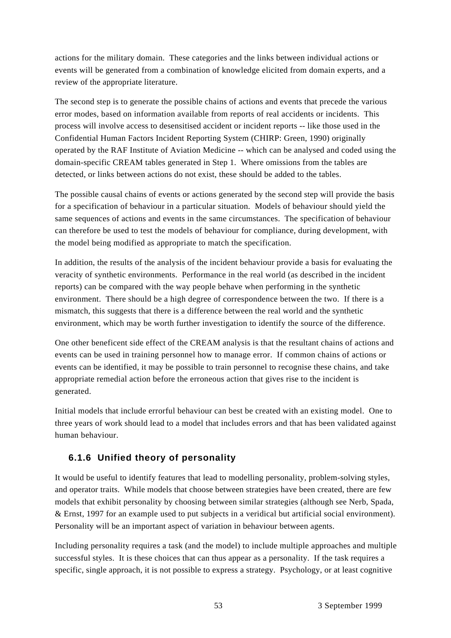actions for the military domain. These categories and the links between individual actions or events will be generated from a combination of knowledge elicited from domain experts, and a review of the appropriate literature.

The second step is to generate the possible chains of actions and events that precede the various error modes, based on information available from reports of real accidents or incidents. This process will involve access to desensitised accident or incident reports -- like those used in the Confidential Human Factors Incident Reporting System (CHIRP: Green, 1990) originally operated by the RAF Institute of Aviation Medicine -- which can be analysed and coded using the domain-specific CREAM tables generated in Step 1. Where omissions from the tables are detected, or links between actions do not exist, these should be added to the tables.

The possible causal chains of events or actions generated by the second step will provide the basis for a specification of behaviour in a particular situation. Models of behaviour should yield the same sequences of actions and events in the same circumstances. The specification of behaviour can therefore be used to test the models of behaviour for compliance, during development, with the model being modified as appropriate to match the specification.

In addition, the results of the analysis of the incident behaviour provide a basis for evaluating the veracity of synthetic environments. Performance in the real world (as described in the incident reports) can be compared with the way people behave when performing in the synthetic environment. There should be a high degree of correspondence between the two. If there is a mismatch, this suggests that there is a difference between the real world and the synthetic environment, which may be worth further investigation to identify the source of the difference.

One other beneficent side effect of the CREAM analysis is that the resultant chains of actions and events can be used in training personnel how to manage error. If common chains of actions or events can be identified, it may be possible to train personnel to recognise these chains, and take appropriate remedial action before the erroneous action that gives rise to the incident is generated.

Initial models that include errorful behaviour can best be created with an existing model. One to three years of work should lead to a model that includes errors and that has been validated against human behaviour.

# **6.1.6 Unified theory of personality**

It would be useful to identify features that lead to modelling personality, problem-solving styles, and operator traits. While models that choose between strategies have been created, there are few models that exhibit personality by choosing between similar strategies (although see Nerb, Spada, & Ernst, 1997 for an example used to put subjects in a veridical but artificial social environment). Personality will be an important aspect of variation in behaviour between agents.

Including personality requires a task (and the model) to include multiple approaches and multiple successful styles. It is these choices that can thus appear as a personality. If the task requires a specific, single approach, it is not possible to express a strategy. Psychology, or at least cognitive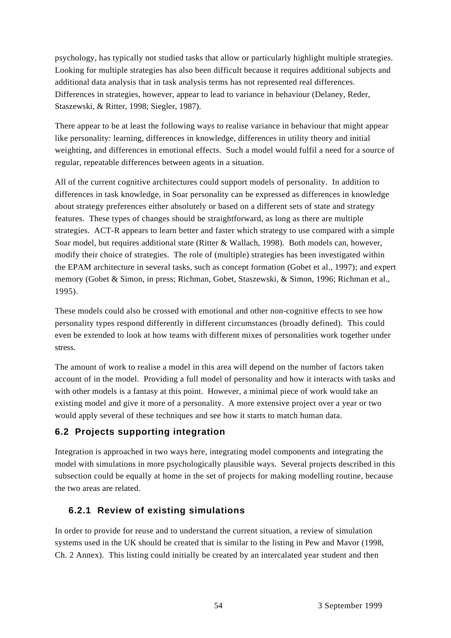psychology, has typically not studied tasks that allow or particularly highlight multiple strategies. Looking for multiple strategies has also been difficult because it requires additional subjects and additional data analysis that in task analysis terms has not represented real differences. Differences in strategies, however, appear to lead to variance in behaviour (Delaney, Reder, Staszewski, & Ritter, 1998; Siegler, 1987).

There appear to be at least the following ways to realise variance in behaviour that might appear like personality: learning, differences in knowledge, differences in utility theory and initial weighting, and differences in emotional effects. Such a model would fulfil a need for a source of regular, repeatable differences between agents in a situation.

All of the current cognitive architectures could support models of personality. In addition to differences in task knowledge, in Soar personality can be expressed as differences in knowledge about strategy preferences either absolutely or based on a different sets of state and strategy features. These types of changes should be straightforward, as long as there are multiple strategies. ACT-R appears to learn better and faster which strategy to use compared with a simple Soar model, but requires additional state (Ritter & Wallach, 1998). Both models can, however, modify their choice of strategies. The role of (multiple) strategies has been investigated within the EPAM architecture in several tasks, such as concept formation (Gobet et al., 1997); and expert memory (Gobet & Simon, in press; Richman, Gobet, Staszewski, & Simon, 1996; Richman et al., 1995).

These models could also be crossed with emotional and other non-cognitive effects to see how personality types respond differently in different circumstances (broadly defined). This could even be extended to look at how teams with different mixes of personalities work together under stress.

The amount of work to realise a model in this area will depend on the number of factors taken account of in the model. Providing a full model of personality and how it interacts with tasks and with other models is a fantasy at this point. However, a minimal piece of work would take an existing model and give it more of a personality. A more extensive project over a year or two would apply several of these techniques and see how it starts to match human data.

#### **6.2 Projects supporting integration**

Integration is approached in two ways here, integrating model components and integrating the model with simulations in more psychologically plausible ways. Several projects described in this subsection could be equally at home in the set of projects for making modelling routine, because the two areas are related.

#### **6.2.1 Review of existing simulations**

In order to provide for reuse and to understand the current situation, a review of simulation systems used in the UK should be created that is similar to the listing in Pew and Mavor (1998, Ch. 2 Annex). This listing could initially be created by an intercalated year student and then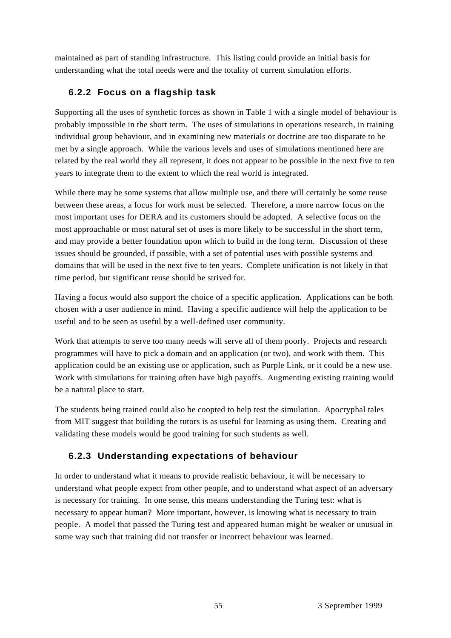maintained as part of standing infrastructure. This listing could provide an initial basis for understanding what the total needs were and the totality of current simulation efforts.

### **6.2.2 Focus on a flagship task**

Supporting all the uses of synthetic forces as shown in Table 1 with a single model of behaviour is probably impossible in the short term. The uses of simulations in operations research, in training individual group behaviour, and in examining new materials or doctrine are too disparate to be met by a single approach. While the various levels and uses of simulations mentioned here are related by the real world they all represent, it does not appear to be possible in the next five to ten years to integrate them to the extent to which the real world is integrated.

While there may be some systems that allow multiple use, and there will certainly be some reuse between these areas, a focus for work must be selected. Therefore, a more narrow focus on the most important uses for DERA and its customers should be adopted. A selective focus on the most approachable or most natural set of uses is more likely to be successful in the short term, and may provide a better foundation upon which to build in the long term. Discussion of these issues should be grounded, if possible, with a set of potential uses with possible systems and domains that will be used in the next five to ten years. Complete unification is not likely in that time period, but significant reuse should be strived for.

Having a focus would also support the choice of a specific application. Applications can be both chosen with a user audience in mind. Having a specific audience will help the application to be useful and to be seen as useful by a well-defined user community.

Work that attempts to serve too many needs will serve all of them poorly. Projects and research programmes will have to pick a domain and an application (or two), and work with them. This application could be an existing use or application, such as Purple Link, or it could be a new use. Work with simulations for training often have high payoffs. Augmenting existing training would be a natural place to start.

The students being trained could also be coopted to help test the simulation. Apocryphal tales from MIT suggest that building the tutors is as useful for learning as using them. Creating and validating these models would be good training for such students as well.

# **6.2.3 Understanding expectations of behaviour**

In order to understand what it means to provide realistic behaviour, it will be necessary to understand what people expect from other people, and to understand what aspect of an adversary is necessary for training. In one sense, this means understanding the Turing test: what is necessary to appear human? More important, however, is knowing what is necessary to train people. A model that passed the Turing test and appeared human might be weaker or unusual in some way such that training did not transfer or incorrect behaviour was learned.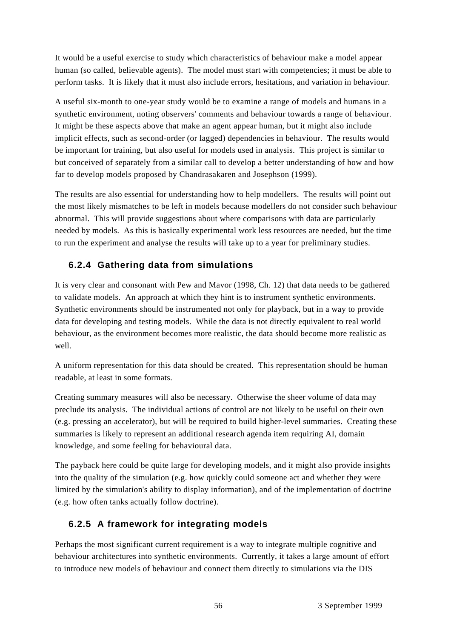It would be a useful exercise to study which characteristics of behaviour make a model appear human (so called, believable agents). The model must start with competencies; it must be able to perform tasks. It is likely that it must also include errors, hesitations, and variation in behaviour.

A useful six-month to one-year study would be to examine a range of models and humans in a synthetic environment, noting observers' comments and behaviour towards a range of behaviour. It might be these aspects above that make an agent appear human, but it might also include implicit effects, such as second-order (or lagged) dependencies in behaviour. The results would be important for training, but also useful for models used in analysis. This project is similar to but conceived of separately from a similar call to develop a better understanding of how and how far to develop models proposed by Chandrasakaren and Josephson (1999).

The results are also essential for understanding how to help modellers. The results will point out the most likely mismatches to be left in models because modellers do not consider such behaviour abnormal. This will provide suggestions about where comparisons with data are particularly needed by models. As this is basically experimental work less resources are needed, but the time to run the experiment and analyse the results will take up to a year for preliminary studies.

# **6.2.4 Gathering data from simulations**

It is very clear and consonant with Pew and Mavor (1998, Ch. 12) that data needs to be gathered to validate models. An approach at which they hint is to instrument synthetic environments. Synthetic environments should be instrumented not only for playback, but in a way to provide data for developing and testing models. While the data is not directly equivalent to real world behaviour, as the environment becomes more realistic, the data should become more realistic as well.

A uniform representation for this data should be created. This representation should be human readable, at least in some formats.

Creating summary measures will also be necessary. Otherwise the sheer volume of data may preclude its analysis. The individual actions of control are not likely to be useful on their own (e.g. pressing an accelerator), but will be required to build higher-level summaries. Creating these summaries is likely to represent an additional research agenda item requiring AI, domain knowledge, and some feeling for behavioural data.

The payback here could be quite large for developing models, and it might also provide insights into the quality of the simulation (e.g. how quickly could someone act and whether they were limited by the simulation's ability to display information), and of the implementation of doctrine (e.g. how often tanks actually follow doctrine).

# **6.2.5 A framework for integrating models**

Perhaps the most significant current requirement is a way to integrate multiple cognitive and behaviour architectures into synthetic environments. Currently, it takes a large amount of effort to introduce new models of behaviour and connect them directly to simulations via the DIS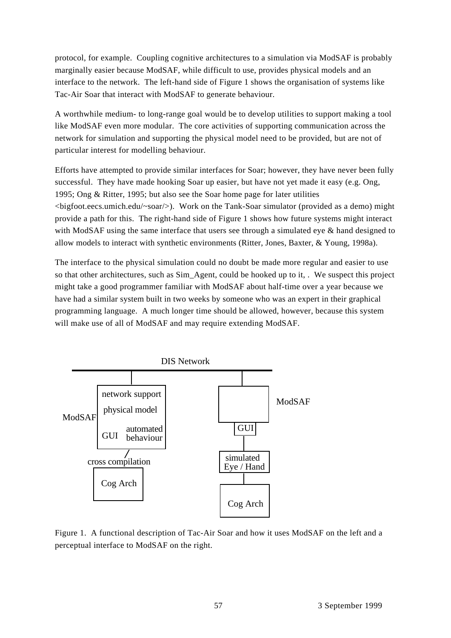protocol, for example. Coupling cognitive architectures to a simulation via ModSAF is probably marginally easier because ModSAF, while difficult to use, provides physical models and an interface to the network. The left-hand side of Figure 1 shows the organisation of systems like Tac-Air Soar that interact with ModSAF to generate behaviour.

A worthwhile medium- to long-range goal would be to develop utilities to support making a tool like ModSAF even more modular. The core activities of supporting communication across the network for simulation and supporting the physical model need to be provided, but are not of particular interest for modelling behaviour.

Efforts have attempted to provide similar interfaces for Soar; however, they have never been fully successful. They have made hooking Soar up easier, but have not yet made it easy (e.g. Ong, 1995; Ong & Ritter, 1995; but also see the Soar home page for later utilities <bigfoot.eecs.umich.edu/~soar/>). Work on the Tank-Soar simulator (provided as a demo) might provide a path for this. The right-hand side of Figure 1 shows how future systems might interact with ModSAF using the same interface that users see through a simulated eye  $\&$  hand designed to allow models to interact with synthetic environments (Ritter, Jones, Baxter, & Young, 1998a).

The interface to the physical simulation could no doubt be made more regular and easier to use so that other architectures, such as Sim\_Agent, could be hooked up to it, . We suspect this project might take a good programmer familiar with ModSAF about half-time over a year because we have had a similar system built in two weeks by someone who was an expert in their graphical programming language. A much longer time should be allowed, however, because this system will make use of all of ModSAF and may require extending ModSAF.



Figure 1. A functional description of Tac-Air Soar and how it uses ModSAF on the left and a perceptual interface to ModSAF on the right.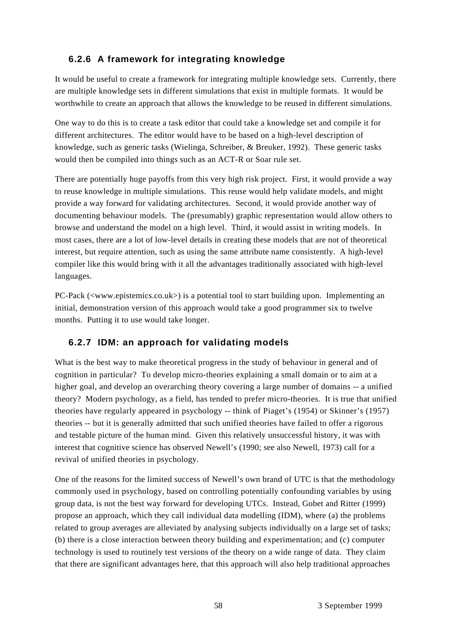# **6.2.6 A framework for integrating knowledge**

It would be useful to create a framework for integrating multiple knowledge sets. Currently, there are multiple knowledge sets in different simulations that exist in multiple formats. It would be worthwhile to create an approach that allows the knowledge to be reused in different simulations.

One way to do this is to create a task editor that could take a knowledge set and compile it for different architectures. The editor would have to be based on a high-level description of knowledge, such as generic tasks (Wielinga, Schreiber, & Breuker, 1992). These generic tasks would then be compiled into things such as an ACT-R or Soar rule set.

There are potentially huge payoffs from this very high risk project. First, it would provide a way to reuse knowledge in multiple simulations. This reuse would help validate models, and might provide a way forward for validating architectures. Second, it would provide another way of documenting behaviour models. The (presumably) graphic representation would allow others to browse and understand the model on a high level. Third, it would assist in writing models. In most cases, there are a lot of low-level details in creating these models that are not of theoretical interest, but require attention, such as using the same attribute name consistently. A high-level compiler like this would bring with it all the advantages traditionally associated with high-level languages.

PC-Pack (<www.epistemics.co.uk>) is a potential tool to start building upon. Implementing an initial, demonstration version of this approach would take a good programmer six to twelve months. Putting it to use would take longer.

# **6.2.7 IDM: an approach for validating models**

What is the best way to make theoretical progress in the study of behaviour in general and of cognition in particular? To develop micro-theories explaining a small domain or to aim at a higher goal, and develop an overarching theory covering a large number of domains -- a unified theory? Modern psychology, as a field, has tended to prefer micro-theories. It is true that unified theories have regularly appeared in psychology -- think of Piaget's (1954) or Skinner's (1957) theories -- but it is generally admitted that such unified theories have failed to offer a rigorous and testable picture of the human mind. Given this relatively unsuccessful history, it was with interest that cognitive science has observed Newell's (1990; see also Newell, 1973) call for a revival of unified theories in psychology.

One of the reasons for the limited success of Newell's own brand of UTC is that the methodology commonly used in psychology, based on controlling potentially confounding variables by using group data, is not the best way forward for developing UTCs. Instead, Gobet and Ritter (1999) propose an approach, which they call individual data modelling (IDM), where (a) the problems related to group averages are alleviated by analysing subjects individually on a large set of tasks; (b) there is a close interaction between theory building and experimentation; and (c) computer technology is used to routinely test versions of the theory on a wide range of data. They claim that there are significant advantages here, that this approach will also help traditional approaches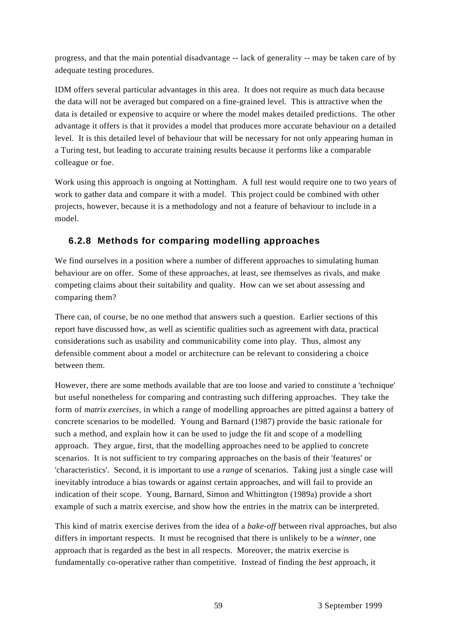progress, and that the main potential disadvantage -- lack of generality -- may be taken care of by adequate testing procedures.

IDM offers several particular advantages in this area. It does not require as much data because the data will not be averaged but compared on a fine-grained level. This is attractive when the data is detailed or expensive to acquire or where the model makes detailed predictions. The other advantage it offers is that it provides a model that produces more accurate behaviour on a detailed level. It is this detailed level of behaviour that will be necessary for not only appearing human in a Turing test, but leading to accurate training results because it performs like a comparable colleague or foe.

Work using this approach is ongoing at Nottingham. A full test would require one to two years of work to gather data and compare it with a model. This project could be combined with other projects, however, because it is a methodology and not a feature of behaviour to include in a model.

### **6.2.8 Methods for comparing modelling approaches**

We find ourselves in a position where a number of different approaches to simulating human behaviour are on offer. Some of these approaches, at least, see themselves as rivals, and make competing claims about their suitability and quality. How can we set about assessing and comparing them?

There can, of course, be no one method that answers such a question. Earlier sections of this report have discussed how, as well as scientific qualities such as agreement with data, practical considerations such as usability and communicability come into play. Thus, almost any defensible comment about a model or architecture can be relevant to considering a choice between them.

However, there are some methods available that are too loose and varied to constitute a 'technique' but useful nonetheless for comparing and contrasting such differing approaches. They take the form of *matrix exercises*, in which a range of modelling approaches are pitted against a battery of concrete scenarios to be modelled. Young and Barnard (1987) provide the basic rationale for such a method, and explain how it can be used to judge the fit and scope of a modelling approach. They argue, first, that the modelling approaches need to be applied to concrete scenarios. It is not sufficient to try comparing approaches on the basis of their 'features' or 'characteristics'. Second, it is important to use a *range* of scenarios. Taking just a single case will inevitably introduce a bias towards or against certain approaches, and will fail to provide an indication of their scope. Young, Barnard, Simon and Whittington (1989a) provide a short example of such a matrix exercise, and show how the entries in the matrix can be interpreted.

This kind of matrix exercise derives from the idea of a *bake-off* between rival approaches, but also differs in important respects. It must be recognised that there is unlikely to be a *winner*, one approach that is regarded as the best in all respects. Moreover, the matrix exercise is fundamentally co-operative rather than competitive. Instead of finding the *best* approach, it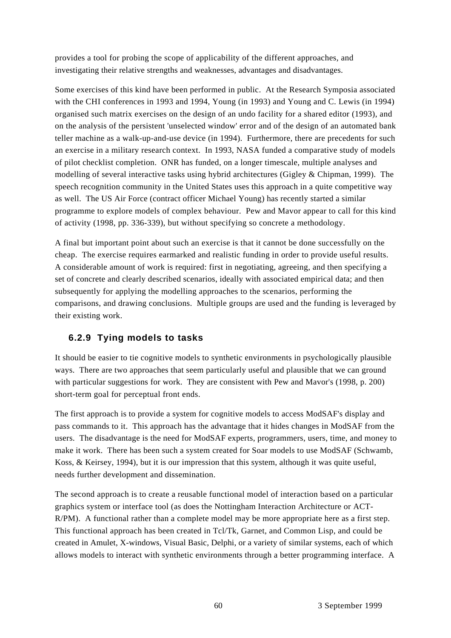provides a tool for probing the scope of applicability of the different approaches, and investigating their relative strengths and weaknesses, advantages and disadvantages.

Some exercises of this kind have been performed in public. At the Research Symposia associated with the CHI conferences in 1993 and 1994, Young (in 1993) and Young and C. Lewis (in 1994) organised such matrix exercises on the design of an undo facility for a shared editor (1993), and on the analysis of the persistent 'unselected window' error and of the design of an automated bank teller machine as a walk-up-and-use device (in 1994). Furthermore, there are precedents for such an exercise in a military research context. In 1993, NASA funded a comparative study of models of pilot checklist completion. ONR has funded, on a longer timescale, multiple analyses and modelling of several interactive tasks using hybrid architectures (Gigley & Chipman, 1999). The speech recognition community in the United States uses this approach in a quite competitive way as well. The US Air Force (contract officer Michael Young) has recently started a similar programme to explore models of complex behaviour. Pew and Mavor appear to call for this kind of activity (1998, pp. 336-339), but without specifying so concrete a methodology.

A final but important point about such an exercise is that it cannot be done successfully on the cheap. The exercise requires earmarked and realistic funding in order to provide useful results. A considerable amount of work is required: first in negotiating, agreeing, and then specifying a set of concrete and clearly described scenarios, ideally with associated empirical data; and then subsequently for applying the modelling approaches to the scenarios, performing the comparisons, and drawing conclusions. Multiple groups are used and the funding is leveraged by their existing work.

#### **6.2.9 Tying models to tasks**

It should be easier to tie cognitive models to synthetic environments in psychologically plausible ways. There are two approaches that seem particularly useful and plausible that we can ground with particular suggestions for work. They are consistent with Pew and Mavor's (1998, p. 200) short-term goal for perceptual front ends.

The first approach is to provide a system for cognitive models to access ModSAF's display and pass commands to it. This approach has the advantage that it hides changes in ModSAF from the users. The disadvantage is the need for ModSAF experts, programmers, users, time, and money to make it work. There has been such a system created for Soar models to use ModSAF (Schwamb, Koss, & Keirsey, 1994), but it is our impression that this system, although it was quite useful, needs further development and dissemination.

The second approach is to create a reusable functional model of interaction based on a particular graphics system or interface tool (as does the Nottingham Interaction Architecture or ACT-R/PM). A functional rather than a complete model may be more appropriate here as a first step. This functional approach has been created in Tcl/Tk, Garnet, and Common Lisp, and could be created in Amulet, X-windows, Visual Basic, Delphi, or a variety of similar systems, each of which allows models to interact with synthetic environments through a better programming interface. A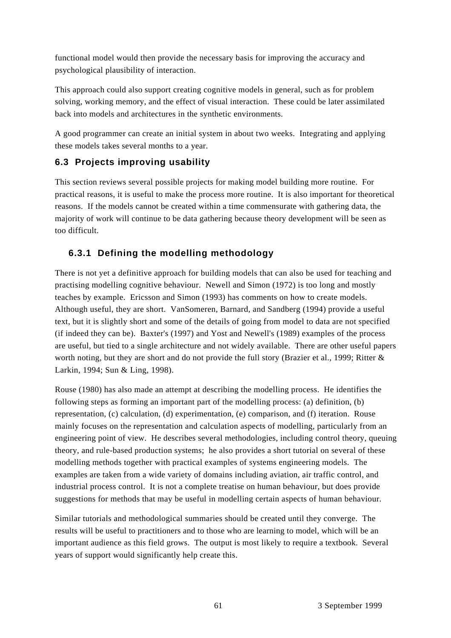functional model would then provide the necessary basis for improving the accuracy and psychological plausibility of interaction.

This approach could also support creating cognitive models in general, such as for problem solving, working memory, and the effect of visual interaction. These could be later assimilated back into models and architectures in the synthetic environments.

A good programmer can create an initial system in about two weeks. Integrating and applying these models takes several months to a year.

### **6.3 Projects improving usability**

This section reviews several possible projects for making model building more routine. For practical reasons, it is useful to make the process more routine. It is also important for theoretical reasons. If the models cannot be created within a time commensurate with gathering data, the majority of work will continue to be data gathering because theory development will be seen as too difficult.

### **6.3.1 Defining the modelling methodology**

There is not yet a definitive approach for building models that can also be used for teaching and practising modelling cognitive behaviour. Newell and Simon (1972) is too long and mostly teaches by example. Ericsson and Simon (1993) has comments on how to create models. Although useful, they are short. VanSomeren, Barnard, and Sandberg (1994) provide a useful text, but it is slightly short and some of the details of going from model to data are not specified (if indeed they can be). Baxter's (1997) and Yost and Newell's (1989) examples of the process are useful, but tied to a single architecture and not widely available. There are other useful papers worth noting, but they are short and do not provide the full story (Brazier et al., 1999; Ritter & Larkin, 1994; Sun & Ling, 1998).

Rouse (1980) has also made an attempt at describing the modelling process. He identifies the following steps as forming an important part of the modelling process: (a) definition, (b) representation, (c) calculation, (d) experimentation, (e) comparison, and (f) iteration. Rouse mainly focuses on the representation and calculation aspects of modelling, particularly from an engineering point of view. He describes several methodologies, including control theory, queuing theory, and rule-based production systems; he also provides a short tutorial on several of these modelling methods together with practical examples of systems engineering models. The examples are taken from a wide variety of domains including aviation, air traffic control, and industrial process control. It is not a complete treatise on human behaviour, but does provide suggestions for methods that may be useful in modelling certain aspects of human behaviour.

Similar tutorials and methodological summaries should be created until they converge. The results will be useful to practitioners and to those who are learning to model, which will be an important audience as this field grows. The output is most likely to require a textbook. Several years of support would significantly help create this.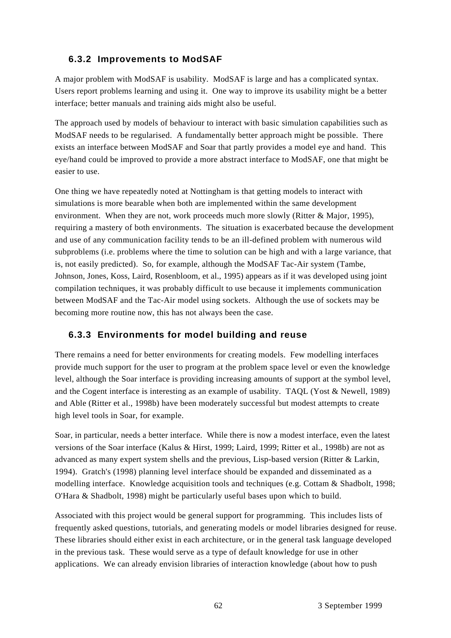### **6.3.2 Improvements to ModSAF**

A major problem with ModSAF is usability. ModSAF is large and has a complicated syntax. Users report problems learning and using it. One way to improve its usability might be a better interface; better manuals and training aids might also be useful.

The approach used by models of behaviour to interact with basic simulation capabilities such as ModSAF needs to be regularised. A fundamentally better approach might be possible. There exists an interface between ModSAF and Soar that partly provides a model eye and hand. This eye/hand could be improved to provide a more abstract interface to ModSAF, one that might be easier to use.

One thing we have repeatedly noted at Nottingham is that getting models to interact with simulations is more bearable when both are implemented within the same development environment. When they are not, work proceeds much more slowly (Ritter & Major, 1995), requiring a mastery of both environments. The situation is exacerbated because the development and use of any communication facility tends to be an ill-defined problem with numerous wild subproblems (i.e. problems where the time to solution can be high and with a large variance, that is, not easily predicted). So, for example, although the ModSAF Tac-Air system (Tambe, Johnson, Jones, Koss, Laird, Rosenbloom, et al., 1995) appears as if it was developed using joint compilation techniques, it was probably difficult to use because it implements communication between ModSAF and the Tac-Air model using sockets. Although the use of sockets may be becoming more routine now, this has not always been the case.

# **6.3.3 Environments for model building and reuse**

There remains a need for better environments for creating models. Few modelling interfaces provide much support for the user to program at the problem space level or even the knowledge level, although the Soar interface is providing increasing amounts of support at the symbol level, and the Cogent interface is interesting as an example of usability. TAQL (Yost  $&$  Newell, 1989) and Able (Ritter et al., 1998b) have been moderately successful but modest attempts to create high level tools in Soar, for example.

Soar, in particular, needs a better interface. While there is now a modest interface, even the latest versions of the Soar interface (Kalus & Hirst, 1999; Laird, 1999; Ritter et al., 1998b) are not as advanced as many expert system shells and the previous, Lisp-based version (Ritter & Larkin, 1994). Gratch's (1998) planning level interface should be expanded and disseminated as a modelling interface. Knowledge acquisition tools and techniques (e.g. Cottam & Shadbolt, 1998; O'Hara & Shadbolt, 1998) might be particularly useful bases upon which to build.

Associated with this project would be general support for programming. This includes lists of frequently asked questions, tutorials, and generating models or model libraries designed for reuse. These libraries should either exist in each architecture, or in the general task language developed in the previous task. These would serve as a type of default knowledge for use in other applications. We can already envision libraries of interaction knowledge (about how to push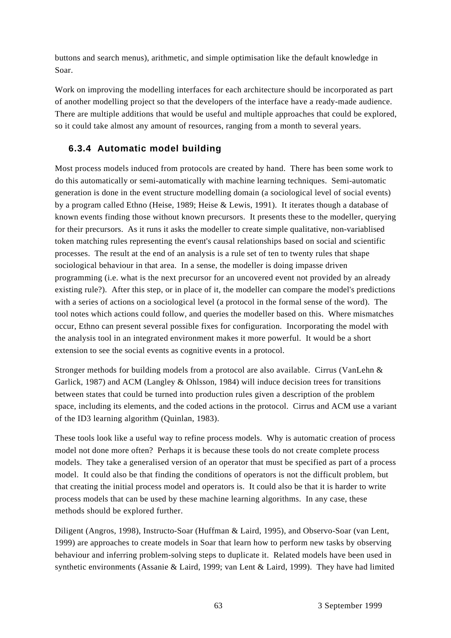buttons and search menus), arithmetic, and simple optimisation like the default knowledge in Soar.

Work on improving the modelling interfaces for each architecture should be incorporated as part of another modelling project so that the developers of the interface have a ready-made audience. There are multiple additions that would be useful and multiple approaches that could be explored, so it could take almost any amount of resources, ranging from a month to several years.

### **6.3.4 Automatic model building**

Most process models induced from protocols are created by hand. There has been some work to do this automatically or semi-automatically with machine learning techniques. Semi-automatic generation is done in the event structure modelling domain (a sociological level of social events) by a program called Ethno (Heise, 1989; Heise & Lewis, 1991). It iterates though a database of known events finding those without known precursors. It presents these to the modeller, querying for their precursors. As it runs it asks the modeller to create simple qualitative, non-variablised token matching rules representing the event's causal relationships based on social and scientific processes. The result at the end of an analysis is a rule set of ten to twenty rules that shape sociological behaviour in that area. In a sense, the modeller is doing impasse driven programming (i.e. what is the next precursor for an uncovered event not provided by an already existing rule?). After this step, or in place of it, the modeller can compare the model's predictions with a series of actions on a sociological level (a protocol in the formal sense of the word). The tool notes which actions could follow, and queries the modeller based on this. Where mismatches occur, Ethno can present several possible fixes for configuration. Incorporating the model with the analysis tool in an integrated environment makes it more powerful. It would be a short extension to see the social events as cognitive events in a protocol.

Stronger methods for building models from a protocol are also available. Cirrus (VanLehn & Garlick, 1987) and ACM (Langley & Ohlsson, 1984) will induce decision trees for transitions between states that could be turned into production rules given a description of the problem space, including its elements, and the coded actions in the protocol. Cirrus and ACM use a variant of the ID3 learning algorithm (Quinlan, 1983).

These tools look like a useful way to refine process models. Why is automatic creation of process model not done more often? Perhaps it is because these tools do not create complete process models. They take a generalised version of an operator that must be specified as part of a process model. It could also be that finding the conditions of operators is not the difficult problem, but that creating the initial process model and operators is. It could also be that it is harder to write process models that can be used by these machine learning algorithms. In any case, these methods should be explored further.

Diligent (Angros, 1998), Instructo-Soar (Huffman & Laird, 1995), and Observo-Soar (van Lent, 1999) are approaches to create models in Soar that learn how to perform new tasks by observing behaviour and inferring problem-solving steps to duplicate it. Related models have been used in synthetic environments (Assanie & Laird, 1999; van Lent & Laird, 1999). They have had limited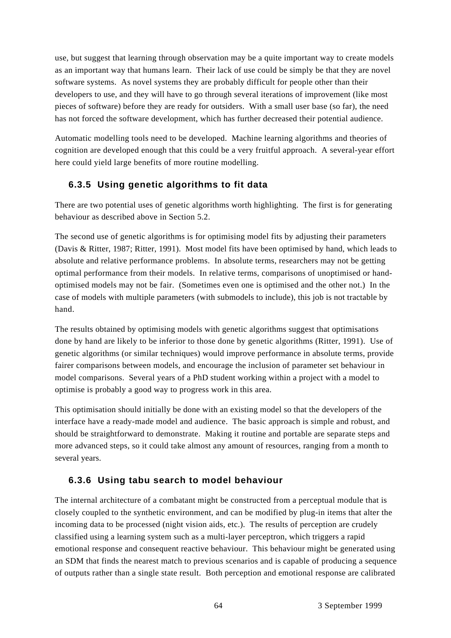use, but suggest that learning through observation may be a quite important way to create models as an important way that humans learn. Their lack of use could be simply be that they are novel software systems. As novel systems they are probably difficult for people other than their developers to use, and they will have to go through several iterations of improvement (like most pieces of software) before they are ready for outsiders. With a small user base (so far), the need has not forced the software development, which has further decreased their potential audience.

Automatic modelling tools need to be developed. Machine learning algorithms and theories of cognition are developed enough that this could be a very fruitful approach. A several-year effort here could yield large benefits of more routine modelling.

#### **6.3.5 Using genetic algorithms to fit data**

There are two potential uses of genetic algorithms worth highlighting. The first is for generating behaviour as described above in Section 5.2.

The second use of genetic algorithms is for optimising model fits by adjusting their parameters (Davis & Ritter, 1987; Ritter, 1991). Most model fits have been optimised by hand, which leads to absolute and relative performance problems. In absolute terms, researchers may not be getting optimal performance from their models. In relative terms, comparisons of unoptimised or handoptimised models may not be fair. (Sometimes even one is optimised and the other not.) In the case of models with multiple parameters (with submodels to include), this job is not tractable by hand.

The results obtained by optimising models with genetic algorithms suggest that optimisations done by hand are likely to be inferior to those done by genetic algorithms (Ritter, 1991). Use of genetic algorithms (or similar techniques) would improve performance in absolute terms, provide fairer comparisons between models, and encourage the inclusion of parameter set behaviour in model comparisons. Several years of a PhD student working within a project with a model to optimise is probably a good way to progress work in this area.

This optimisation should initially be done with an existing model so that the developers of the interface have a ready-made model and audience. The basic approach is simple and robust, and should be straightforward to demonstrate. Making it routine and portable are separate steps and more advanced steps, so it could take almost any amount of resources, ranging from a month to several years.

#### **6.3.6 Using tabu search to model behaviour**

The internal architecture of a combatant might be constructed from a perceptual module that is closely coupled to the synthetic environment, and can be modified by plug-in items that alter the incoming data to be processed (night vision aids, etc.). The results of perception are crudely classified using a learning system such as a multi-layer perceptron, which triggers a rapid emotional response and consequent reactive behaviour. This behaviour might be generated using an SDM that finds the nearest match to previous scenarios and is capable of producing a sequence of outputs rather than a single state result. Both perception and emotional response are calibrated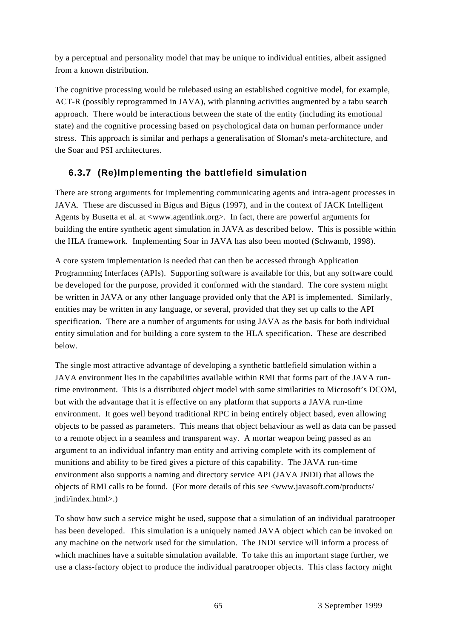by a perceptual and personality model that may be unique to individual entities, albeit assigned from a known distribution.

The cognitive processing would be rulebased using an established cognitive model, for example, ACT-R (possibly reprogrammed in JAVA), with planning activities augmented by a tabu search approach. There would be interactions between the state of the entity (including its emotional state) and the cognitive processing based on psychological data on human performance under stress. This approach is similar and perhaps a generalisation of Sloman's meta-architecture, and the Soar and PSI architectures.

# **6.3.7 (Re)Implementing the battlefield simulation**

There are strong arguments for implementing communicating agents and intra-agent processes in JAVA. These are discussed in Bigus and Bigus (1997), and in the context of JACK Intelligent Agents by Busetta et al. at <www.agentlink.org>. In fact, there are powerful arguments for building the entire synthetic agent simulation in JAVA as described below. This is possible within the HLA framework. Implementing Soar in JAVA has also been mooted (Schwamb, 1998).

A core system implementation is needed that can then be accessed through Application Programming Interfaces (APIs). Supporting software is available for this, but any software could be developed for the purpose, provided it conformed with the standard. The core system might be written in JAVA or any other language provided only that the API is implemented. Similarly, entities may be written in any language, or several, provided that they set up calls to the API specification. There are a number of arguments for using JAVA as the basis for both individual entity simulation and for building a core system to the HLA specification. These are described below.

The single most attractive advantage of developing a synthetic battlefield simulation within a JAVA environment lies in the capabilities available within RMI that forms part of the JAVA runtime environment. This is a distributed object model with some similarities to Microsoft's DCOM, but with the advantage that it is effective on any platform that supports a JAVA run-time environment. It goes well beyond traditional RPC in being entirely object based, even allowing objects to be passed as parameters. This means that object behaviour as well as data can be passed to a remote object in a seamless and transparent way. A mortar weapon being passed as an argument to an individual infantry man entity and arriving complete with its complement of munitions and ability to be fired gives a picture of this capability. The JAVA run-time environment also supports a naming and directory service API (JAVA JNDI) that allows the objects of RMI calls to be found. (For more details of this see <www.javasoft.com/products/ jndi/index.html>.)

To show how such a service might be used, suppose that a simulation of an individual paratrooper has been developed. This simulation is a uniquely named JAVA object which can be invoked on any machine on the network used for the simulation. The JNDI service will inform a process of which machines have a suitable simulation available. To take this an important stage further, we use a class-factory object to produce the individual paratrooper objects. This class factory might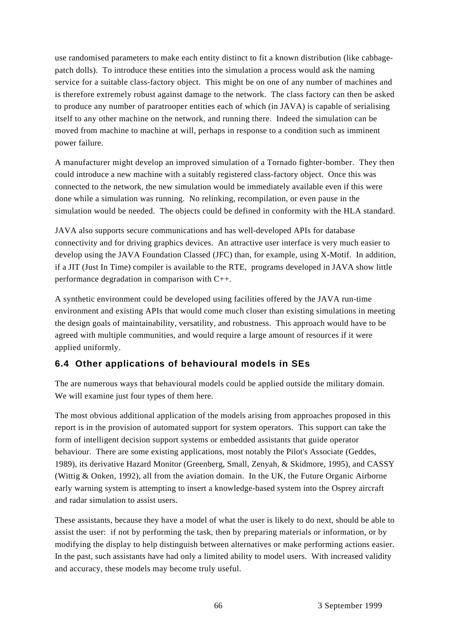use randomised parameters to make each entity distinct to fit a known distribution (like cabbagepatch dolls). To introduce these entities into the simulation a process would ask the naming service for a suitable class-factory object. This might be on one of any number of machines and is therefore extremely robust against damage to the network. The class factory can then be asked to produce any number of paratrooper entities each of which (in JAVA) is capable of serialising itself to any other machine on the network, and running there. Indeed the simulation can be moved from machine to machine at will, perhaps in response to a condition such as imminent power failure.

A manufacturer might develop an improved simulation of a Tornado fighter-bomber. They then could introduce a new machine with a suitably registered class-factory object. Once this was connected to the network, the new simulation would be immediately available even if this were done while a simulation was running. No relinking, recompilation, or even pause in the simulation would be needed. The objects could be defined in conformity with the HLA standard.

JAVA also supports secure communications and has well-developed APIs for database connectivity and for driving graphics devices. An attractive user interface is very much easier to develop using the JAVA Foundation Classed (JFC) than, for example, using X-Motif. In addition, if a JIT (Just In Time) compiler is available to the RTE, programs developed in JAVA show little performance degradation in comparison with C++.

A synthetic environment could be developed using facilities offered by the JAVA run-time environment and existing APIs that would come much closer than existing simulations in meeting the design goals of maintainability, versatility, and robustness. This approach would have to be agreed with multiple communities, and would require a large amount of resources if it were applied uniformly.

#### **6.4 Other applications of behavioural models in SEs**

The are numerous ways that behavioural models could be applied outside the military domain. We will examine just four types of them here.

The most obvious additional application of the models arising from approaches proposed in this report is in the provision of automated support for system operators. This support can take the form of intelligent decision support systems or embedded assistants that guide operator behaviour. There are some existing applications, most notably the Pilot's Associate (Geddes, 1989), its derivative Hazard Monitor (Greenberg, Small, Zenyah, & Skidmore, 1995), and CASSY (Wittig & Onken, 1992), all from the aviation domain. In the UK, the Future Organic Airborne early warning system is attempting to insert a knowledge-based system into the Osprey aircraft and radar simulation to assist users.

These assistants, because they have a model of what the user is likely to do next, should be able to assist the user: if not by performing the task, then by preparing materials or information, or by modifying the display to help distinguish between alternatives or make performing actions easier. In the past, such assistants have had only a limited ability to model users. With increased validity and accuracy, these models may become truly useful.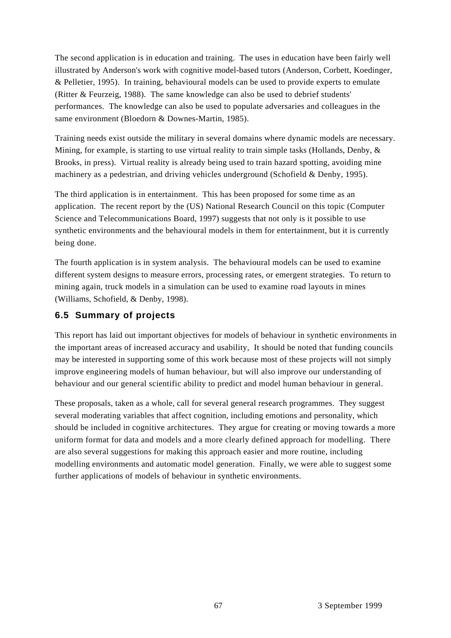The second application is in education and training. The uses in education have been fairly well illustrated by Anderson's work with cognitive model-based tutors (Anderson, Corbett, Koedinger, & Pelletier, 1995). In training, behavioural models can be used to provide experts to emulate (Ritter & Feurzeig, 1988). The same knowledge can also be used to debrief students' performances. The knowledge can also be used to populate adversaries and colleagues in the same environment (Bloedorn & Downes-Martin, 1985).

Training needs exist outside the military in several domains where dynamic models are necessary. Mining, for example, is starting to use virtual reality to train simple tasks (Hollands, Denby, & Brooks, in press). Virtual reality is already being used to train hazard spotting, avoiding mine machinery as a pedestrian, and driving vehicles underground (Schofield & Denby, 1995).

The third application is in entertainment. This has been proposed for some time as an application. The recent report by the (US) National Research Council on this topic (Computer Science and Telecommunications Board, 1997) suggests that not only is it possible to use synthetic environments and the behavioural models in them for entertainment, but it is currently being done.

The fourth application is in system analysis. The behavioural models can be used to examine different system designs to measure errors, processing rates, or emergent strategies. To return to mining again, truck models in a simulation can be used to examine road layouts in mines (Williams, Schofield, & Denby, 1998).

## **6.5 Summary of projects**

This report has laid out important objectives for models of behaviour in synthetic environments in the important areas of increased accuracy and usability, It should be noted that funding councils may be interested in supporting some of this work because most of these projects will not simply improve engineering models of human behaviour, but will also improve our understanding of behaviour and our general scientific ability to predict and model human behaviour in general.

These proposals, taken as a whole, call for several general research programmes. They suggest several moderating variables that affect cognition, including emotions and personality, which should be included in cognitive architectures. They argue for creating or moving towards a more uniform format for data and models and a more clearly defined approach for modelling. There are also several suggestions for making this approach easier and more routine, including modelling environments and automatic model generation. Finally, we were able to suggest some further applications of models of behaviour in synthetic environments.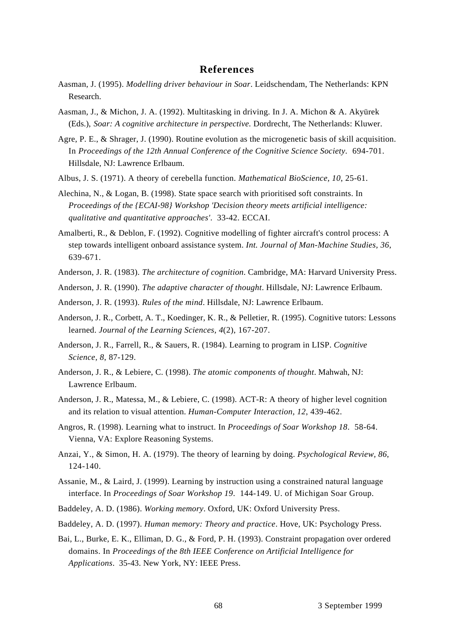#### **References**

- Aasman, J. (1995). *Modelling driver behaviour in Soar*. Leidschendam, The Netherlands: KPN Research.
- Aasman, J., & Michon, J. A. (1992). Multitasking in driving. In J. A. Michon & A. Akyürek (Eds.), *Soar: A cognitive architecture in perspective.* Dordrecht, The Netherlands: Kluwer.
- Agre, P. E., & Shrager, J. (1990). Routine evolution as the microgenetic basis of skill acquisition. In *Proceedings of the 12th Annual Conference of the Cognitive Science Society*. 694-701. Hillsdale, NJ: Lawrence Erlbaum.
- Albus, J. S. (1971). A theory of cerebella function. *Mathematical BioScience, 10*, 25-61.
- Alechina, N., & Logan, B. (1998). State space search with prioritised soft constraints. In *Proceedings of the {ECAI-98} Workshop 'Decision theory meets artificial intelligence: qualitative and quantitative approaches'*. 33-42. ECCAI.
- Amalberti, R., & Deblon, F. (1992). Cognitive modelling of fighter aircraft's control process: A step towards intelligent onboard assistance system. *Int. Journal of Man-Machine Studies, 36*, 639-671.
- Anderson, J. R. (1983). *The architecture of cognition*. Cambridge, MA: Harvard University Press.
- Anderson, J. R. (1990). *The adaptive character of thought*. Hillsdale, NJ: Lawrence Erlbaum.
- Anderson, J. R. (1993). *Rules of the mind*. Hillsdale, NJ: Lawrence Erlbaum.
- Anderson, J. R., Corbett, A. T., Koedinger, K. R., & Pelletier, R. (1995). Cognitive tutors: Lessons learned. *Journal of the Learning Sciences, 4*(2), 167-207.
- Anderson, J. R., Farrell, R., & Sauers, R. (1984). Learning to program in LISP. *Cognitive Science, 8*, 87-129.
- Anderson, J. R., & Lebiere, C. (1998). *The atomic components of thought*. Mahwah, NJ: Lawrence Erlbaum.
- Anderson, J. R., Matessa, M., & Lebiere, C. (1998). ACT-R: A theory of higher level cognition and its relation to visual attention. *Human-Computer Interaction, 12*, 439-462.
- Angros, R. (1998). Learning what to instruct. In *Proceedings of Soar Workshop 18*. 58-64. Vienna, VA: Explore Reasoning Systems.
- Anzai, Y., & Simon, H. A. (1979). The theory of learning by doing. *Psychological Review, 86*, 124-140.
- Assanie, M., & Laird, J. (1999). Learning by instruction using a constrained natural language interface. In *Proceedings of Soar Workshop 19*. 144-149. U. of Michigan Soar Group.
- Baddeley, A. D. (1986). *Working memory*. Oxford, UK: Oxford University Press.
- Baddeley, A. D. (1997). *Human memory: Theory and practice*. Hove, UK: Psychology Press.
- Bai, L., Burke, E. K., Elliman, D. G., & Ford, P. H. (1993). Constraint propagation over ordered domains. In *Proceedings of the 8th IEEE Conference on Artificial Intelligence for Applications*. 35-43. New York, NY: IEEE Press.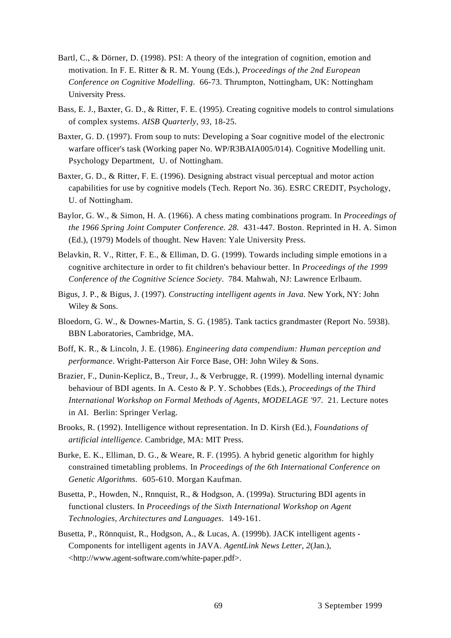- Bartl, C., & Dörner, D. (1998). PSI: A theory of the integration of cognition, emotion and motivation. In F. E. Ritter & R. M. Young (Eds.), *Proceedings of the 2nd European Conference on Cognitive Modelling*. 66-73. Thrumpton, Nottingham, UK: Nottingham University Press.
- Bass, E. J., Baxter, G. D., & Ritter, F. E. (1995). Creating cognitive models to control simulations of complex systems. *AISB Quarterly, 93*, 18-25.
- Baxter, G. D. (1997). From soup to nuts: Developing a Soar cognitive model of the electronic warfare officer's task (Working paper No. WP/R3BAIA005/014). Cognitive Modelling unit. Psychology Department, U. of Nottingham.
- Baxter, G. D., & Ritter, F. E. (1996). Designing abstract visual perceptual and motor action capabilities for use by cognitive models (Tech. Report No. 36). ESRC CREDIT, Psychology, U. of Nottingham.
- Baylor, G. W., & Simon, H. A. (1966). A chess mating combinations program. In *Proceedings of the 1966 Spring Joint Computer Conference. 28*. 431-447. Boston. Reprinted in H. A. Simon (Ed.), (1979) Models of thought. New Haven: Yale University Press.
- Belavkin, R. V., Ritter, F. E., & Elliman, D. G. (1999). Towards including simple emotions in a cognitive architecture in order to fit children's behaviour better. In *Proceedings of the 1999 Conference of the Cognitive Science Society*. 784. Mahwah, NJ: Lawrence Erlbaum.
- Bigus, J. P., & Bigus, J. (1997). *Constructing intelligent agents in Java*. New York, NY: John Wiley & Sons.
- Bloedorn, G. W., & Downes-Martin, S. G. (1985). Tank tactics grandmaster (Report No. 5938). BBN Laboratories, Cambridge, MA.
- Boff, K. R., & Lincoln, J. E. (1986). *Engineering data compendium: Human perception and performance*. Wright-Patterson Air Force Base, OH: John Wiley & Sons.
- Brazier, F., Dunin-Keplicz, B., Treur, J., & Verbrugge, R. (1999). Modelling internal dynamic behaviour of BDI agents. In A. Cesto & P. Y. Schobbes (Eds.), *Proceedings of the Third International Workshop on Formal Methods of Agents, MODELAGE '97*. 21. Lecture notes in AI. Berlin: Springer Verlag.
- Brooks, R. (1992). Intelligence without representation. In D. Kirsh (Ed.), *Foundations of artificial intelligence.* Cambridge, MA: MIT Press.
- Burke, E. K., Elliman, D. G., & Weare, R. F. (1995). A hybrid genetic algorithm for highly constrained timetabling problems. In *Proceedings of the 6th International Conference on Genetic Algorithms*. 605-610. Morgan Kaufman.
- Busetta, P., Howden, N., Rnnquist, R., & Hodgson, A. (1999a). Structuring BDI agents in functional clusters. In *Proceedings of the Sixth International Workshop on Agent Technologies, Architectures and Languages*. 149-161.
- Busetta, P., Rönnquist, R., Hodgson, A., & Lucas, A. (1999b). JACK intelligent agents Components for intelligent agents in JAVA. *AgentLink News Letter, 2*(Jan.), <http://www.agent-software.com/white-paper.pdf>.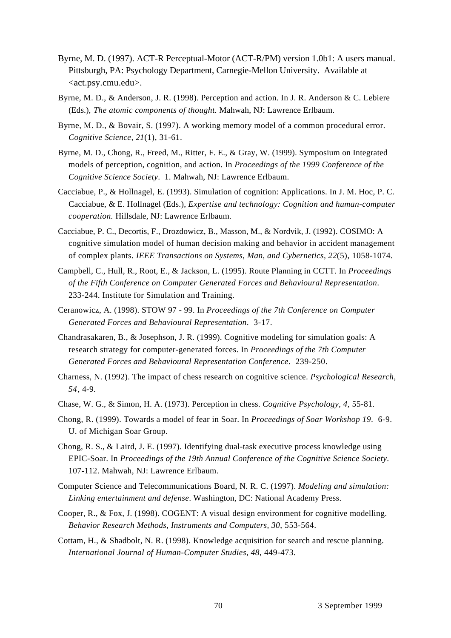- Byrne, M. D. (1997). ACT-R Perceptual-Motor (ACT-R/PM) version 1.0b1: A users manual. Pittsburgh, PA: Psychology Department, Carnegie-Mellon University. Available at <act.psy.cmu.edu>.
- Byrne, M. D., & Anderson, J. R. (1998). Perception and action. In J. R. Anderson & C. Lebiere (Eds.), *The atomic components of thought.* Mahwah, NJ: Lawrence Erlbaum.
- Byrne, M. D., & Bovair, S. (1997). A working memory model of a common procedural error. *Cognitive Science, 21*(1), 31-61.
- Byrne, M. D., Chong, R., Freed, M., Ritter, F. E., & Gray, W. (1999). Symposium on Integrated models of perception, cognition, and action. In *Proceedings of the 1999 Conference of the Cognitive Science Society*. 1. Mahwah, NJ: Lawrence Erlbaum.
- Cacciabue, P., & Hollnagel, E. (1993). Simulation of cognition: Applications. In J. M. Hoc, P. C. Cacciabue, & E. Hollnagel (Eds.), *Expertise and technology: Cognition and human-computer cooperation.* Hillsdale, NJ: Lawrence Erlbaum.
- Cacciabue, P. C., Decortis, F., Drozdowicz, B., Masson, M., & Nordvik, J. (1992). COSIMO: A cognitive simulation model of human decision making and behavior in accident management of complex plants. *IEEE Transactions on Systems, Man, and Cybernetics, 22*(5), 1058-1074.
- Campbell, C., Hull, R., Root, E., & Jackson, L. (1995). Route Planning in CCTT. In *Proceedings of the Fifth Conference on Computer Generated Forces and Behavioural Representation*. 233-244. Institute for Simulation and Training.
- Ceranowicz, A. (1998). STOW 97 99. In *Proceedings of the 7th Conference on Computer Generated Forces and Behavioural Representation*. 3-17.
- Chandrasakaren, B., & Josephson, J. R. (1999). Cognitive modeling for simulation goals: A research strategy for computer-generated forces. In *Proceedings of the 7th Computer Generated Forces and Behavioural Representation Conference*. 239-250.
- Charness, N. (1992). The impact of chess research on cognitive science. *Psychological Research, 54*, 4-9.
- Chase, W. G., & Simon, H. A. (1973). Perception in chess. *Cognitive Psychology, 4*, 55-81.
- Chong, R. (1999). Towards a model of fear in Soar. In *Proceedings of Soar Workshop 19*. 6-9. U. of Michigan Soar Group.
- Chong, R. S., & Laird, J. E. (1997). Identifying dual-task executive process knowledge using EPIC-Soar. In *Proceedings of the 19th Annual Conference of the Cognitive Science Society*. 107-112. Mahwah, NJ: Lawrence Erlbaum.
- Computer Science and Telecommunications Board, N. R. C. (1997). *Modeling and simulation: Linking entertainment and defense*. Washington, DC: National Academy Press.
- Cooper, R., & Fox, J. (1998). COGENT: A visual design environment for cognitive modelling. *Behavior Research Methods, Instruments and Computers, 30*, 553-564.
- Cottam, H., & Shadbolt, N. R. (1998). Knowledge acquisition for search and rescue planning. *International Journal of Human-Computer Studies, 48*, 449-473.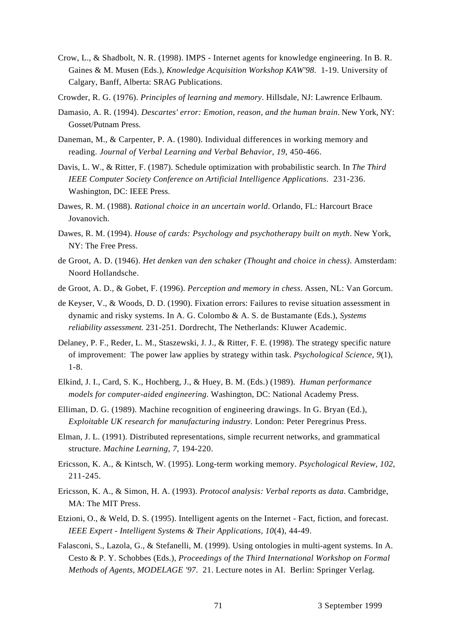- Crow, L., & Shadbolt, N. R. (1998). IMPS Internet agents for knowledge engineering. In B. R. Gaines & M. Musen (Eds.), *Knowledge Acquisition Workshop KAW'98*. 1-19. University of Calgary, Banff, Alberta: SRAG Publications.
- Crowder, R. G. (1976). *Principles of learning and memory*. Hillsdale, NJ: Lawrence Erlbaum.
- Damasio, A. R. (1994). *Descartes' error: Emotion, reason, and the human brain*. New York, NY: Gosset/Putnam Press.
- Daneman, M., & Carpenter, P. A. (1980). Individual differences in working memory and reading. *Journal of Verbal Learning and Verbal Behavior, 19*, 450-466.
- Davis, L. W., & Ritter, F. (1987). Schedule optimization with probabilistic search. In *The Third IEEE Computer Society Conference on Artificial Intelligence Applications*. 231-236. Washington, DC: IEEE Press.
- Dawes, R. M. (1988). *Rational choice in an uncertain world*. Orlando, FL: Harcourt Brace Jovanovich.
- Dawes, R. M. (1994). *House of cards: Psychology and psychotherapy built on myth*. New York, NY: The Free Press.
- de Groot, A. D. (1946). *Het denken van den schaker (Thought and choice in chess)*. Amsterdam: Noord Hollandsche.
- de Groot, A. D., & Gobet, F. (1996). *Perception and memory in chess*. Assen, NL: Van Gorcum.
- de Keyser, V., & Woods, D. D. (1990). Fixation errors: Failures to revise situation assessment in dynamic and risky systems. In A. G. Colombo & A. S. de Bustamante (Eds.), *Systems reliability assessment.* 231-251. Dordrecht, The Netherlands: Kluwer Academic.
- Delaney, P. F., Reder, L. M., Staszewski, J. J., & Ritter, F. E. (1998). The strategy specific nature of improvement: The power law applies by strategy within task. *Psychological Science, 9*(1), 1-8.
- Elkind, J. I., Card, S. K., Hochberg, J., & Huey, B. M. (Eds.) (1989). *Human performance models for computer-aided engineering*. Washington, DC: National Academy Press.
- Elliman, D. G. (1989). Machine recognition of engineering drawings. In G. Bryan (Ed.), *Exploitable UK research for manufacturing industry.* London: Peter Peregrinus Press.
- Elman, J. L. (1991). Distributed representations, simple recurrent networks, and grammatical structure. *Machine Learning, 7*, 194-220.
- Ericsson, K. A., & Kintsch, W. (1995). Long-term working memory. *Psychological Review, 102*, 211-245.
- Ericsson, K. A., & Simon, H. A. (1993). *Protocol analysis: Verbal reports as data*. Cambridge, MA: The MIT Press.
- Etzioni, O., & Weld, D. S. (1995). Intelligent agents on the Internet Fact, fiction, and forecast. *IEEE Expert - Intelligent Systems & Their Applications, 10*(4), 44-49.
- Falasconi, S., Lazola, G., & Stefanelli, M. (1999). Using ontologies in multi-agent systems. In A. Cesto & P. Y. Schobbes (Eds.), *Proceedings of the Third International Workshop on Formal Methods of Agents, MODELAGE '97*. 21. Lecture notes in AI. Berlin: Springer Verlag.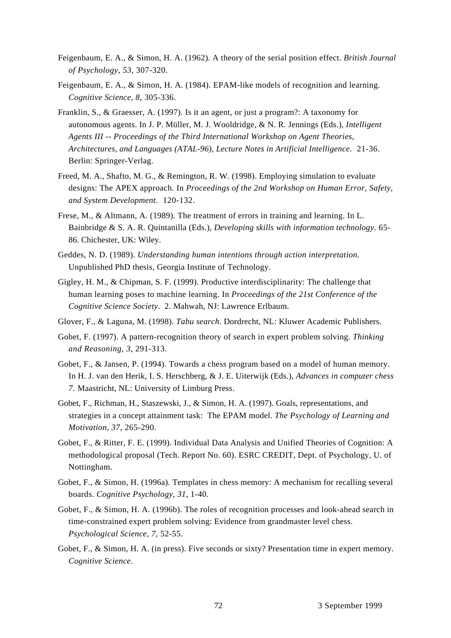- Feigenbaum, E. A., & Simon, H. A. (1962). A theory of the serial position effect. *British Journal of Psychology, 53*, 307-320.
- Feigenbaum, E. A., & Simon, H. A. (1984). EPAM-like models of recognition and learning. *Cognitive Science, 8*, 305-336.
- Franklin, S., & Graesser, A. (1997). Is it an agent, or just a program?: A taxonomy for autonomous agents. In J. P. Müller, M. J. Wooldridge, & N. R. Jennings (Eds.), *Intelligent Agents III -- Proceedings of the Third International Workshop on Agent Theories, Architectures, and Languages (ATAL-96), Lecture Notes in Artificial Intelligence*. 21-36. Berlin: Springer-Verlag.
- Freed, M. A., Shafto, M. G., & Remington, R. W. (1998). Employing simulation to evaluate designs: The APEX approach. In *Proceedings of the 2nd Workshop on Human Error, Safety, and System Development*. 120-132.
- Frese, M., & Altmann, A. (1989). The treatment of errors in training and learning. In L. Bainbridge & S. A. R. Quintanilla (Eds.), *Developing skills with information technology.* 65- 86. Chichester, UK: Wiley.
- Geddes, N. D. (1989). *Understanding human intentions through action interpretation*. Unpublished PhD thesis, Georgia Institute of Technology.
- Gigley, H. M., & Chipman, S. F. (1999). Productive interdisciplinarity: The challenge that human learning poses to machine learning. In *Proceedings of the 21st Conference of the Cognitive Science Society*. 2. Mahwah, NJ: Lawrence Erlbaum.
- Glover, F., & Laguna, M. (1998). *Tabu search*. Dordrecht, NL: Kluwer Academic Publishers.
- Gobet, F. (1997). A pattern-recognition theory of search in expert problem solving. *Thinking and Reasoning, 3*, 291-313.
- Gobet, F., & Jansen, P. (1994). Towards a chess program based on a model of human memory. In H. J. van den Herik, I. S. Herschberg, & J. E. Uiterwijk (Eds.), *Advances in computer chess 7.* Maastricht, NL: University of Limburg Press.
- Gobet, F., Richman, H., Staszewski, J., & Simon, H. A. (1997). Goals, representations, and strategies in a concept attainment task: The EPAM model. *The Psychology of Learning and Motivation, 37*, 265-290.
- Gobet, F., & Ritter, F. E. (1999). Individual Data Analysis and Unified Theories of Cognition: A methodological proposal (Tech. Report No. 60). ESRC CREDIT, Dept. of Psychology, U. of Nottingham.
- Gobet, F., & Simon, H. (1996a). Templates in chess memory: A mechanism for recalling several boards. *Cognitive Psychology, 31*, 1-40.
- Gobet, F., & Simon, H. A. (1996b). The roles of recognition processes and look-ahead search in time-constrained expert problem solving: Evidence from grandmaster level chess. *Psychological Science, 7*, 52-55.
- Gobet, F., & Simon, H. A. (in press). Five seconds or sixty? Presentation time in expert memory. *Cognitive Science*.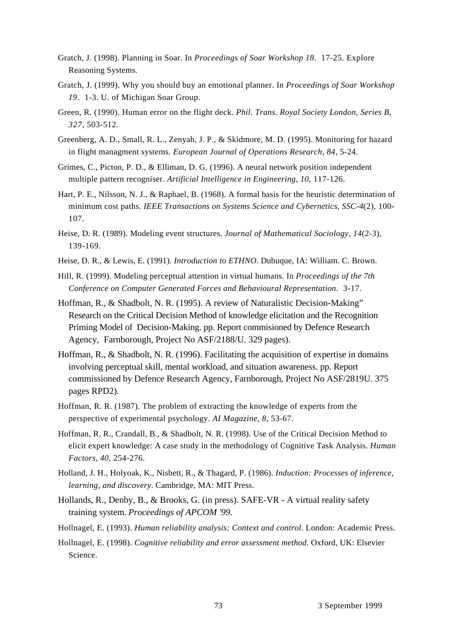- Gratch, J. (1998). Planning in Soar. In *Proceedings of Soar Workshop 18*. 17-25. Explore Reasoning Systems.
- Gratch, J. (1999). Why you should buy an emotional planner. In *Proceedings of Soar Workshop 19*. 1-3. U. of Michigan Soar Group.
- Green, R. (1990). Human error on the flight deck. *Phil. Trans. Royal Society London, Series B, 327*, 503-512.
- Greenberg, A. D., Small, R. L., Zenyah, J. P., & Skidmore, M. D. (1995). Monitoring for hazard in flight managment systems. *European Journal of Operations Research, 84*, 5-24.
- Grimes, C., Picton, P. D., & Elliman, D. G. (1996). A neural network position independent multiple pattern recogniser. *Artificial Intelligence in Engineering, 10*, 117-126.
- Hart, P. E., Nilsson, N. J., & Raphael, B. (1968). A formal basis for the heuristic determination of minimum cost paths. *IEEE Transactions on Systems Science and Cybernetics, SSC-4*(2), 100- 107.
- Heise, D. R. (1989). Modeling event structures. *Journal of Mathematical Sociology, 14*(2-3), 139-169.
- Heise, D. R., & Lewis, E. (1991). *Introduction to ETHNO*. Dubuque, IA: William. C. Brown.
- Hill, R. (1999). Modeling perceptual attention in virtual humans. In *Proceedings of the 7th Conference on Computer Generated Forces and Behavioural Representation*. 3-17.
- Hoffman, R., & Shadbolt, N. R. (1995). A review of Naturalistic Decision-Making" Research on the Critical Decision Method of knowledge elicitation and the Recognition Priming Model of Decision-Making. pp. Report commisioned by Defence Research Agency, Farnborough, Project No ASF/2188/U. 329 pages).
- Hoffman, R., & Shadbolt, N. R. (1996). Facilitating the acquisition of expertise in domains involving perceptual skill, mental workload, and situation awareness. pp. Report commissioned by Defence Research Agency, Farnborough, Project No ASF/2819U. 375 pages RPD2).
- Hoffman, R. R. (1987). The problem of extracting the knowledge of experts from the perspective of experimental psychology. *AI Magazine, 8*, 53-67.
- Hoffman, R. R., Crandall, B., & Shadbolt, N. R. (1998). Use of the Critical Decision Method to elicit expert knowledge: A case study in the methodology of Cognitive Task Analysis. *Human Factors, 40*, 254-276.
- Holland, J. H., Holyoak, K., Nisbett, R., & Thagard, P. (1986). *Induction: Processes of inference, learning, and discovery*. Cambridge, MA: MIT Press.
- Hollands, R., Denby, B., & Brooks, G. (in press). SAFE-VR A virtual reality safety training system. *Proceedings of APCOM '99.*
- Hollnagel, E. (1993). *Human reliability analysis: Context and control*. London: Academic Press.
- Hollnagel, E. (1998). *Cognitive reliability and error assessment method*. Oxford, UK: Elsevier Science.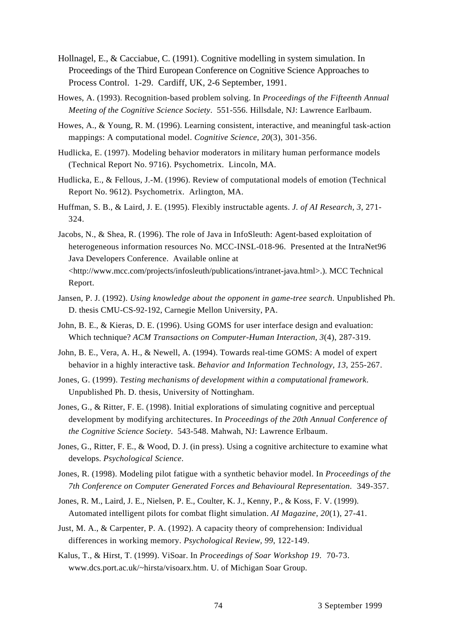- Hollnagel, E., & Cacciabue, C. (1991). Cognitive modelling in system simulation. In Proceedings of the Third European Conference on Cognitive Science Approaches to Process Control. 1-29. Cardiff, UK, 2-6 September, 1991.
- Howes, A. (1993). Recognition-based problem solving. In *Proceedings of the Fifteenth Annual Meeting of the Cognitive Science Society*. 551-556. Hillsdale, NJ: Lawrence Earlbaum.
- Howes, A., & Young, R. M. (1996). Learning consistent, interactive, and meaningful task-action mappings: A computational model. *Cognitive Science, 20*(3), 301-356.
- Hudlicka, E. (1997). Modeling behavior moderators in military human performance models (Technical Report No. 9716). Psychometrix. Lincoln, MA.
- Hudlicka, E., & Fellous, J.-M. (1996). Review of computational models of emotion (Technical Report No. 9612). Psychometrix. Arlington, MA.
- Huffman, S. B., & Laird, J. E. (1995). Flexibly instructable agents. *J. of AI Research, 3*, 271- 324.
- Jacobs, N., & Shea, R. (1996). The role of Java in InfoSleuth: Agent-based exploitation of heterogeneous information resources No. MCC-INSL-018-96. Presented at the IntraNet96 Java Developers Conference. Available online at <http://www.mcc.com/projects/infosleuth/publications/intranet-java.html>.). MCC Technical Report.
- Jansen, P. J. (1992). *Using knowledge about the opponent in game-tree search*. Unpublished Ph. D. thesis CMU-CS-92-192, Carnegie Mellon University, PA.
- John, B. E., & Kieras, D. E. (1996). Using GOMS for user interface design and evaluation: Which technique? *ACM Transactions on Computer-Human Interaction, 3*(4), 287-319.
- John, B. E., Vera, A. H., & Newell, A. (1994). Towards real-time GOMS: A model of expert behavior in a highly interactive task. *Behavior and Information Technology, 13*, 255-267.
- Jones, G. (1999). *Testing mechanisms of development within a computational framework*. Unpublished Ph. D. thesis, University of Nottingham.
- Jones, G., & Ritter, F. E. (1998). Initial explorations of simulating cognitive and perceptual development by modifying architectures. In *Proceedings of the 20th Annual Conference of the Cognitive Science Society*. 543-548. Mahwah, NJ: Lawrence Erlbaum.
- Jones, G., Ritter, F. E., & Wood, D. J. (in press). Using a cognitive architecture to examine what develops. *Psychological Science*.
- Jones, R. (1998). Modeling pilot fatigue with a synthetic behavior model. In *Proceedings of the 7th Conference on Computer Generated Forces and Behavioural Representation*. 349-357.
- Jones, R. M., Laird, J. E., Nielsen, P. E., Coulter, K. J., Kenny, P., & Koss, F. V. (1999). Automated intelligent pilots for combat flight simulation. *AI Magazine, 20*(1), 27-41.
- Just, M. A., & Carpenter, P. A. (1992). A capacity theory of comprehension: Individual differences in working memory. *Psychological Review, 99*, 122-149.
- Kalus, T., & Hirst, T. (1999). ViSoar. In *Proceedings of Soar Workshop 19*. 70-73. www.dcs.port.ac.uk/~hirsta/visoarx.htm. U. of Michigan Soar Group.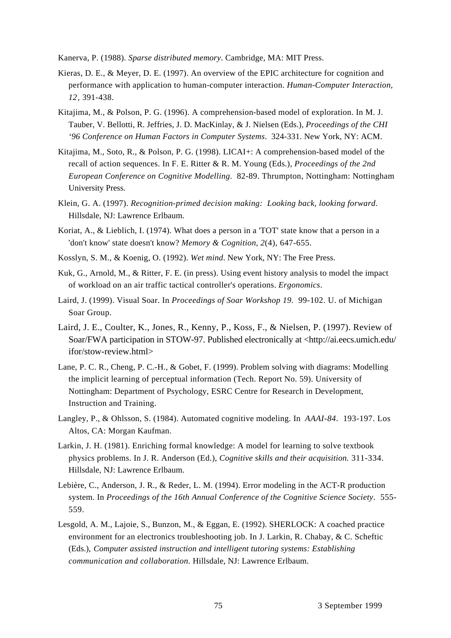Kanerva, P. (1988). *Sparse distributed memory*. Cambridge, MA: MIT Press.

- Kieras, D. E., & Meyer, D. E. (1997). An overview of the EPIC architecture for cognition and performance with application to human-computer interaction. *Human-Computer Interaction, 12*, 391-438.
- Kitajima, M., & Polson, P. G. (1996). A comprehension-based model of exploration. In M. J. Tauber, V. Bellotti, R. Jeffries, J. D. MacKinlay, & J. Nielsen (Eds.), *Proceedings of the CHI '96 Conference on Human Factors in Computer Systems*. 324-331. New York, NY: ACM.
- Kitajima, M., Soto, R., & Polson, P. G. (1998). LICAI+: A comprehension-based model of the recall of action sequences. In F. E. Ritter & R. M. Young (Eds.), *Proceedings of the 2nd European Conference on Cognitive Modelling*. 82-89. Thrumpton, Nottingham: Nottingham University Press.
- Klein, G. A. (1997). *Recognition-primed decision making: Looking back, looking forward*. Hillsdale, NJ: Lawrence Erlbaum.
- Koriat, A., & Lieblich, I. (1974). What does a person in a 'TOT' state know that a person in a 'don't know' state doesn't know? *Memory & Cognition, 2*(4), 647-655.
- Kosslyn, S. M., & Koenig, O. (1992). *Wet mind*. New York, NY: The Free Press.
- Kuk, G., Arnold, M., & Ritter, F. E. (in press). Using event history analysis to model the impact of workload on an air traffic tactical controller's operations. *Ergonomics*.
- Laird, J. (1999). Visual Soar. In *Proceedings of Soar Workshop 19*. 99-102. U. of Michigan Soar Group.
- Laird, J. E., Coulter, K., Jones, R., Kenny, P., Koss, F., & Nielsen, P. (1997). Review of Soar/FWA participation in STOW-97. Published electronically at <http://ai.eecs.umich.edu/ ifor/stow-review.html>
- Lane, P. C. R., Cheng, P. C.-H., & Gobet, F. (1999). Problem solving with diagrams: Modelling the implicit learning of perceptual information (Tech. Report No. 59). University of Nottingham: Department of Psychology, ESRC Centre for Research in Development, Instruction and Training.
- Langley, P., & Ohlsson, S. (1984). Automated cognitive modeling. In *AAAI-84*. 193-197. Los Altos, CA: Morgan Kaufman.
- Larkin, J. H. (1981). Enriching formal knowledge: A model for learning to solve textbook physics problems. In J. R. Anderson (Ed.), *Cognitive skills and their acquisition.* 311-334. Hillsdale, NJ: Lawrence Erlbaum.
- Lebière, C., Anderson, J. R., & Reder, L. M. (1994). Error modeling in the ACT-R production system. In *Proceedings of the 16th Annual Conference of the Cognitive Science Society*. 555- 559.
- Lesgold, A. M., Lajoie, S., Bunzon, M., & Eggan, E. (1992). SHERLOCK: A coached practice environment for an electronics troubleshooting job. In J. Larkin, R. Chabay, & C. Scheftic (Eds.), *Computer assisted instruction and intelligent tutoring systems: Establishing communication and collaboration.* Hillsdale, NJ: Lawrence Erlbaum.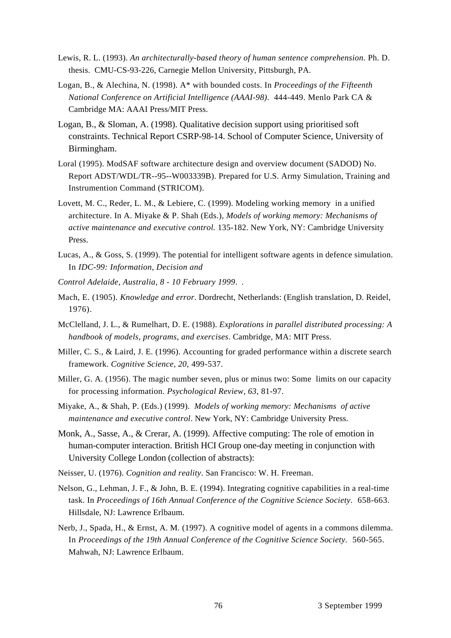- Lewis, R. L. (1993). *An architecturally-based theory of human sentence comprehension*. Ph. D. thesis. CMU-CS-93-226, Carnegie Mellon University, Pittsburgh, PA.
- Logan, B., & Alechina, N. (1998). A\* with bounded costs. In *Proceedings of the Fifteenth National Conference on Artificial Intelligence (AAAI-98)*. 444-449. Menlo Park CA & Cambridge MA: AAAI Press/MIT Press.
- Logan, B., & Sloman, A. (1998). Qualitative decision support using prioritised soft constraints. Technical Report CSRP-98-14. School of Computer Science, University of Birmingham.
- Loral (1995). ModSAF software architecture design and overview document (SADOD) No. Report ADST/WDL/TR--95--W003339B). Prepared for U.S. Army Simulation, Training and Instrumention Command (STRICOM).
- Lovett, M. C., Reder, L. M., & Lebiere, C. (1999). Modeling working memory in a unified architecture. In A. Miyake & P. Shah (Eds.), *Models of working memory: Mechanisms of active maintenance and executive control.* 135-182. New York, NY: Cambridge University Press.
- Lucas, A., & Goss, S. (1999). The potential for intelligent software agents in defence simulation. In *IDC-99: Information, Decision and*
- *Control Adelaide, Australia, 8 10 February 1999*. .
- Mach, E. (1905). *Knowledge and error*. Dordrecht, Netherlands: (English translation, D. Reidel, 1976).
- McClelland, J. L., & Rumelhart, D. E. (1988). *Explorations in parallel distributed processing: A handbook of models, programs, and exercises*. Cambridge, MA: MIT Press.
- Miller, C. S., & Laird, J. E. (1996). Accounting for graded performance within a discrete search framework. *Cognitive Science, 20*, 499-537.
- Miller, G. A. (1956). The magic number seven, plus or minus two: Some limits on our capacity for processing information. *Psychological Review, 63*, 81-97.
- Miyake, A., & Shah, P. (Eds.) (1999). *Models of working memory: Mechanisms of active maintenance and executive control*. New York, NY: Cambridge University Press.
- Monk, A., Sasse, A., & Crerar, A. (1999). Affective computing: The role of emotion in human-computer interaction. British HCI Group one-day meeting in conjunction with University College London (collection of abstracts):
- Neisser, U. (1976). *Cognition and reality*. San Francisco: W. H. Freeman.
- Nelson, G., Lehman, J. F., & John, B. E. (1994). Integrating cognitive capabilities in a real-time task. In *Proceedings of 16th Annual Conference of the Cognitive Science Society*. 658-663. Hillsdale, NJ: Lawrence Erlbaum.
- Nerb, J., Spada, H., & Ernst, A. M. (1997). A cognitive model of agents in a commons dilemma. In *Proceedings of the 19th Annual Conference of the Cognitive Science Society*. 560-565. Mahwah, NJ: Lawrence Erlbaum.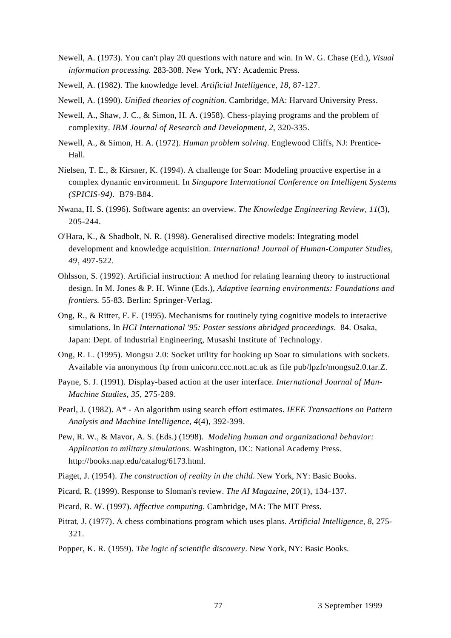- Newell, A. (1973). You can't play 20 questions with nature and win. In W. G. Chase (Ed.), *Visual information processing.* 283-308. New York, NY: Academic Press.
- Newell, A. (1982). The knowledge level. *Artificial Intelligence, 18*, 87-127.
- Newell, A. (1990). *Unified theories of cognition*. Cambridge, MA: Harvard University Press.
- Newell, A., Shaw, J. C., & Simon, H. A. (1958). Chess-playing programs and the problem of complexity. *IBM Journal of Research and Development, 2*, 320-335.
- Newell, A., & Simon, H. A. (1972). *Human problem solving*. Englewood Cliffs, NJ: Prentice-Hall.
- Nielsen, T. E., & Kirsner, K. (1994). A challenge for Soar: Modeling proactive expertise in a complex dynamic environment. In *Singapore International Conference on Intelligent Systems (SPICIS-94)*. B79-B84.
- Nwana, H. S. (1996). Software agents: an overview. *The Knowledge Engineering Review, 11*(3), 205-244.
- O'Hara, K., & Shadbolt, N. R. (1998). Generalised directive models: Integrating model development and knowledge acquisition. *International Journal of Human-Computer Studies, 49*, 497-522.
- Ohlsson, S. (1992). Artificial instruction: A method for relating learning theory to instructional design. In M. Jones & P. H. Winne (Eds.), *Adaptive learning environments: Foundations and frontiers.* 55-83. Berlin: Springer-Verlag.
- Ong, R., & Ritter, F. E. (1995). Mechanisms for routinely tying cognitive models to interactive simulations. In *HCI International '95: Poster sessions abridged proceedings*. 84. Osaka, Japan: Dept. of Industrial Engineering, Musashi Institute of Technology.
- Ong, R. L. (1995). Mongsu 2.0: Socket utility for hooking up Soar to simulations with sockets. Available via anonymous ftp from unicorn.ccc.nott.ac.uk as file pub/lpzfr/mongsu2.0.tar.Z.
- Payne, S. J. (1991). Display-based action at the user interface. *International Journal of Man-Machine Studies, 35*, 275-289.
- Pearl, J. (1982). A\* An algorithm using search effort estimates. *IEEE Transactions on Pattern Analysis and Machine Intelligence, 4*(4), 392-399.
- Pew, R. W., & Mavor, A. S. (Eds.) (1998). *Modeling human and organizational behavior: Application to military simulations*. Washington, DC: National Academy Press. http://books.nap.edu/catalog/6173.html.
- Piaget, J. (1954). *The construction of reality in the child*. New York, NY: Basic Books.
- Picard, R. (1999). Response to Sloman's review. *The AI Magazine, 20*(1), 134-137.
- Picard, R. W. (1997). *Affective computing*. Cambridge, MA: The MIT Press.
- Pitrat, J. (1977). A chess combinations program which uses plans. *Artificial Intelligence, 8*, 275- 321.
- Popper, K. R. (1959). *The logic of scientific discovery*. New York, NY: Basic Books.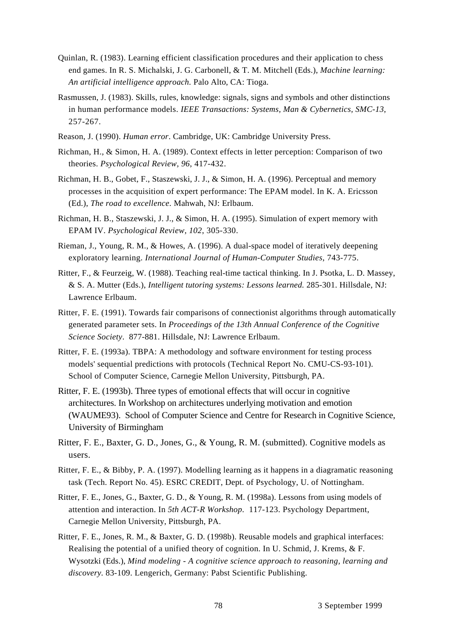- Quinlan, R. (1983). Learning efficient classification procedures and their application to chess end games. In R. S. Michalski, J. G. Carbonell, & T. M. Mitchell (Eds.), *Machine learning: An artificial intelligence approach.* Palo Alto, CA: Tioga.
- Rasmussen, J. (1983). Skills, rules, knowledge: signals, signs and symbols and other distinctions in human performance models. *IEEE Transactions: Systems, Man & Cybernetics, SMC-13*, 257-267.
- Reason, J. (1990). *Human error*. Cambridge, UK: Cambridge University Press.
- Richman, H., & Simon, H. A. (1989). Context effects in letter perception: Comparison of two theories. *Psychological Review, 96*, 417-432.
- Richman, H. B., Gobet, F., Staszewski, J. J., & Simon, H. A. (1996). Perceptual and memory processes in the acquisition of expert performance: The EPAM model. In K. A. Ericsson (Ed.), *The road to excellence.* Mahwah, NJ: Erlbaum.
- Richman, H. B., Staszewski, J. J., & Simon, H. A. (1995). Simulation of expert memory with EPAM IV. *Psychological Review, 102*, 305-330.
- Rieman, J., Young, R. M., & Howes, A. (1996). A dual-space model of iteratively deepening exploratory learning. *International Journal of Human-Computer Studies*, 743-775.
- Ritter, F., & Feurzeig, W. (1988). Teaching real-time tactical thinking. In J. Psotka, L. D. Massey, & S. A. Mutter (Eds.), *Intelligent tutoring systems: Lessons learned.* 285-301. Hillsdale, NJ: Lawrence Erlbaum.
- Ritter, F. E. (1991). Towards fair comparisons of connectionist algorithms through automatically generated parameter sets. In *Proceedings of the 13th Annual Conference of the Cognitive Science Society*. 877-881. Hillsdale, NJ: Lawrence Erlbaum.
- Ritter, F. E. (1993a). TBPA: A methodology and software environment for testing process models' sequential predictions with protocols (Technical Report No. CMU-CS-93-101). School of Computer Science, Carnegie Mellon University, Pittsburgh, PA.
- Ritter, F. E. (1993b). Three types of emotional effects that will occur in cognitive architectures. In Workshop on architectures underlying motivation and emotion (WAUME93). School of Computer Science and Centre for Research in Cognitive Science, University of Birmingham
- Ritter, F. E., Baxter, G. D., Jones, G., & Young, R. M. (submitted). Cognitive models as users.
- Ritter, F. E., & Bibby, P. A. (1997). Modelling learning as it happens in a diagramatic reasoning task (Tech. Report No. 45). ESRC CREDIT, Dept. of Psychology, U. of Nottingham.
- Ritter, F. E., Jones, G., Baxter, G. D., & Young, R. M. (1998a). Lessons from using models of attention and interaction. In *5th ACT-R Workshop*. 117-123. Psychology Department, Carnegie Mellon University, Pittsburgh, PA.
- Ritter, F. E., Jones, R. M., & Baxter, G. D. (1998b). Reusable models and graphical interfaces: Realising the potential of a unified theory of cognition. In U. Schmid, J. Krems, & F. Wysotzki (Eds.), *Mind modeling - A cognitive science approach to reasoning, learning and discovery.* 83-109. Lengerich, Germany: Pabst Scientific Publishing.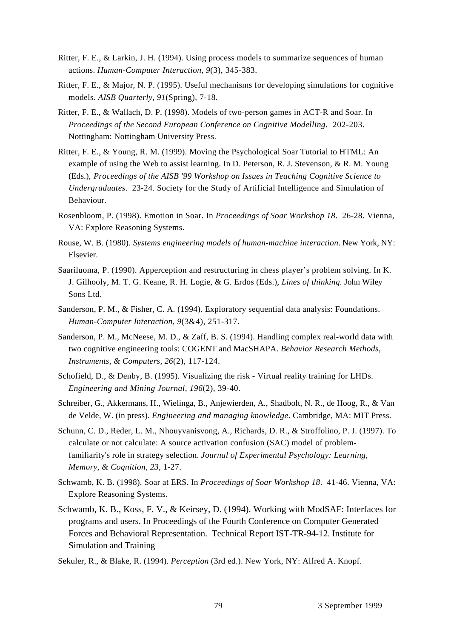- Ritter, F. E., & Larkin, J. H. (1994). Using process models to summarize sequences of human actions. *Human-Computer Interaction, 9*(3), 345-383.
- Ritter, F. E., & Major, N. P. (1995). Useful mechanisms for developing simulations for cognitive models. *AISB Quarterly, 91*(Spring), 7-18.
- Ritter, F. E., & Wallach, D. P. (1998). Models of two-person games in ACT-R and Soar. In *Proceedings of the Second European Conference on Cognitive Modelling*. 202-203. Nottingham: Nottingham University Press.
- Ritter, F. E., & Young, R. M. (1999). Moving the Psychological Soar Tutorial to HTML: An example of using the Web to assist learning. In D. Peterson, R. J. Stevenson, & R. M. Young (Eds.), *Proceedings of the AISB '99 Workshop on Issues in Teaching Cognitive Science to Undergraduates*. 23-24. Society for the Study of Artificial Intelligence and Simulation of Behaviour.
- Rosenbloom, P. (1998). Emotion in Soar. In *Proceedings of Soar Workshop 18*. 26-28. Vienna, VA: Explore Reasoning Systems.
- Rouse, W. B. (1980). *Systems engineering models of human-machine interaction*. New York, NY: Elsevier.
- Saariluoma, P. (1990). Apperception and restructuring in chess player's problem solving. In K. J. Gilhooly, M. T. G. Keane, R. H. Logie, & G. Erdos (Eds.), *Lines of thinking.* John Wiley Sons Ltd.
- Sanderson, P. M., & Fisher, C. A. (1994). Exploratory sequential data analysis: Foundations. *Human-Computer Interaction, 9*(3&4), 251-317.
- Sanderson, P. M., McNeese, M. D., & Zaff, B. S. (1994). Handling complex real-world data with two cognitive engineering tools: COGENT and MacSHAPA. *Behavior Research Methods, Instruments, & Computers, 26*(2), 117-124.
- Schofield, D., & Denby, B. (1995). Visualizing the risk Virtual reality training for LHDs. *Engineering and Mining Journal, 196*(2), 39-40.
- Schreiber, G., Akkermans, H., Wielinga, B., Anjewierden, A., Shadbolt, N. R., de Hoog, R., & Van de Velde, W. (in press). *Engineering and managing knowledge*. Cambridge, MA: MIT Press.
- Schunn, C. D., Reder, L. M., Nhouyvanisvong, A., Richards, D. R., & Stroffolino, P. J. (1997). To calculate or not calculate: A source activation confusion (SAC) model of problemfamiliarity's role in strategy selection. *Journal of Experimental Psychology: Learning, Memory, & Cognition, 23*, 1-27.
- Schwamb, K. B. (1998). Soar at ERS. In *Proceedings of Soar Workshop 18*. 41-46. Vienna, VA: Explore Reasoning Systems.
- Schwamb, K. B., Koss, F. V., & Keirsey, D. (1994). Working with ModSAF: Interfaces for programs and users. In Proceedings of the Fourth Conference on Computer Generated Forces and Behavioral Representation. Technical Report IST-TR-94-12. Institute for Simulation and Training
- Sekuler, R., & Blake, R. (1994). *Perception* (3rd ed.). New York, NY: Alfred A. Knopf.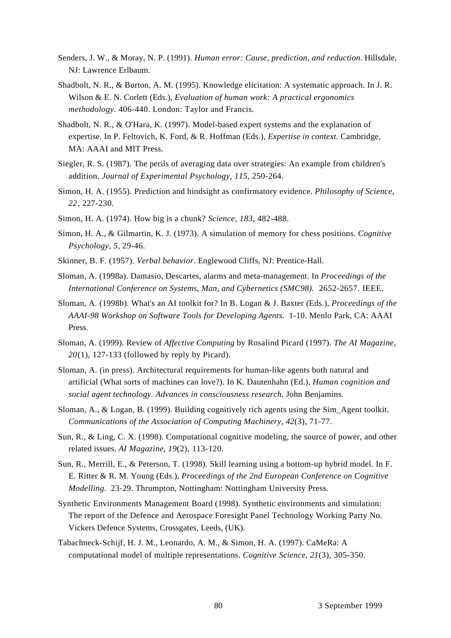- Senders, J. W., & Moray, N. P. (1991). *Human error: Cause, prediction, and reduction*. Hillsdale, NJ: Lawrence Erlbaum.
- Shadbolt, N. R., & Burton, A. M. (1995). Knowledge elicitation: A systematic approach. In J. R. Wilson & E. N. Corlett (Eds.), *Evaluation of human work: A practical ergonomics methodology.* 406-440. London: Taylor and Francis.
- Shadbolt, N. R., & O'Hara, K. (1997). Model-based expert systems and the explanation of expertise. In P. Feltovich, K. Ford, & R. Hoffman (Eds.), *Expertise in context.* Cambridge, MA: AAAI and MIT Press.
- Siegler, R. S. (1987). The perils of averaging data over strategies: An example from children's addition. *Journal of Experimental Psychology, 115*, 250-264.
- Simon, H. A. (1955). Prediction and hindsight as confirmatory evidence. *Philosophy of Science, 22*, 227-230.
- Simon, H. A. (1974). How big is a chunk? *Science, 183*, 482-488.
- Simon, H. A., & Gilmartin, K. J. (1973). A simulation of memory for chess positions. *Cognitive Psychology, 5*, 29-46.
- Skinner, B. F. (1957). *Verbal behavior*. Englewood Cliffs, NJ: Prentice-Hall.
- Sloman, A. (1998a). Damasio, Descartes, alarms and meta-management. In *Proceedings of the International Conference on Systems, Man, and Cybernetics (SMC98)*. 2652-2657. IEEE.
- Sloman, A. (1998b). What's an AI toolkit for? In B. Logan & J. Baxter (Eds.), *Proceedings of the AAAI-98 Workshop on Software Tools for Developing Agents*. 1-10. Menlo Park, CA: AAAI Press.
- Sloman, A. (1999). Review of *Affective Computing* by Rosalind Picard (1997). *The AI Magazine, 20*(1), 127-133 (followed by reply by Picard).
- Sloman, A. (in press). Architectural requirements for human-like agents both natural and artificial (What sorts of machines can love?). In K. Dautenhahn (Ed.), *Human cognition and social agent technology. Advances in consciousness research.* John Benjamins.
- Sloman, A., & Logan, B. (1999). Building cognitively rich agents using the Sim\_Agent toolkit. *Communications of the Association of Computing Machinery, 42*(3), 71-77.
- Sun, R., & Ling, C. X. (1998). Computational cognitive modeling, the source of power, and other related issues. *AI Magazine, 19*(2), 113-120.
- Sun, R., Merrill, E., & Peterson, T. (1998). Skill learning using a bottom-up hybrid model. In F. E. Ritter & R. M. Young (Eds.), *Proceedings of the 2nd European Conference on Cognitive Modelling*. 23-29. Thrumpton, Nottingham: Nottingham University Press.
- Synthetic Environments Management Board (1998). Synthetic environments and simulation: The report of the Defence and Aerospace Foresight Panel Technology Working Party No. Vickers Defence Systems, Crossgates, Leeds, (UK).
- Tabachneck-Schijf, H. J. M., Leonardo, A. M., & Simon, H. A. (1997). CaMeRa: A computational model of multiple representations. *Cognitive Science, 21*(3), 305-350.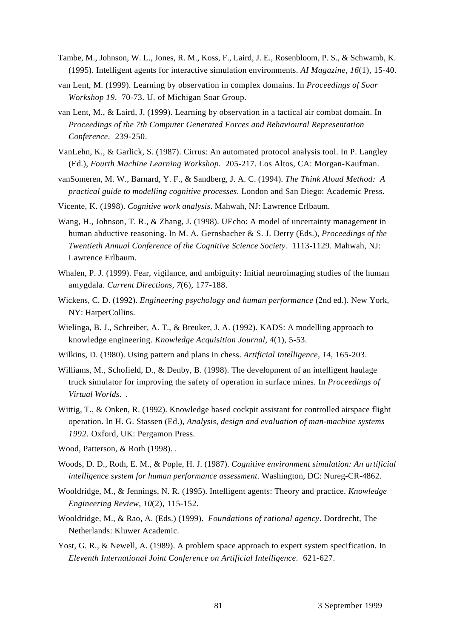- Tambe, M., Johnson, W. L., Jones, R. M., Koss, F., Laird, J. E., Rosenbloom, P. S., & Schwamb, K. (1995). Intelligent agents for interactive simulation environments. *AI Magazine, 16*(1), 15-40.
- van Lent, M. (1999). Learning by observation in complex domains. In *Proceedings of Soar Workshop 19*. 70-73. U. of Michigan Soar Group.
- van Lent, M., & Laird, J. (1999). Learning by observation in a tactical air combat domain. In *Proceedings of the 7th Computer Generated Forces and Behavioural Representation Conference*. 239-250.
- VanLehn, K., & Garlick, S. (1987). Cirrus: An automated protocol analysis tool. In P. Langley (Ed.), *Fourth Machine Learning Workshop*. 205-217. Los Altos, CA: Morgan-Kaufman.
- vanSomeren, M. W., Barnard, Y. F., & Sandberg, J. A. C. (1994). *The Think Aloud Method: A practical guide to modelling cognitive processes*. London and San Diego: Academic Press.
- Vicente, K. (1998). *Cognitive work analysis*. Mahwah, NJ: Lawrence Erlbaum.
- Wang, H., Johnson, T. R., & Zhang, J. (1998). UEcho: A model of uncertainty management in human abductive reasoning. In M. A. Gernsbacher & S. J. Derry (Eds.), *Proceedings of the Twentieth Annual Conference of the Cognitive Science Society.* 1113-1129. Mahwah, NJ: Lawrence Erlbaum.
- Whalen, P. J. (1999). Fear, vigilance, and ambiguity: Initial neuroimaging studies of the human amygdala. *Current Directions, 7*(6), 177-188.
- Wickens, C. D. (1992). *Engineering psychology and human performance* (2nd ed.). New York, NY: HarperCollins.
- Wielinga, B. J., Schreiber, A. T., & Breuker, J. A. (1992). KADS: A modelling approach to knowledge engineering. *Knowledge Acquisition Journal, 4*(1), 5-53.
- Wilkins, D. (1980). Using pattern and plans in chess. *Artificial Intelligence, 14*, 165-203.
- Williams, M., Schofield, D., & Denby, B. (1998). The development of an intelligent haulage truck simulator for improving the safety of operation in surface mines. In *Proceedings of Virtual Worlds*. .
- Wittig, T., & Onken, R. (1992). Knowledge based cockpit assistant for controlled airspace flight operation. In H. G. Stassen (Ed.), *Analysis, design and evaluation of man-machine systems 1992.* Oxford, UK: Pergamon Press.
- Wood, Patterson, & Roth (1998). .
- Woods, D. D., Roth, E. M., & Pople, H. J. (1987). *Cognitive environment simulation: An artificial intelligence system for human performance assessment*. Washington, DC: Nureg-CR-4862.
- Wooldridge, M., & Jennings, N. R. (1995). Intelligent agents: Theory and practice. *Knowledge Engineering Review, 10*(2), 115-152.
- Wooldridge, M., & Rao, A. (Eds.) (1999). *Foundations of rational agency*. Dordrecht, The Netherlands: Kluwer Academic.
- Yost, G. R., & Newell, A. (1989). A problem space approach to expert system specification. In *Eleventh International Joint Conference on Artificial Intelligence*. 621-627.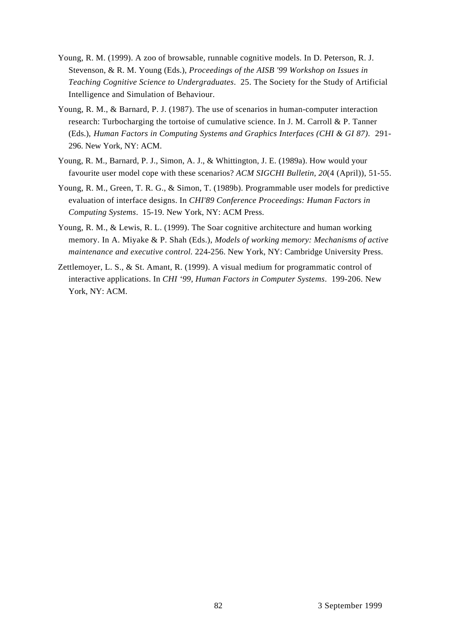- Young, R. M. (1999). A zoo of browsable, runnable cognitive models. In D. Peterson, R. J. Stevenson, & R. M. Young (Eds.), *Proceedings of the AISB '99 Workshop on Issues in Teaching Cognitive Science to Undergraduates*. 25. The Society for the Study of Artificial Intelligence and Simulation of Behaviour.
- Young, R. M., & Barnard, P. J. (1987). The use of scenarios in human-computer interaction research: Turbocharging the tortoise of cumulative science. In J. M. Carroll & P. Tanner (Eds.), *Human Factors in Computing Systems and Graphics Interfaces (CHI & GI 87)*. 291- 296. New York, NY: ACM.
- Young, R. M., Barnard, P. J., Simon, A. J., & Whittington, J. E. (1989a). How would your favourite user model cope with these scenarios? *ACM SIGCHI Bulletin, 20*(4 (April)), 51-55.
- Young, R. M., Green, T. R. G., & Simon, T. (1989b). Programmable user models for predictive evaluation of interface designs. In *CHI'89 Conference Proceedings: Human Factors in Computing Systems*. 15-19. New York, NY: ACM Press.
- Young, R. M., & Lewis, R. L. (1999). The Soar cognitive architecture and human working memory. In A. Miyake & P. Shah (Eds.), *Models of working memory: Mechanisms of active maintenance and executive control.* 224-256. New York, NY: Cambridge University Press.
- Zettlemoyer, L. S., & St. Amant, R. (1999). A visual medium for programmatic control of interactive applications. In *CHI '99, Human Factors in Computer Systems*. 199-206. New York, NY: ACM.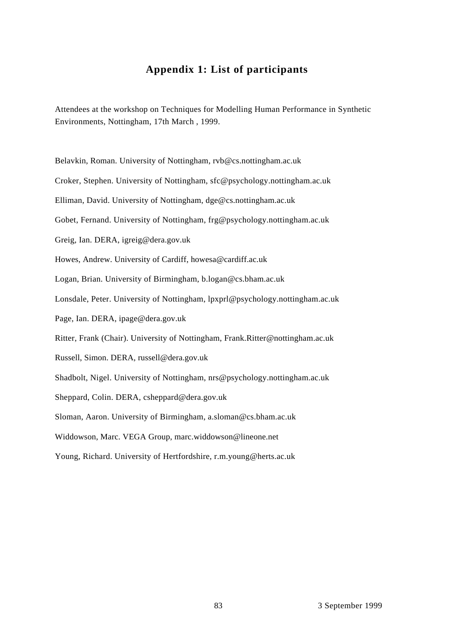# **Appendix 1: List of participants**

Attendees at the workshop on Techniques for Modelling Human Performance in Synthetic Environments, Nottingham, 17th March , 1999.

Belavkin, Roman. University of Nottingham, rvb@cs.nottingham.ac.uk Croker, Stephen. University of Nottingham, sfc@psychology.nottingham.ac.uk Elliman, David. University of Nottingham, dge@cs.nottingham.ac.uk Gobet, Fernand. University of Nottingham, frg@psychology.nottingham.ac.uk Greig, Ian. DERA, igreig@dera.gov.uk Howes, Andrew. University of Cardiff, howesa@cardiff.ac.uk Logan, Brian. University of Birmingham, b.logan@cs.bham.ac.uk Lonsdale, Peter. University of Nottingham, lpxprl@psychology.nottingham.ac.uk Page, Ian. DERA, ipage@dera.gov.uk Ritter, Frank (Chair). University of Nottingham, Frank.Ritter@nottingham.ac.uk Russell, Simon. DERA, russell@dera.gov.uk Shadbolt, Nigel. University of Nottingham, nrs@psychology.nottingham.ac.uk Sheppard, Colin. DERA, csheppard@dera.gov.uk Sloman, Aaron. University of Birmingham, a.sloman@cs.bham.ac.uk Widdowson, Marc. VEGA Group, marc.widdowson@lineone.net Young, Richard. University of Hertfordshire, r.m.young@herts.ac.uk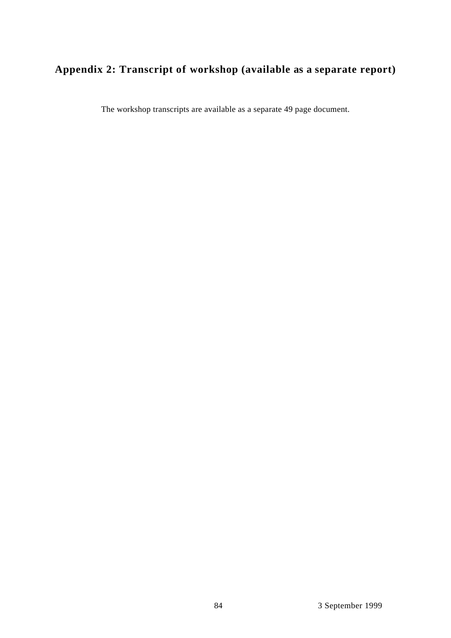# **Appendix 2: Transcript of workshop (available as a separate report)**

The workshop transcripts are available as a separate 49 page document.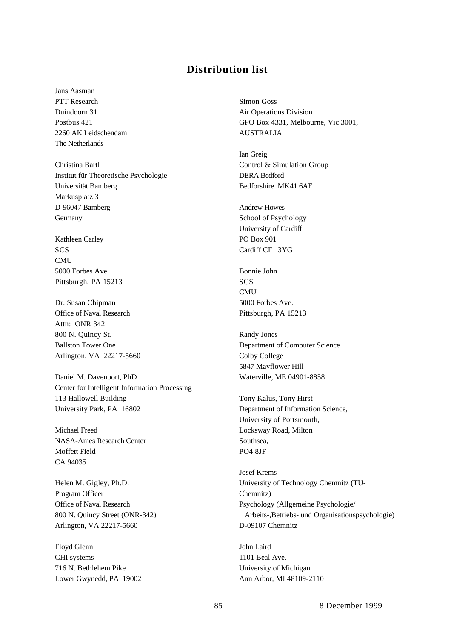## **Distribution list**

Jans Aasman PTT Research Simon Goss 2260 AK Leidschendam AUSTRALIA The Netherlands

Christina Bartl Control & Simulation Group Institut für Theoretische Psychologie DERA Bedford Universität Bamberg Bedforshire MK41 6AE Markusplatz 3 D-96047 Bamberg Andrew Howes Germany School of Psychology

Kathleen Carley PO Box 901 SCS Cardiff CF1 3YG **CMU** 5000 Forbes Ave. Bonnie John Pittsburgh, PA 15213 SCS

Dr. Susan Chipman 5000 Forbes Ave. Office of Naval Research Pittsburgh, PA 15213 Attn: ONR 342 800 N. Quincy St. Randy Jones Arlington, VA 22217-5660 Colby College

Daniel M. Davenport, PhD Waterville, ME 04901-8858 Center for Intelligent Information Processing 113 Hallowell Building Tony Kalus, Tony Hirst University Park, PA 16802 Department of Information Science,

Michael Freed Locksway Road, Milton NASA-Ames Research Center Southsea, Moffett Field PO4 8JF CA 94035

Program Officer Chemnitz) Arlington, VA 22217-5660 D-09107 Chemnitz

Floyd Glenn John Laird CHI systems 1101 Beal Ave. 716 N. Bethlehem Pike University of Michigan Lower Gwynedd, PA 19002 Ann Arbor, MI 48109-2110

Duindoorn 31 Air Operations Division Postbus 421 GPO Box 4331, Melbourne, Vic 3001,

Ian Greig

University of Cardiff

**CMU** 

Ballston Tower One Department of Computer Science 5847 Mayflower Hill

University of Portsmouth,

Josef Krems Helen M. Gigley, Ph.D. University of Technology Chemnitz (TU-Office of Naval Research **Psychology (Allgemeine Psychologie/** Psychologie/ 800 N. Quincy Street (ONR-342) Arbeits-,Betriebs- und Organisationspsychologie)